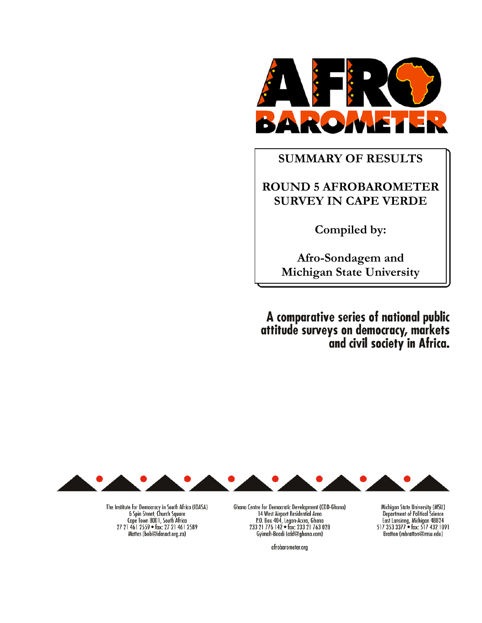

# **SUMMARY OF RESULTS**

# **ROUND 5 AFROBAROMETER SURVEY IN CAPE VERDE**

**Compiled by:** 

**Afro-Sondagem and Michigan State University**

A comparative series of national public attitude surveys on democracy, markets<br>and civil society in Africa.



The Institute for Democracy in South Africa (IDASA)<br>6 Spin Street, Church Square<br>2 Cape Town 8001, South Africa 27 21 461 2559 · fax: 27 21 461 2589 Mattes (bob@idasact.org.za)

Ghana Centre for Democratic Development (CDD-Ghana) 14 West Airport Residential Area<br>
P.O. Box 404, Legon-Accra, Ghana<br>
233 21 776 142 • fax: 233 21 763 028 Gyimah-Boadi (cdd@ghana.com)

afrobarometer.org

Michigan State University (MSU) Department of Political Science<br>East Lansinng, Michigan 48824<br>517 353 3377 • fax: 517 432 1091 Bratton (mbratton@msu.edu)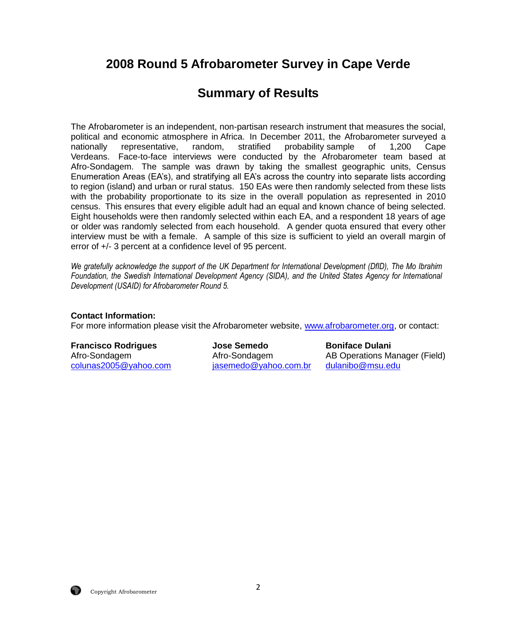# **2008 Round 5 Afrobarometer Survey in Cape Verde**

# **Summary of Results**

The Afrobarometer is an independent, non-partisan research instrument that measures the social, political and economic atmosphere in Africa. In December 2011, the Afrobarometer surveyed a nationally representative, random, stratified probability sample of 1,200 Cape Verdeans. Face-to-face interviews were conducted by the Afrobarometer team based at Afro-Sondagem. The sample was drawn by taking the smallest geographic units, Census Enumeration Areas (EA's), and stratifying all EA's across the country into separate lists according to region (island) and urban or rural status. 150 EAs were then randomly selected from these lists with the probability proportionate to its size in the overall population as represented in 2010 census. This ensures that every eligible adult had an equal and known chance of being selected. Eight households were then randomly selected within each EA, and a respondent 18 years of age or older was randomly selected from each household. A gender quota ensured that every other interview must be with a female. A sample of this size is sufficient to yield an overall margin of error of +/- 3 percent at a confidence level of 95 percent.

*We gratefully acknowledge the support of the UK Department for International Development (DfID), The Mo Ibrahim Foundation, the Swedish International Development Agency (SIDA), and the United States Agency for International Development (USAID) for Afrobarometer Round 5.* 

# **Contact Information:**

For more information please visit the Afrobarometer website, [www.afrobarometer.org,](http://www.afrobarometer.org/) or contact:

[colunas2005@yahoo.com](mailto:colunas2005@yahoo.com) [jasemedo@yahoo.com.br](mailto:jasemedo@yahoo.com.br) [dulanibo@msu.edu](mailto:dulanibo@msu.edu)

**Francisco Rodrigues 19th State Semedo Boniface Dulani** 

Afro-Sondagem Afro-Sondagem AB Operations Manager (Field)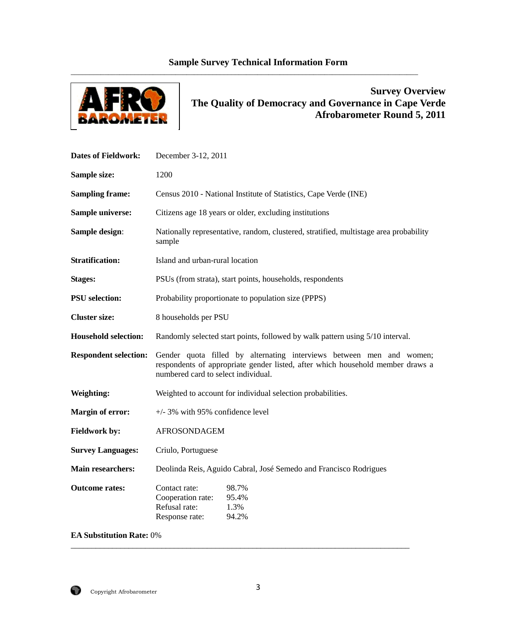# **Sample Survey Technical Information Form**

\_\_\_\_\_\_\_\_\_\_\_\_\_\_\_\_\_\_\_\_\_\_\_\_\_\_\_\_\_\_\_\_\_\_\_\_\_\_\_\_\_\_\_\_\_\_\_\_\_\_\_\_\_\_\_\_\_\_\_\_\_\_\_\_\_\_\_\_\_\_\_\_\_\_\_\_\_\_\_\_\_\_\_\_\_\_\_\_\_\_\_\_\_



# **Survey Overview The Quality of Democracy and Governance in Cape Verde Afrobarometer Round 5, 2011**

| <b>Dates of Fieldwork:</b>   | December 3-12, 2011                                                                                                                                                                           |
|------------------------------|-----------------------------------------------------------------------------------------------------------------------------------------------------------------------------------------------|
| Sample size:                 | 1200                                                                                                                                                                                          |
| <b>Sampling frame:</b>       | Census 2010 - National Institute of Statistics, Cape Verde (INE)                                                                                                                              |
| Sample universe:             | Citizens age 18 years or older, excluding institutions                                                                                                                                        |
| Sample design:               | Nationally representative, random, clustered, stratified, multistage area probability<br>sample                                                                                               |
| <b>Stratification:</b>       | Island and urban-rural location                                                                                                                                                               |
| <b>Stages:</b>               | PSUs (from strata), start points, households, respondents                                                                                                                                     |
| <b>PSU</b> selection:        | Probability proportionate to population size (PPPS)                                                                                                                                           |
| <b>Cluster size:</b>         | 8 households per PSU                                                                                                                                                                          |
| <b>Household selection:</b>  | Randomly selected start points, followed by walk pattern using 5/10 interval.                                                                                                                 |
| <b>Respondent selection:</b> | Gender quota filled by alternating interviews between men and women;<br>respondents of appropriate gender listed, after which household member draws a<br>numbered card to select individual. |
| <b>Weighting:</b>            | Weighted to account for individual selection probabilities.                                                                                                                                   |
| <b>Margin of error:</b>      | $+/-$ 3% with 95% confidence level                                                                                                                                                            |
| <b>Fieldwork by:</b>         | <b>AFROSONDAGEM</b>                                                                                                                                                                           |
| <b>Survey Languages:</b>     | Criulo, Portuguese                                                                                                                                                                            |
| Main researchers:            | Deolinda Reis, Aguido Cabral, José Semedo and Francisco Rodrigues                                                                                                                             |
| <b>Outcome rates:</b>        | Contact rate:<br>98.7%<br>Cooperation rate:<br>95.4%<br>Refusal rate:<br>1.3%<br>Response rate:<br>94.2%                                                                                      |

**EA Substitution Rate:** 0%

\_\_\_\_\_\_\_\_\_\_\_\_\_\_\_\_\_\_\_\_\_\_\_\_\_\_\_\_\_\_\_\_\_\_\_\_\_\_\_\_\_\_\_\_\_\_\_\_\_\_\_\_\_\_\_\_\_\_\_\_\_\_\_\_\_\_\_\_\_\_\_\_\_\_\_\_\_\_\_\_\_\_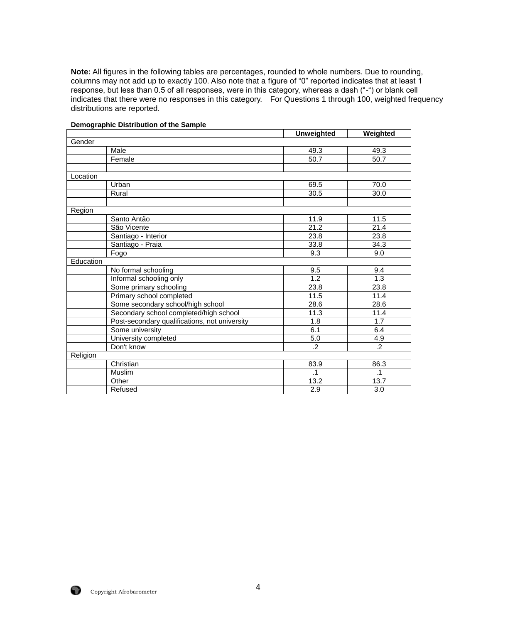**Note:** All figures in the following tables are percentages, rounded to whole numbers. Due to rounding, columns may not add up to exactly 100. Also note that a figure of "0" reported indicates that at least 1 response, but less than 0.5 of all responses, were in this category, whereas a dash ("-") or blank cell indicates that there were no responses in this category. For Questions 1 through 100, weighted frequency distributions are reported.

|                                               | <b>Unweighted</b> | Weighted         |
|-----------------------------------------------|-------------------|------------------|
| Gender                                        |                   |                  |
| Male                                          | 49.3              | 49.3             |
| Female                                        | 50.7              | 50.7             |
|                                               |                   |                  |
| Location                                      |                   |                  |
| Urban                                         | 69.5              | 70.0             |
| Rural                                         | 30.5              | 30.0             |
|                                               |                   |                  |
| Region                                        |                   |                  |
| Santo Antão                                   | 11.9              | 11.5             |
| São Vicente                                   | 21.2              | 21.4             |
| Santiago - Interior                           | 23.8              | 23.8             |
| Santiago - Praia                              | 33.8              | 34.3             |
| Fogo                                          | 9.3               | 9.0              |
| Education                                     |                   |                  |
| No formal schooling                           | 9.5               | 9.4              |
| Informal schooling only                       | $\overline{1.2}$  | $\overline{1.3}$ |
| Some primary schooling                        | 23.8              | 23.8             |
| Primary school completed                      | 11.5              | 11.4             |
| Some secondary school/high school             | 28.6              | 28.6             |
| Secondary school completed/high school        | 11.3              | 11.4             |
| Post-secondary qualifications, not university | 1.8               | 1.7              |
| Some university                               | 6.1               | 6.4              |
| University completed                          | 5.0               | 4.9              |
| Don't know                                    | $\cdot$ .2        | $\overline{.2}$  |
| Religion                                      |                   |                  |
| Christian                                     | 83.9              | 86.3             |
| Muslim                                        | $\cdot$ 1         | $\cdot$ 1        |
| Other                                         | 13.2              | 13.7             |
| Refused                                       | 2.9               | 3.0              |

#### **Demographic Distribution of the Sample**

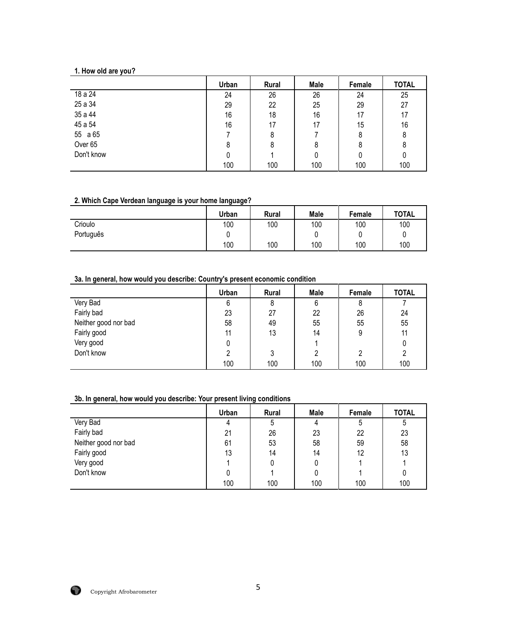# **1. How old are you?**

|                    | Urban | Rural | Male | Female | <b>TOTAL</b> |
|--------------------|-------|-------|------|--------|--------------|
| 18 a 24            | 24    | 26    | 26   | 24     | 25           |
| 25 a 34            | 29    | 22    | 25   | 29     | 27           |
| 35 a 44            | 16    | 18    | 16   | 17     | 17           |
| 45 a 54            | 16    | 17    | 17   | 15     | 16           |
| 55 a 65            |       | 8     |      | 8      | 8            |
| Over <sub>65</sub> | 8     | 8     | 8    | 8      | 8            |
| Don't know         | 0     |       | 0    | 0      | 0            |
|                    | 100   | 100   | 100  | 100    | 100          |

#### **2. Which Cape Verdean language is your home language?**

| . .<br>. . | . .<br>. .<br>Urban | <b>Rural</b> | <b>Male</b> | Female | <b>TOTAL</b> |
|------------|---------------------|--------------|-------------|--------|--------------|
| Crioulo    | 100                 | 100          | 100         | 100    | 100          |
| Português  |                     |              |             |        |              |
|            | 100                 | 100          | 100         | 100    | 100          |

# **3a. In general, how would you describe: Country's present economic condition**

|                      | Urban | <b>Rural</b> | Male | Female | <b>TOTAL</b> |
|----------------------|-------|--------------|------|--------|--------------|
| Very Bad             | 6     | 8            | 6    | 8      |              |
| Fairly bad           | 23    | 27           | 22   | 26     | 24           |
| Neither good nor bad | 58    | 49           | 55   | 55     | 55           |
| Fairly good          | 11    | 13           | 14   | 9      | 11           |
| Very good            | 0     |              |      |        | 0            |
| Don't know           | ົ     | 3            | າ    | ∩      | 2            |
|                      | 100   | 100          | 100  | 100    | 100          |

# **3b. In general, how would you describe: Your present living conditions**

|                      | Urban | Rural | Male | Female | <b>TOTAL</b> |
|----------------------|-------|-------|------|--------|--------------|
| Very Bad             | 4     | 5     | 4    | 5      | ხ            |
| Fairly bad           | 21    | 26    | 23   | 22     | 23           |
| Neither good nor bad | 61    | 53    | 58   | 59     | 58           |
| Fairly good          | 13    | 14    | 14   | 12     | 13           |
| Very good            |       | 0     |      |        |              |
| Don't know           |       |       |      |        | 0            |
|                      | 100   | 100   | 100  | 100    | 100          |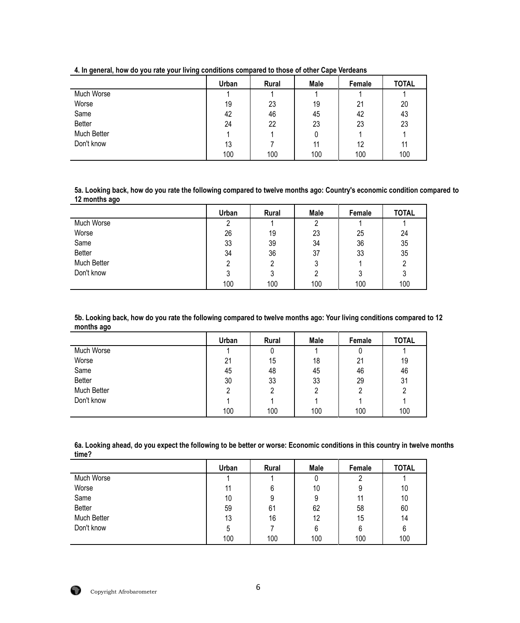|               | Urban | Rural | Male | Female | <b>TOTAL</b> |
|---------------|-------|-------|------|--------|--------------|
| Much Worse    |       |       |      |        |              |
| Worse         | 19    | 23    | 19   | 21     | 20           |
| Same          | 42    | 46    | 45   | 42     | 43           |
| <b>Better</b> | 24    | 22    | 23   | 23     | 23           |
| Much Better   |       |       | 0    |        |              |
| Don't know    | 13    |       | 11   | 12     | 11           |
|               | 100   | 100   | 100  | 100    | 100          |

**4. In general, how do you rate your living conditions compared to those of other Cape Verdeans**

**5a. Looking back, how do you rate the following compared to twelve months ago: Country's economic condition compared to 12 months ago**

|               | Urban | Rural | <b>Male</b> | Female | <b>TOTAL</b> |
|---------------|-------|-------|-------------|--------|--------------|
| Much Worse    | റ     |       |             |        |              |
| Worse         | 26    | 19    | 23          | 25     | 24           |
| Same          | 33    | 39    | 34          | 36     | 35           |
| <b>Better</b> | 34    | 36    | 37          | 33     | 35           |
| Much Better   |       |       | 3           |        |              |
| Don't know    | ົ     | 3     |             |        | J            |
|               | 100   | 100   | 100         | 100    | 100          |

**5b. Looking back, how do you rate the following compared to twelve months ago: Your living conditions compared to 12 months ago**

|               | Urban | Rural          | <b>Male</b> | Female | <b>TOTAL</b> |
|---------------|-------|----------------|-------------|--------|--------------|
| Much Worse    |       | U              |             |        |              |
| Worse         | 21    | 15             | 18          | 21     | 19           |
| Same          | 45    | 48             | 45          | 46     | 46           |
| <b>Better</b> | 30    | 33             | 33          | 29     | 31           |
| Much Better   | ົ     | $\overline{2}$ | っ           | റ      | 2            |
| Don't know    |       |                |             |        |              |
|               | 100   | 100            | 100         | 100    | 100          |

**6a. Looking ahead, do you expect the following to be better or worse: Economic conditions in this country in twelve months time?**

|             | Urban | Rural | Male | Female | <b>TOTAL</b> |
|-------------|-------|-------|------|--------|--------------|
| Much Worse  |       |       |      | ∩      |              |
| Worse       | 11    | 6     | 10   | 9      | 10           |
| Same        | 10    | 9     | 9    | 11     | 10           |
| Better      | 59    | 61    | 62   | 58     | 60           |
| Much Better | 13    | 16    | 12   | 15     | 14           |
| Don't know  | ხ     |       | 6    | 6      | 6            |
|             | 100   | 100   | 100  | 100    | 100          |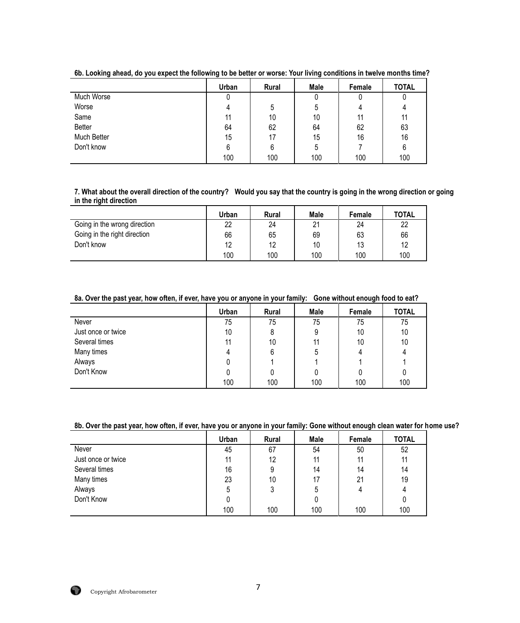|               | Urban | <b>Rural</b> | Male | Female | <b>TOTAL</b> |
|---------------|-------|--------------|------|--------|--------------|
| Much Worse    |       |              |      |        | υ            |
| Worse         |       | 5            | 5    | 4      |              |
| Same          | 11    | 10           | 10   | 11     | 11           |
| <b>Better</b> | 64    | 62           | 64   | 62     | 63           |
| Much Better   | 15    | 17           | 15   | 16     | 16           |
| Don't know    | 6     | 6            | 5    |        | 6            |
|               | 100   | 100          | 100  | 100    | 100          |

**6b. Looking ahead, do you expect the following to be better or worse: Your living conditions in twelve months time?**

#### **7. What about the overall direction of the country? Would you say that the country is going in the wrong direction or going in the right direction**

|                              | Urban | <b>Rural</b> | <b>Male</b> | <b>Female</b> | <b>TOTAL</b> |
|------------------------------|-------|--------------|-------------|---------------|--------------|
| Going in the wrong direction | 22    | 24           | 21          | 24            | 22           |
| Going in the right direction | 66    | 65           | 69          | 63            | 66           |
| Don't know                   | 12    | 12           | 10          | 13            | 12           |
|                              | 100   | 100          | 100         | 100           | 100          |

**8a. Over the past year, how often, if ever, have you or anyone in your family: Gone without enough food to eat?**

|                    | Urban | Rural | Male | Female | <b>TOTAL</b> |
|--------------------|-------|-------|------|--------|--------------|
| Never              | 75    | 75    | 75   | 75     | 75           |
| Just once or twice | 10    | 8     | 9    | 10     | 10           |
| Several times      | 11    | 10    |      | 10     | 10           |
| Many times         |       | 6     | 5    |        |              |
| Always             |       |       |      |        |              |
| Don't Know         |       |       |      |        |              |
|                    | 100   | 100   | 100  | 100    | 100          |

# **8b. Over the past year, how often, if ever, have you or anyone in your family: Gone without enough clean water for home use?**

|                    | Urban | Rural | Male | Female | <b>TOTAL</b> |
|--------------------|-------|-------|------|--------|--------------|
| Never              | 45    | 67    | 54   | 50     | 52           |
| Just once or twice | 11    | 12    | 11   | 11     | 11           |
| Several times      | 16    | 9     | 14   | 14     | 14           |
| Many times         | 23    | 10    | 17   | 21     | 19           |
| Always             | 5     | 3     | 5    | 4      | 4            |
| Don't Know         |       |       | 0    |        |              |
|                    | 100   | 100   | 100  | 100    | 100          |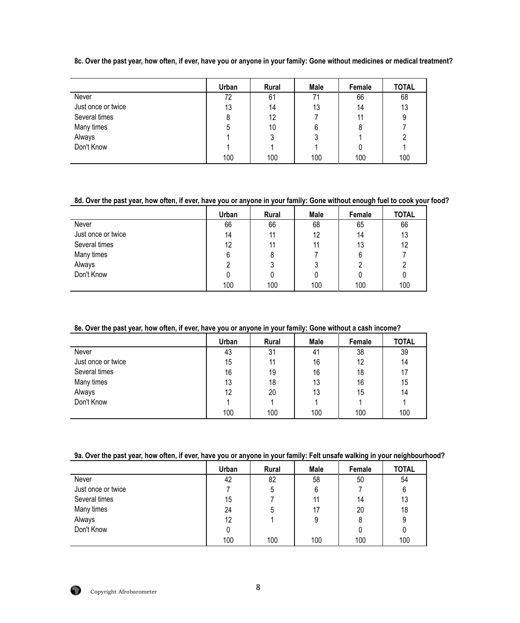**8c. Over the past year, how often, if ever, have you or anyone in your family: Gone without medicines or medical treatment?**

|                    | Urban | Rural | <b>Male</b> | Female | <b>TOTAL</b> |
|--------------------|-------|-------|-------------|--------|--------------|
| Never              | 72    | 61    | 71          | 66     | 68           |
| Just once or twice | 13    | 14    | 13          | 14     | 13           |
| Several times      | 8     | 12    |             | 11     | 9            |
| Many times         | 5     | 10    | 6           | 8      |              |
| Always             |       | 3     | 3           |        | 2            |
| Don't Know         |       |       |             |        |              |
|                    | 100   | 100   | 100         | 100    | 100          |

# **8d. Over the past year, how often, if ever, have you or anyone in your family: Gone without enough fuel to cook your food?**

|                    | Urban | <b>Rural</b> | Male | Female | <b>TOTAL</b> |
|--------------------|-------|--------------|------|--------|--------------|
| Never              | 66    | 66           | 68   | 65     | 66           |
| Just once or twice | 14    | 11           | 12   | 14     | 13           |
| Several times      | 12    | 11           | 11   | 13     | 12           |
| Many times         | 6     | 8            |      | 6      |              |
| Always             |       | 3            | J    |        |              |
| Don't Know         |       |              |      |        |              |
|                    | 100   | 100          | 100  | 100    | 100          |

# **8e. Over the past year, how often, if ever, have you or anyone in your family: Gone without a cash income?**

|                    | Urban | Rural | Male | Female | <b>TOTAL</b> |
|--------------------|-------|-------|------|--------|--------------|
| Never              | 43    | 31    | 41   | 38     | 39           |
| Just once or twice | 15    | 11    | 16   | 12     | 14           |
| Several times      | 16    | 19    | 16   | 18     | 17           |
| Many times         | 13    | 18    | 13   | 16     | 15           |
| Always             | 12    | 20    | 13   | 15     | 14           |
| Don't Know         |       |       |      |        |              |
|                    | 100   | 100   | 100  | 100    | 100          |

# **9a. Over the past year, how often, if ever, have you or anyone in your family: Felt unsafe walking in your neighbourhood?**

|                    | Urban | <b>Rural</b> | Male | Female | <b>TOTAL</b> |
|--------------------|-------|--------------|------|--------|--------------|
| Never              | 42    | 82           | 58   | 50     | 54           |
| Just once or twice |       | 5            | 6    |        | 6            |
| Several times      | 15    |              | 11   | 14     | 13           |
| Many times         | 24    | 5            | 17   | 20     | 18           |
| Always             | 12    |              | 9    | 8      | 9            |
| Don't Know         | 0     |              |      |        | 0            |
|                    | 100   | 100          | 100  | 100    | 100          |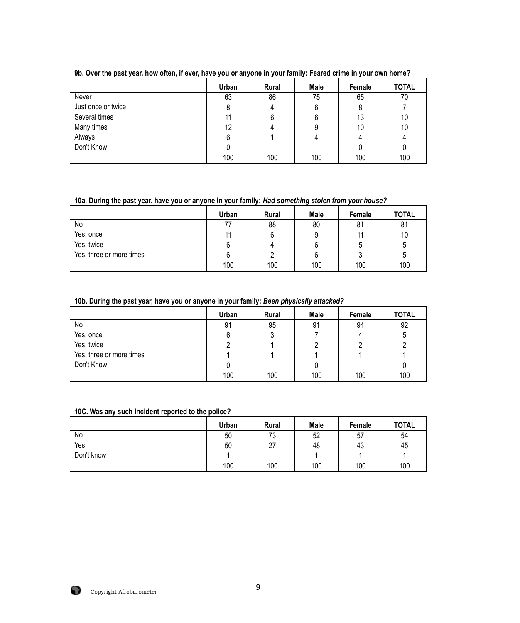|                    | Urban | Rural | Male | Female | <b>TOTAL</b> |
|--------------------|-------|-------|------|--------|--------------|
| Never              | 63    | 86    | 75   | 65     | 70           |
| Just once or twice | 8     | 4     | 6    | 8      |              |
| Several times      | 11    | 6     | 6    | 13     | 10           |
| Many times         | 12    |       |      | 10     | 10           |
| Always             | 6     |       |      | 4      |              |
| Don't Know         |       |       |      |        | 0            |
|                    | 100   | 100   | 100  | 100    | 100          |

**9b. Over the past year, how often, if ever, have you or anyone in your family: Feared crime in your own home?**

## **10a. During the past year, have you or anyone in your family:** *Had something stolen from your house?*

|                          | Urban | <b>Rural</b> | Male | Female | <b>TOTAL</b> |
|--------------------------|-------|--------------|------|--------|--------------|
| No                       |       | 88           | 80   | 81     | 81           |
| Yes, once                | 11    | 6            |      |        | 10           |
| Yes, twice               |       | 4            | b    |        | ხ            |
| Yes, three or more times |       | ŋ            |      |        | ხ            |
|                          | 100   | 100          | 100  | 100    | 100          |

# **10b. During the past year, have you or anyone in your family:** *Been physically attacked?*

|                          | Urban | <b>Rural</b> | Male | Female | <b>TOTAL</b> |
|--------------------------|-------|--------------|------|--------|--------------|
| No                       | 91    | 95           | 91   | 94     | 92           |
| Yes, once                | 6     | ມ            |      | 4      | 5            |
| Yes, twice               |       |              |      |        |              |
| Yes, three or more times |       |              |      |        |              |
| Don't Know               |       |              |      |        |              |
|                          | 100   | 100          | 100  | 100    | 100          |

#### **10C. Was any such incident reported to the police?**

|            | <b>Urban</b> | Rural | <b>Male</b> | Female | <b>TOTAL</b> |
|------------|--------------|-------|-------------|--------|--------------|
| No         | 50           | 73    | 52          | 57     | 54           |
| Yes        | 50           | 27    | 48          | 43     | 45           |
| Don't know |              |       |             |        |              |
|            | 100          | 100   | 100         | 100    | 100          |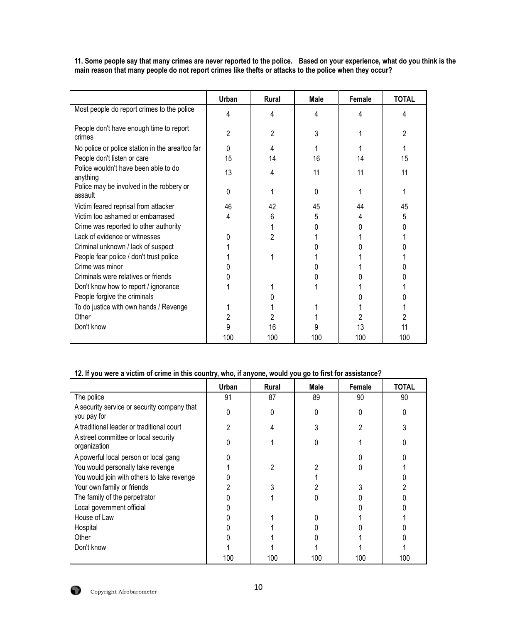**11. Some people say that many crimes are never reported to the police. Based on your experience, what do you think is the main reason that many people do not report crimes like thefts or attacks to the police when they occur?**

|                                                     | Urban | <b>Rural</b>   | <b>Male</b> | Female | <b>TOTAL</b> |
|-----------------------------------------------------|-------|----------------|-------------|--------|--------------|
| Most people do report crimes to the police          | 4     | 4              | 4           | 4      | 4            |
| People don't have enough time to report<br>crimes   | 2     | 2              | 3           |        | 2            |
| No police or police station in the area/too far     | 0     | 4              |             |        |              |
| People don't listen or care                         | 15    | 14             | 16          | 14     | 15           |
| Police wouldn't have been able to do<br>anything    | 13    | 4              | 11          | 11     | 11           |
| Police may be involved in the robbery or<br>assault | 0     |                | 0           |        |              |
| Victim feared reprisal from attacker                | 46    | 42             | 45          | 44     | 45           |
| Victim too ashamed or embarrased                    | 4     | 6              | 5           | 4      | 5            |
| Crime was reported to other authority               |       |                |             |        | O            |
| Lack of evidence or witnesses                       | N     | $\overline{c}$ |             |        |              |
| Criminal unknown / lack of suspect                  |       |                |             |        |              |
| People fear police / don't trust police             |       |                |             |        |              |
| Crime was minor                                     |       |                |             |        |              |
| Criminals were relatives or friends                 |       |                |             |        |              |
| Don't know how to report / ignorance                |       |                |             |        |              |
| People forgive the criminals                        |       |                |             |        |              |
| To do justice with own hands / Revenge              |       |                |             |        |              |
| Other                                               | 2     | 2              |             | 2      |              |
| Don't know                                          | 9     | 16             |             | 13     | 11           |
|                                                     | 100   | 100            | 100         | 100    | 100          |

# **12. If you were a victim of crime in this country, who, if anyone, would you go to first for assistance?**

|                                                            | Urban | Rural          | Male | Female | TOTAL |
|------------------------------------------------------------|-------|----------------|------|--------|-------|
| The police                                                 | 91    | 87             | 89   | 90     | 90    |
| A security service or security company that<br>you pay for | 0     | 0              | 0    |        |       |
| A traditional leader or traditional court                  | ∩     | 4              |      | 2      |       |
| A street committee or local security<br>organization       |       |                | 0    |        |       |
| A powerful local person or local gang                      |       |                |      |        |       |
| You would personally take revenge                          |       | $\overline{2}$ |      |        |       |
| You would join with others to take revenge                 |       |                |      |        |       |
| Your own family or friends                                 |       | 3              |      |        |       |
| The family of the perpetrator                              |       |                |      |        |       |
| Local government official                                  |       |                |      |        |       |
| House of Law                                               |       |                |      |        |       |
| Hospital                                                   |       |                |      |        |       |
| Other                                                      |       |                |      |        |       |
| Don't know                                                 |       |                |      |        |       |
|                                                            | 100   | 100            | 100  | 100    | 100   |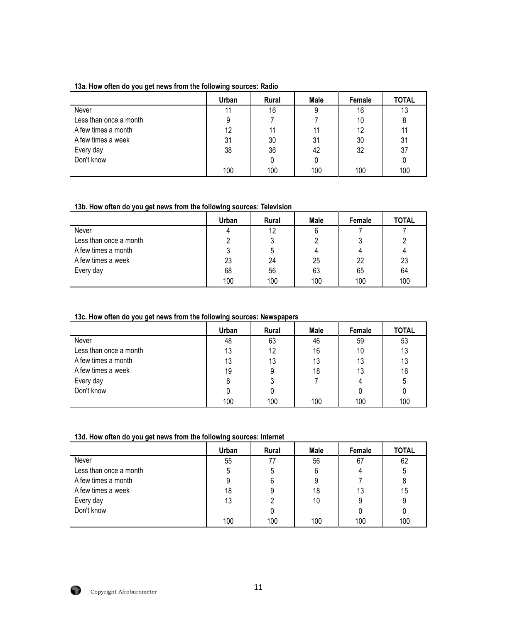#### **13a. How often do you get news from the following sources: Radio**

|                        | Urban | <b>Rural</b> | Male | Female | <b>TOTAL</b> |
|------------------------|-------|--------------|------|--------|--------------|
| Never                  | 11    | 16           | 9    | 16     | 13           |
| Less than once a month | 9     |              |      | 10     | 8            |
| A few times a month    | 12    | 11           | 11   | 12     | 11           |
| A few times a week     | 31    | 30           | 31   | 30     | 31           |
| Every day              | 38    | 36           | 42   | 32     | 37           |
| Don't know             |       |              |      |        |              |
|                        | 100   | 100          | 100  | 100    | 100          |

## **13b. How often do you get news from the following sources: Television**

|                        | Urban | <b>Rural</b> | Male | Female | <b>TOTAL</b> |
|------------------------|-------|--------------|------|--------|--------------|
| Never                  |       | 12           | 6    |        |              |
| Less than once a month |       | J            |      |        |              |
| A few times a month    |       | ა            |      |        |              |
| A few times a week     | 23    | 24           | 25   | 22     | 23           |
| Every day              | 68    | 56           | 63   | 65     | 64           |
|                        | 100   | 100          | 100  | 100    | 100          |

# **13c. How often do you get news from the following sources: Newspapers**

|                        | Urban | <b>Rural</b> | Male | Female | <b>TOTAL</b> |
|------------------------|-------|--------------|------|--------|--------------|
| Never                  | 48    | 63           | 46   | 59     | 53           |
| Less than once a month | 13    | 12           | 16   | 10     | 13           |
| A few times a month    | 13    | 13           | 13   | 13     | 13           |
| A few times a week     | 19    | 9            | 18   | 13     | 16           |
| Every day              | 6     |              |      | 4      | 5            |
| Don't know             |       | 0            |      |        |              |
|                        | 100   | 100          | 100  | 100    | 100          |

# **13d. How often do you get news from the following sources: Internet**

|                        | Urban | Rural | Male | Female | <b>TOTAL</b> |
|------------------------|-------|-------|------|--------|--------------|
| Never                  | 55    | 77    | 56   | 67     | 62           |
| Less than once a month |       | 5     |      | 4      | 5            |
| A few times a month    |       | 6     |      |        |              |
| A few times a week     | 18    |       | 18   | 13     | 15           |
| Every day              | 13    |       | 10   |        | 9            |
| Don't know             |       |       |      |        |              |
|                        | 100   | 100   | 100  | 100    | 100          |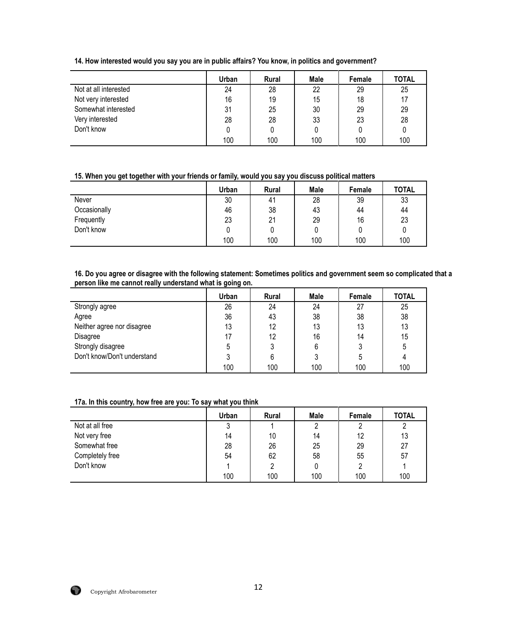| 14. How interested would you say you are in public affairs? You know, in politics and government? |  |  |
|---------------------------------------------------------------------------------------------------|--|--|
|                                                                                                   |  |  |

|                       | Urban | <b>Rural</b> | Male | Female | <b>TOTAL</b> |
|-----------------------|-------|--------------|------|--------|--------------|
| Not at all interested | 24    | 28           | 22   | 29     | 25           |
| Not very interested   | 16    | 19           | 15   | 18     | 17           |
| Somewhat interested   | 31    | 25           | 30   | 29     | 29           |
| Very interested       | 28    | 28           | 33   | 23     | 28           |
| Don't know            |       | 0            | 0    |        |              |
|                       | 100   | 100          | 100  | 100    | 100          |

# **15. When you get together with your friends or family, would you say you discuss political matters**

|              | Urban | <b>Rural</b> | Male | Female | TOTAL |
|--------------|-------|--------------|------|--------|-------|
| Never        | 30    | 41           | 28   | 39     | 33    |
| Occasionally | 46    | 38           | 43   | 44     | 44    |
| Frequently   | 23    | 21           | 29   | 16     | 23    |
| Don't know   | 0     | U            |      |        |       |
|              | 100   | 100          | 100  | 100    | 100   |

#### **16. Do you agree or disagree with the following statement: Sometimes politics and government seem so complicated that a person like me cannot really understand what is going on.**

|                             | Urban | <b>Rural</b> | Male | Female | <b>TOTAL</b> |
|-----------------------------|-------|--------------|------|--------|--------------|
| Strongly agree              | 26    | 24           | 24   | 27     | 25           |
| Agree                       | 36    | 43           | 38   | 38     | 38           |
| Neither agree nor disagree  | 13    | 12           | 13   | 13     | 13           |
| Disagree                    | 17    | 12           | 16   | 14     | 15           |
| Strongly disagree           |       | 3            | 6    |        | 5            |
| Don't know/Don't understand |       | 6            |      |        |              |
|                             | 100   | 100          | 100  | 100    | 100          |

# **17a. In this country, how free are you: To say what you think**

|                 | Urban | <b>Rural</b> | Male | Female | <b>TOTAL</b> |
|-----------------|-------|--------------|------|--------|--------------|
| Not at all free | າ     |              |      |        |              |
| Not very free   | 14    | 10           | 14   | 12     | 13           |
| Somewhat free   | 28    | 26           | 25   | 29     | 27           |
| Completely free | 54    | 62           | 58   | 55     | 57           |
| Don't know      |       | 2            | 0    |        |              |
|                 | 100   | 100          | 100  | 100    | 100          |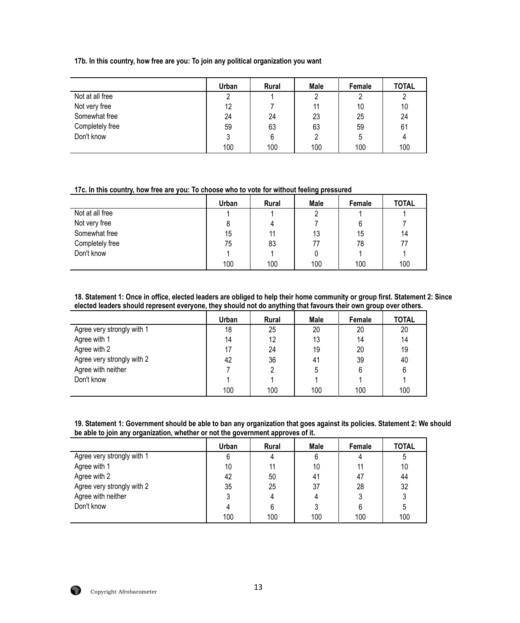**17b. In this country, how free are you: To join any political organization you want**

|                 | Urban | Rural | Male | Female | <b>TOTAL</b> |
|-----------------|-------|-------|------|--------|--------------|
| Not at all free | ŋ     |       |      |        | ົ            |
| Not very free   | 12    |       | 11   | 10     | 10           |
| Somewhat free   | 24    | 24    | 23   | 25     | 24           |
| Completely free | 59    | 63    | 63   | 59     | 61           |
| Don't know      |       | 6     |      | 5      |              |
|                 | 100   | 100   | 100  | 100    | 100          |

**17c. In this country, how free are you: To choose who to vote for without feeling pressured**

|                 | Urban | Rural | Male | Female | <b>TOTAL</b> |
|-----------------|-------|-------|------|--------|--------------|
| Not at all free |       |       |      |        |              |
| Not very free   |       |       |      | 6      |              |
| Somewhat free   | 15    | 11    | 13   | 15     | 14           |
| Completely free | 75    | 83    | 77   | 78     | 77           |
| Don't know      |       |       |      |        |              |
|                 | 100   | 100   | 100  | 100    | 100          |

**18. Statement 1: Once in office, elected leaders are obliged to help their home community or group first. Statement 2: Since elected leaders should represent everyone, they should not do anything that favours their own group over others.**

|                            | Urban | <b>Rural</b> | Male | Female | <b>TOTAL</b> |
|----------------------------|-------|--------------|------|--------|--------------|
| Agree very strongly with 1 | 18    | 25           | 20   | 20     | 20           |
| Agree with 1               | 14    | 12           | 13   | 14     | 14           |
| Agree with 2               | 17    | 24           | 19   | 20     | 19           |
| Agree very strongly with 2 | 42    | 36           | 41   | 39     | 40           |
| Agree with neither         |       | 2            | 5    |        | 6            |
| Don't know                 |       |              |      |        |              |
|                            | 100   | 100          | 100  | 100    | 100          |

| 19. Statement 1: Government should be able to ban any organization that goes against its policies. Statement 2: We should |
|---------------------------------------------------------------------------------------------------------------------------|
| be able to join any organization, whether or not the government approves of it.                                           |

|                            | Urban | <b>Rural</b> | Male | Female | <b>TOTAL</b> |
|----------------------------|-------|--------------|------|--------|--------------|
| Agree very strongly with 1 |       |              |      |        | 5            |
| Agree with 1               | 10    | 11           | 10   |        | 10           |
| Agree with 2               | 42    | 50           | 41   | 47     | 44           |
| Agree very strongly with 2 | 35    | 25           | 37   | 28     | 32           |
| Agree with neither         |       |              |      |        |              |
| Don't know                 |       | 6            |      | 6      | 5            |
|                            | 100   | 100          | 100  | 100    | 100          |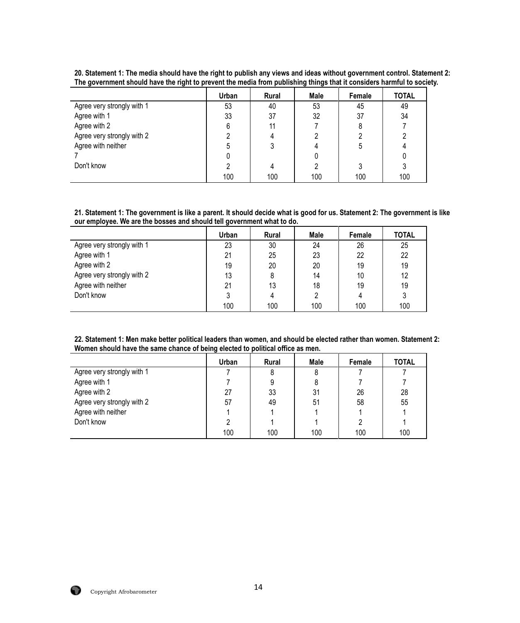|                            | Urban | <b>Rural</b> | Male | Female | <b>TOTAL</b> |
|----------------------------|-------|--------------|------|--------|--------------|
| Agree very strongly with 1 | 53    | 40           | 53   | 45     | 49           |
| Agree with 1               | 33    | 37           | 32   | 37     | 34           |
| Agree with 2               | 6     | 11           |      | 8      |              |
| Agree very strongly with 2 |       |              |      |        |              |
| Agree with neither         | 5     |              |      | 5      |              |
|                            |       |              |      |        |              |
| Don't know                 |       |              |      |        |              |
|                            | 100   | 100          | 100  | 100    | 100          |

**20. Statement 1: The media should have the right to publish any views and ideas without government control. Statement 2: The government should have the right to prevent the media from publishing things that it considers harmful to society.**

**21. Statement 1: The government is like a parent. It should decide what is good for us. Statement 2: The government is like our employee. We are the bosses and should tell government what to do.**

|                            | Urban | <b>Rural</b> | Male | Female | <b>TOTAL</b> |
|----------------------------|-------|--------------|------|--------|--------------|
| Agree very strongly with 1 | 23    | 30           | 24   | 26     | 25           |
| Agree with 1               | 21    | 25           | 23   | 22     | 22           |
| Agree with 2               | 19    | 20           | 20   | 19     | 19           |
| Agree very strongly with 2 | 13    | 8            | 14   | 10     | 12           |
| Agree with neither         | 21    | 13           | 18   | 19     | 19           |
| Don't know                 |       | 4            |      |        | 3            |
|                            | 100   | 100          | 100  | 100    | 100          |

**22. Statement 1: Men make better political leaders than women, and should be elected rather than women. Statement 2: Women should have the same chance of being elected to political office as men.**

|                            | Urban | <b>Rural</b> | Male | Female | <b>TOTAL</b> |
|----------------------------|-------|--------------|------|--------|--------------|
| Agree very strongly with 1 |       | 8            | 8    |        |              |
| Agree with 1               |       | 9            | 8    |        |              |
| Agree with 2               | 27    | 33           | 31   | 26     | 28           |
| Agree very strongly with 2 | 57    | 49           | 51   | 58     | 55           |
| Agree with neither         |       |              |      |        |              |
| Don't know                 |       |              |      |        |              |
|                            | 100   | 100          | 100  | 100    | 100          |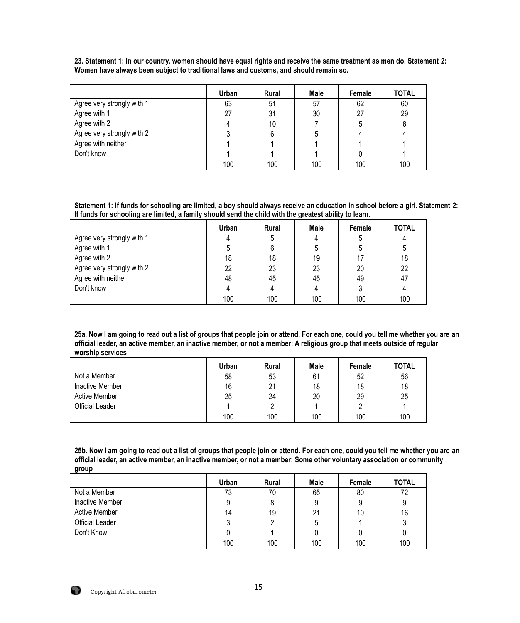**23. Statement 1: In our country, women should have equal rights and receive the same treatment as men do. Statement 2: Women have always been subject to traditional laws and customs, and should remain so.**

|                            | Urban | <b>Rural</b> | Male | Female | <b>TOTAL</b> |
|----------------------------|-------|--------------|------|--------|--------------|
| Agree very strongly with 1 | 63    | 51           | 57   | 62     | 60           |
| Agree with 1               | 27    | 31           | 30   | 27     | 29           |
| Agree with 2               |       | 10           |      | 5      | 6            |
| Agree very strongly with 2 |       | 6            | b    | Δ      |              |
| Agree with neither         |       |              |      |        |              |
| Don't know                 |       |              |      |        |              |
|                            | 100   | 100          | 100  | 100    | 100          |

**Statement 1: If funds for schooling are limited, a boy should always receive an education in school before a girl. Statement 2: If funds for schooling are limited, a family should send the child with the greatest ability to learn.**

|                            | Urban | Rural | Male | Female | <b>TOTAL</b> |
|----------------------------|-------|-------|------|--------|--------------|
| Agree very strongly with 1 |       | 5     | 4    |        |              |
| Agree with 1               | ხ     | 6     | 5    |        | 5            |
| Agree with 2               | 18    | 18    | 19   |        | 18           |
| Agree very strongly with 2 | 22    | 23    | 23   | 20     | 22           |
| Agree with neither         | 48    | 45    | 45   | 49     | 47           |
| Don't know                 |       | 4     |      |        |              |
|                            | 100   | 100   | 100  | 100    | 100          |

**25a. Now I am going to read out a list of groups that people join or attend. For each one, could you tell me whether you are an official leader, an active member, an inactive member, or not a member: A religious group that meets outside of regular worship services**

|                        | Urban | <b>Rural</b> | <b>Male</b> | Female | <b>TOTAL</b> |
|------------------------|-------|--------------|-------------|--------|--------------|
| Not a Member           | 58    | 53           | 61          | 52     | 56           |
| Inactive Member        | 16    | 21           | 18          | 18     | 18           |
| <b>Active Member</b>   | 25    | 24           | 20          | 29     | 25           |
| <b>Official Leader</b> |       |              |             |        |              |
|                        | 100   | 100          | 100         | 100    | 100          |

**25b. Now I am going to read out a list of groups that people join or attend. For each one, could you tell me whether you are an official leader, an active member, an inactive member, or not a member: Some other voluntary association or community group**

|                        | Urban | <b>Rural</b> | Male | Female | <b>TOTAL</b> |
|------------------------|-------|--------------|------|--------|--------------|
| Not a Member           | 73    | 70           | 65   | 80     | 72           |
| <b>Inactive Member</b> |       | 8            |      | 9      | 9            |
| <b>Active Member</b>   | 14    | 19           | 21   | 10     | 16           |
| Official Leader        |       | 2            |      |        | 3            |
| Don't Know             |       |              |      |        |              |
|                        | 100   | 100          | 100  | 100    | 100          |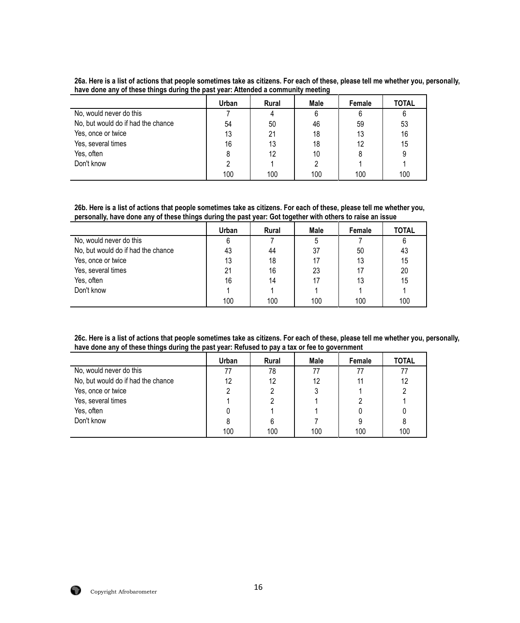|  |  |                                                                                  | 26a. Here is a list of actions that people sometimes take as citizens. For each of these, please tell me whether you, personally, |  |
|--|--|----------------------------------------------------------------------------------|-----------------------------------------------------------------------------------------------------------------------------------|--|
|  |  | have done any of these things during the past year: Attended a community meeting |                                                                                                                                   |  |

|                                    | Urban | <b>Rural</b> | Male | Female | <b>TOTAL</b> |
|------------------------------------|-------|--------------|------|--------|--------------|
| No, would never do this            |       |              | 6    | 6      | 6            |
| No, but would do if had the chance | 54    | 50           | 46   | 59     | 53           |
| Yes, once or twice                 | 13    | 21           | 18   | 13     | 16           |
| Yes, several times                 | 16    | 13           | 18   | 12     | 15           |
| Yes, often                         |       | 12           | 10   |        | 9            |
| Don't know                         |       |              |      |        |              |
|                                    | 100   | 100          | 100  | 100    | 100          |

**26b. Here is a list of actions that people sometimes take as citizens. For each of these, please tell me whether you, personally, have done any of these things during the past year: Got together with others to raise an issue**

|                                    | Urban | <b>Rural</b> | Male | Female | <b>TOTAL</b> |
|------------------------------------|-------|--------------|------|--------|--------------|
| No, would never do this            | 6     |              | 5    |        | 6            |
| No, but would do if had the chance | 43    | 44           | 37   | 50     | 43           |
| Yes, once or twice                 | 13    | 18           |      | 13     | 15           |
| Yes, several times                 | 21    | 16           | 23   |        | 20           |
| Yes, often                         | 16    | 14           | 17   | 13     | 15           |
| Don't know                         |       |              |      |        |              |
|                                    | 100   | 100          | 100  | 100    | 100          |

**26c. Here is a list of actions that people sometimes take as citizens. For each of these, please tell me whether you, personally, have done any of these things during the past year: Refused to pay a tax or fee to government**

|                                    | Urban | Rural | Male | Female | <b>TOTAL</b> |
|------------------------------------|-------|-------|------|--------|--------------|
| No, would never do this            | 77    | 78    | 77   |        | 77           |
| No, but would do if had the chance | 12    | 12    | 12   |        | 12           |
| Yes, once or twice                 |       | 2     |      |        |              |
| Yes, several times                 |       |       |      |        |              |
| Yes, often                         |       |       |      |        |              |
| Don't know                         |       | 6     |      |        |              |
|                                    | 100   | 100   | 100  | 100    | 100          |

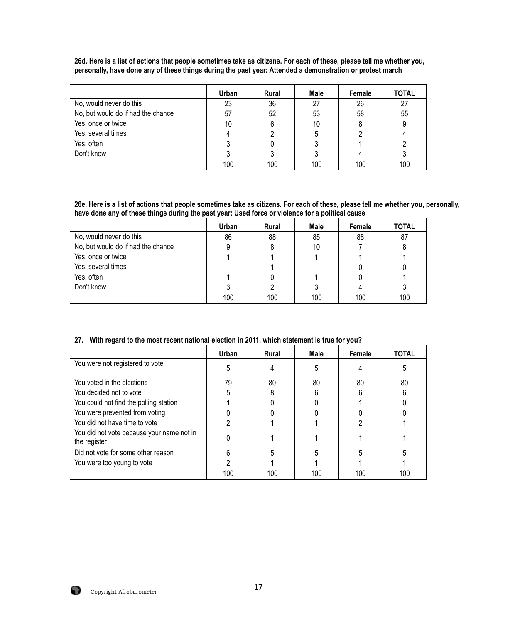**26d. Here is a list of actions that people sometimes take as citizens. For each of these, please tell me whether you, personally, have done any of these things during the past year: Attended a demonstration or protest march**

|                                    | Urban | <b>Rural</b> | Male | Female | <b>TOTAL</b> |
|------------------------------------|-------|--------------|------|--------|--------------|
| No, would never do this            | 23    | 36           | 27   | 26     | 27           |
| No, but would do if had the chance | 57    | 52           | 53   | 58     | 55           |
| Yes, once or twice                 | 10    | 6            | 10   |        |              |
| Yes, several times                 |       |              | 5    |        |              |
| Yes, often                         |       |              |      |        |              |
| Don't know                         |       |              |      |        |              |
|                                    | 100   | 100          | 100  | 100    | 100          |

**26e. Here is a list of actions that people sometimes take as citizens. For each of these, please tell me whether you, personally, have done any of these things during the past year: Used force or violence for a political cause**

|                                    | Urban | Rural | Male | Female | <b>TOTAL</b> |
|------------------------------------|-------|-------|------|--------|--------------|
| No, would never do this            | 86    | 88    | 85   | 88     | 87           |
| No, but would do if had the chance |       | 8     | 10   |        |              |
| Yes, once or twice                 |       |       |      |        |              |
| Yes, several times                 |       |       |      |        |              |
| Yes, often                         |       |       |      |        |              |
| Don't know                         |       | 2     |      |        |              |
|                                    | 100   | 100   | 100  | 100    | 100          |

# **27. With regard to the most recent national election in 2011, which statement is true for you?**

|                                                           | Urban | <b>Rural</b> | Male | Female | TOTAL |
|-----------------------------------------------------------|-------|--------------|------|--------|-------|
| You were not registered to vote                           |       |              |      |        |       |
| You voted in the elections                                | 79    | 80           | 80   | 80     | 80    |
| You decided not to vote                                   |       |              |      |        |       |
| You could not find the polling station                    |       |              |      |        |       |
| You were prevented from voting                            |       |              |      |        |       |
| You did not have time to vote                             |       |              |      |        |       |
| You did not vote because your name not in<br>the register |       |              |      |        |       |
| Did not vote for some other reason                        | հ     |              |      |        |       |
| You were too young to vote                                |       |              |      |        |       |
|                                                           | 100   | 100          | 100  | 100    | 100   |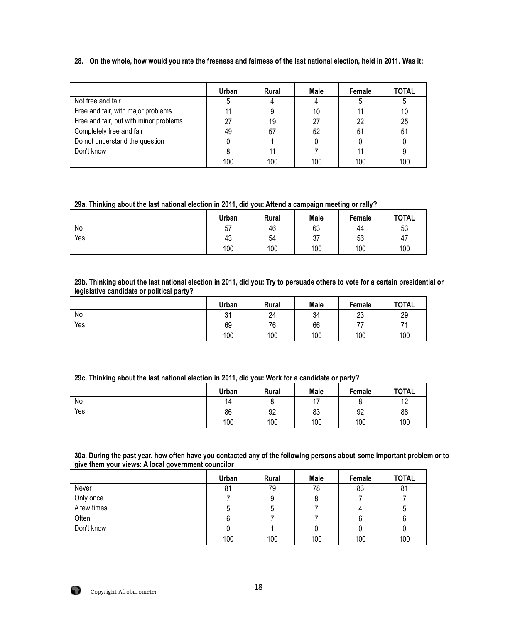**28. On the whole, how would you rate the freeness and fairness of the last national election, held in 2011***.* **Was it:** 

|                                        | Urban | Rural | Male | Female | <b>TOTAL</b> |
|----------------------------------------|-------|-------|------|--------|--------------|
| Not free and fair                      |       |       |      |        |              |
| Free and fair, with major problems     |       |       | 10   |        | 10           |
| Free and fair, but with minor problems | 27    | 19    | 27   | 22     | 25           |
| Completely free and fair               | 49    | 57    | 52   | 51     | 51           |
| Do not understand the question         |       |       |      |        |              |
| Don't know                             |       | 11    |      |        |              |
|                                        | 100   | 100   | 100  | 100    | 100          |

#### **29a. Thinking about the last national election in 2011, did you: Attend a campaign meeting or rally?**

|     | Urban | Rural | <b>Male</b> | Female | <b>TOTAL</b> |
|-----|-------|-------|-------------|--------|--------------|
| No  | 57    | 46    | 63          | 44     | 53           |
| Yes | 43    | 54    | 37          | 56     | 47           |
|     | 100   | 100   | 100         | 100    | 100          |

#### **29b. Thinking about the last national election in 2011, did you: Try to persuade others to vote for a certain presidential or legislative candidate or political party?**

|     | <b>Urban</b> | Rural | Male | Female         | <b>TOTAL</b> |
|-----|--------------|-------|------|----------------|--------------|
| No  | 21<br>ا ب    | 24    | 34   | 23             | 29           |
| Yes | 69           | 76    | 66   | $\overline{ }$ | 74           |
|     | 100          | 100   | 100  | 100            | 100          |

| 29c. Thinking about the last national election in 2011, did you: Work for a candidate or party? |  |  |
|-------------------------------------------------------------------------------------------------|--|--|
|-------------------------------------------------------------------------------------------------|--|--|

|     | Urban | Rural | Male                     | Female | <b>TOTAL</b> |
|-----|-------|-------|--------------------------|--------|--------------|
| No  | 14    | ັ     | $\overline{\phantom{a}}$ | ⌒      | 10<br>14     |
| Yes | 86    | 92    | 83                       | 92     | 88           |
|     | 100   | 100   | 100                      | 100    | 100          |

**30a. During the past year, how often have you contacted any of the following persons about some important problem or to give them your views: A local government councilor**

|             | Urban | Rural | Male | Female | <b>TOTAL</b> |
|-------------|-------|-------|------|--------|--------------|
| Never       | 81    | 79    | 78   | 83     | 81           |
| Only once   |       | 9     |      |        |              |
| A few times | ხ     | ხ     |      | 4      | 5            |
| Often       | 6     |       |      |        | 6            |
| Don't know  |       |       |      |        |              |
|             | 100   | 100   | 100  | 100    | 100          |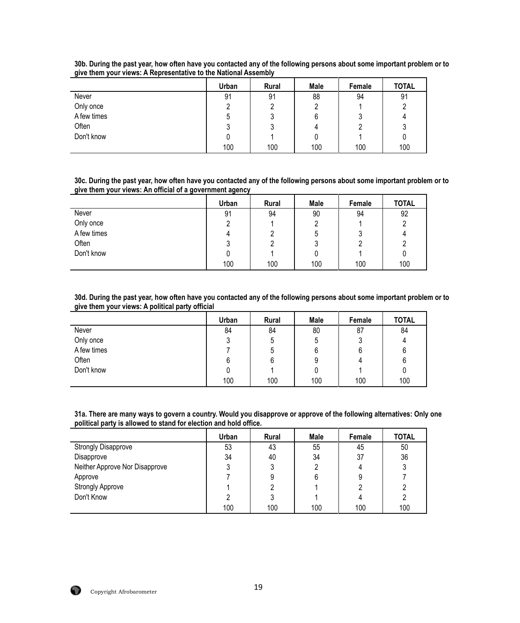|             | Urban | <b>Rural</b> | Male | Female | <b>TOTAL</b> |
|-------------|-------|--------------|------|--------|--------------|
| Never       | 91    | 91           | 88   | 94     | 91           |
| Only once   |       |              | 2    |        |              |
| A few times | 5     |              | 6    | ບ      | 4            |
| Often       | υ     | J            | 4    |        | υ            |
| Don't know  |       |              | 0    |        |              |
|             | 100   | 100          | 100  | 100    | 100          |

**30b. During the past year, how often have you contacted any of the following persons about some important problem or to give them your views: A Representative to the National Assembly**

**30c. During the past year, how often have you contacted any of the following persons about some important problem or to give them your views: An official of a government agency**

|             | Urban | <b>Rural</b> | Male | Female | <b>TOTAL</b> |
|-------------|-------|--------------|------|--------|--------------|
| Never       | 91    | 94           | 90   | 94     | 92           |
| Only once   |       |              | ŋ    |        |              |
| A few times |       |              | ხ    |        |              |
| Often       |       | L            | ر،   |        |              |
| Don't know  |       |              |      |        | 0            |
|             | 100   | 100          | 100  | 100    | 100          |

**30d. During the past year, how often have you contacted any of the following persons about some important problem or to give them your views: A political party official**

|             | Urban | Rural | Male | Female | <b>TOTAL</b> |
|-------------|-------|-------|------|--------|--------------|
| Never       | 84    | 84    | 80   | 87     | 84           |
| Only once   | J     | 5     | ხ    |        | 4            |
| A few times |       | 5     | 6    |        | 6            |
| Often       | 6     | 6     | 9    | Δ      | 6            |
| Don't know  |       |       | 0    |        |              |
|             | 100   | 100   | 100  | 100    | 100          |

**31a. There are many ways to govern a country. Would you disapprove or approve of the following alternatives: Only one political party is allowed to stand for election and hold office.**

|                                | Urban | Rural | Male | Female | <b>TOTAL</b> |
|--------------------------------|-------|-------|------|--------|--------------|
| <b>Strongly Disapprove</b>     | 53    | 43    | 55   | 45     | 50           |
| Disapprove                     | 34    | 40    | 34   | 37     | 36           |
| Neither Approve Nor Disapprove |       | 3     |      |        |              |
| Approve                        |       | 9     | 6    |        |              |
| <b>Strongly Approve</b>        |       |       |      | ∩      |              |
| Don't Know                     |       | 3     |      |        |              |
|                                | 100   | 100   | 100  | 100    | 100          |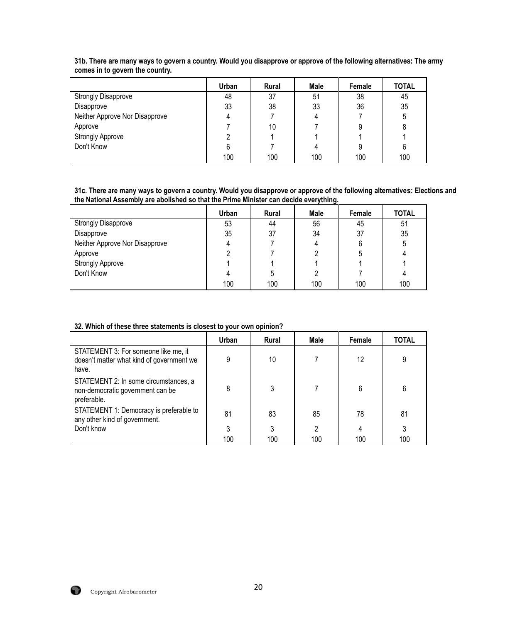|                                | Urban | Rural | Male | Female | <b>TOTAL</b> |
|--------------------------------|-------|-------|------|--------|--------------|
| <b>Strongly Disapprove</b>     | 48    | 37    | 51   | 38     | 45           |
| Disapprove                     | 33    | 38    | 33   | 36     | 35           |
| Neither Approve Nor Disapprove |       |       |      |        | 5            |
| Approve                        |       | 10    |      | 9      | 8            |
| <b>Strongly Approve</b>        |       |       |      |        |              |
| Don't Know                     |       |       |      | 9      | 6            |
|                                | 100   | 100   | 100  | 100    | 100          |

**31b. There are many ways to govern a country. Would you disapprove or approve of the following alternatives: The army comes in to govern the country.**

**31c. There are many ways to govern a country. Would you disapprove or approve of the following alternatives: Elections and the National Assembly are abolished so that the Prime Minister can decide everything.**

|                                | Urban | <b>Rural</b> | Male | Female | <b>TOTAL</b> |
|--------------------------------|-------|--------------|------|--------|--------------|
| <b>Strongly Disapprove</b>     | 53    | 44           | 56   | 45     | 51           |
| Disapprove                     | 35    | 37           | 34   | 37     | 35           |
| Neither Approve Nor Disapprove |       |              |      | 6      | 5            |
| Approve                        | ∩     |              |      | 5      |              |
| <b>Strongly Approve</b>        |       |              |      |        |              |
| Don't Know                     |       | ა            |      |        |              |
|                                | 100   | 100          | 100  | 100    | 100          |

## **32. Which of these three statements is closest to your own opinion?**

|                                                                                            | Urban | <b>Rural</b> | Male | Female | TOTAL |
|--------------------------------------------------------------------------------------------|-------|--------------|------|--------|-------|
| STATEMENT 3: For someone like me, it<br>doesn't matter what kind of government we<br>have. | 9     | 10           |      | 12     | 9     |
| STATEMENT 2: In some circumstances, a<br>non-democratic government can be<br>preferable.   | 8     | 3            |      | 6      | 6     |
| STATEMENT 1: Democracy is preferable to<br>any other kind of government.                   | 81    | 83           | 85   | 78     | 81    |
| Don't know                                                                                 | 3     | 3            | 2    | 4      | 3     |
|                                                                                            | 100   | 100          | 100  | 100    | 100   |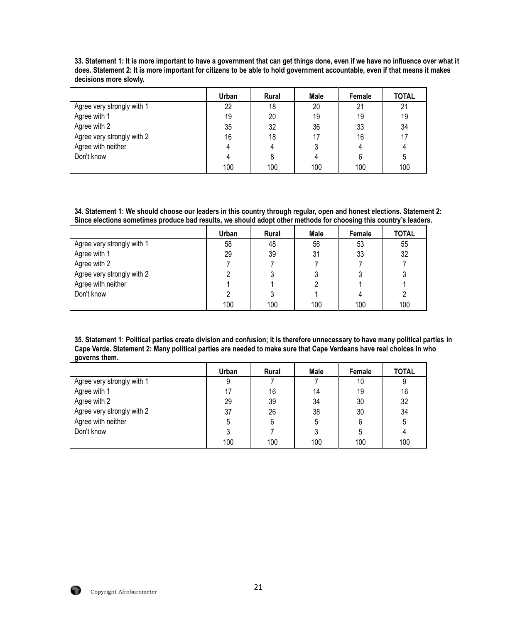|                            | Urban | <b>Rural</b> | Male | Female | <b>TOTAL</b> |
|----------------------------|-------|--------------|------|--------|--------------|
| Agree very strongly with 1 | 22    | 18           | 20   | 21     | 21           |
| Agree with 1               | 19    | 20           | 19   | 19     | 19           |
| Agree with 2               | 35    | 32           | 36   | 33     | 34           |
| Agree very strongly with 2 | 16    | 18           | 17   | 16     | 17           |
| Agree with neither         |       |              |      |        |              |
| Don't know                 |       | 8            |      | 6      | 5            |
|                            | 100   | 100          | 100  | 100    | 100          |

**33. Statement 1: It is more important to have a government that can get things done, even if we have no influence over what it does. Statement 2: It is more important for citizens to be able to hold government accountable, even if that means it makes decisions more slowly.**

**34. Statement 1: We should choose our leaders in this country through regular, open and honest elections. Statement 2: Since elections sometimes produce bad results, we should adopt other methods for choosing this country's leaders.**

|                            | Urban | <b>Rural</b> | <b>Male</b> | Female | <b>TOTAL</b> |
|----------------------------|-------|--------------|-------------|--------|--------------|
| Agree very strongly with 1 | 58    | 48           | 56          | 53     | 55           |
| Agree with 1               | 29    | 39           | 31          | 33     | 32           |
| Agree with 2               |       |              |             |        |              |
| Agree very strongly with 2 |       |              |             |        |              |
| Agree with neither         |       |              |             |        |              |
| Don't know                 |       |              |             |        |              |
|                            | 100   | 100          | 100         | 100    | 100          |

**35. Statement 1: Political parties create division and confusion; it is therefore unnecessary to have many political parties in Cape Verde. Statement 2: Many political parties are needed to make sure that Cape Verdeans have real choices in who governs them.**

|                            | Urban | <b>Rural</b> | Male | Female | <b>TOTAL</b> |
|----------------------------|-------|--------------|------|--------|--------------|
| Agree very strongly with 1 | 9     |              |      | 10     | 9            |
| Agree with 1               | 17    | 16           | 14   | 19     | 16           |
| Agree with 2               | 29    | 39           | 34   | 30     | 32           |
| Agree very strongly with 2 | 37    | 26           | 38   | 30     | 34           |
| Agree with neither         |       | 6            | 5    | 6      | 5            |
| Don't know                 |       |              |      | 5      |              |
|                            | 100   | 100          | 100  | 100    | 100          |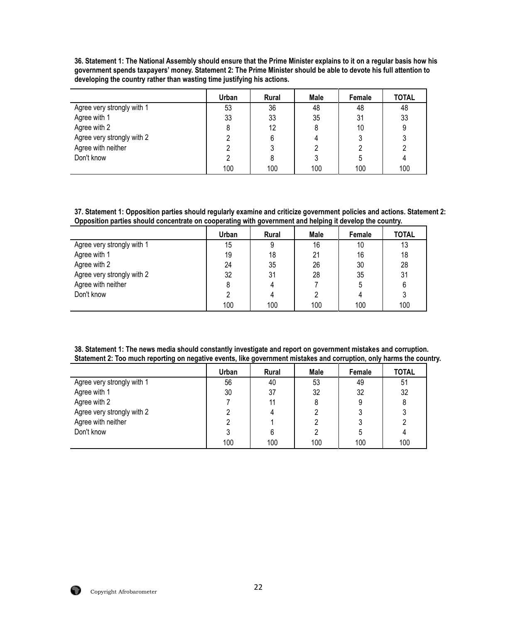**36. Statement 1: The National Assembly should ensure that the Prime Minister explains to it on a regular basis how his government spends taxpayers' money. Statement 2: The Prime Minister should be able to devote his full attention to developing the country rather than wasting time justifying his actions.**

|                            | Urban | <b>Rural</b> | Male | Female | <b>TOTAL</b> |
|----------------------------|-------|--------------|------|--------|--------------|
| Agree very strongly with 1 | 53    | 36           | 48   | 48     | 48           |
| Agree with 1               | 33    | 33           | 35   | 31     | 33           |
| Agree with 2               |       | 12           |      | 10     | 9            |
| Agree very strongly with 2 |       | 6            |      |        |              |
| Agree with neither         |       |              |      |        |              |
| Don't know                 |       | 8            |      |        |              |
|                            | 100   | 100          | 100  | 100    | 100          |

**37. Statement 1: Opposition parties should regularly examine and criticize government policies and actions. Statement 2: Opposition parties should concentrate on cooperating with government and helping it develop the country.**

|                            | Urban | <b>Rural</b> | <b>Male</b> | Female | <b>TOTAL</b> |
|----------------------------|-------|--------------|-------------|--------|--------------|
| Agree very strongly with 1 | 15    | 9            | 16          | 10     | 13           |
| Agree with 1               | 19    | 18           | 21          | 16     | 18           |
| Agree with 2               | 24    | 35           | 26          | 30     | 28           |
| Agree very strongly with 2 | 32    | 31           | 28          | 35     | 31           |
| Agree with neither         |       |              |             | 5      | 6            |
| Don't know                 |       |              |             |        | 3            |
|                            | 100   | 100          | 100         | 100    | 100          |

**38. Statement 1: The news media should constantly investigate and report on government mistakes and corruption. Statement 2: Too much reporting on negative events, like government mistakes and corruption, only harms the country.**

|                            | Urban | <b>Rural</b> | Male | Female | <b>TOTAL</b> |
|----------------------------|-------|--------------|------|--------|--------------|
| Agree very strongly with 1 | 56    | 40           | 53   | 49     | 51           |
| Agree with 1               | 30    | 37           | 32   | 32     | 32           |
| Agree with 2               |       | 11           |      | 9      |              |
| Agree very strongly with 2 |       |              |      |        |              |
| Agree with neither         |       |              |      |        |              |
| Don't know                 |       |              |      |        |              |
|                            | 100   | 100          | 100  | 100    | 100          |

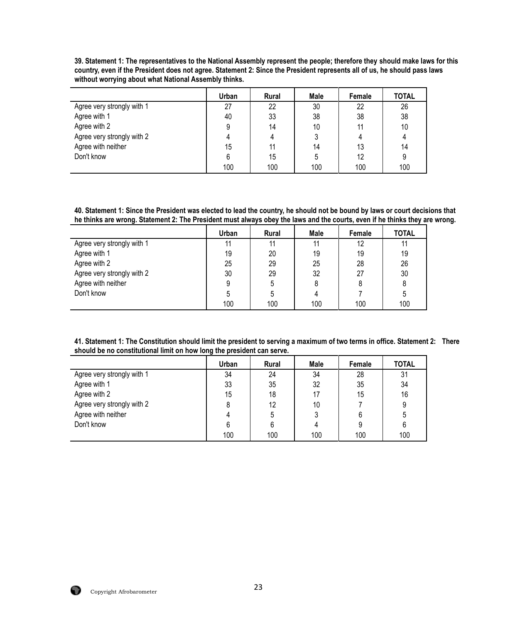**39. Statement 1: The representatives to the National Assembly represent the people; therefore they should make laws for this country, even if the President does not agree. Statement 2: Since the President represents all of us, he should pass laws without worrying about what National Assembly thinks.**

|                            | Urban | <b>Rural</b> | Male | Female | <b>TOTAL</b> |
|----------------------------|-------|--------------|------|--------|--------------|
| Agree very strongly with 1 | 27    | 22           | 30   | 22     | 26           |
| Agree with 1               | 40    | 33           | 38   | 38     | 38           |
| Agree with 2               | 9     | 14           | 10   |        | 10           |
| Agree very strongly with 2 |       | 4            |      |        |              |
| Agree with neither         | 15    | 11           | 14   | 13     | 14           |
| Don't know                 | 6     | 15           | 5    | 12     | 9            |
|                            | 100   | 100          | 100  | 100    | 100          |

**40. Statement 1: Since the President was elected to lead the country, he should not be bound by laws or court decisions that he thinks are wrong. Statement 2: The President must always obey the laws and the courts, even if he thinks they are wrong.** 

|                            | Urban | <b>Rural</b> | Male | Female | <b>TOTAL</b> |
|----------------------------|-------|--------------|------|--------|--------------|
| Agree very strongly with 1 | 11    | 11           | 11   | 12     | 11           |
| Agree with 1               | 19    | 20           | 19   | 19     | 19           |
| Agree with 2               | 25    | 29           | 25   | 28     | 26           |
| Agree very strongly with 2 | 30    | 29           | 32   | 27     | 30           |
| Agree with neither         | 9     | 5            |      |        | 8            |
| Don't know                 | 5     | 5            |      |        | 5            |
|                            | 100   | 100          | 100  | 100    | 100          |

**41. Statement 1: The Constitution should limit the president to serving a maximum of two terms in office. Statement 2: There should be no constitutional limit on how long the president can serve.** 

|                            | Urban | Rural | Male | Female | <b>TOTAL</b> |
|----------------------------|-------|-------|------|--------|--------------|
| Agree very strongly with 1 | 34    | 24    | 34   | 28     | 31           |
| Agree with 1               | 33    | 35    | 32   | 35     | 34           |
| Agree with 2               | 15    | 18    | 17   | 15     | 16           |
| Agree very strongly with 2 |       | 12    | 10   |        | 9            |
| Agree with neither         |       | 5     |      |        | 5            |
| Don't know                 |       | 6     |      |        | 6            |
|                            | 100   | 100   | 100  | 100    | 100          |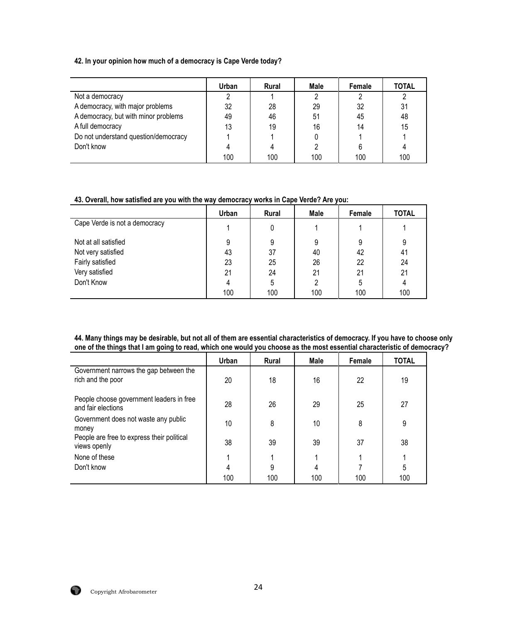# **42. In your opinion how much of a democracy is Cape Verde today?**

|                                      | Urban | Rural | Male | Female | <b>TOTAL</b> |
|--------------------------------------|-------|-------|------|--------|--------------|
| Not a democracy                      |       |       |      |        |              |
| A democracy, with major problems     | 32    | 28    | 29   | 32     | 31           |
| A democracy, but with minor problems | 49    | 46    | 51   | 45     | 48           |
| A full democracy                     | 13    | 19    | 16   | 14     | 15           |
| Do not understand question/democracy |       |       |      |        |              |
| Don't know                           |       |       |      |        |              |
|                                      | 100   | 100   | 100  | 100    | 100          |

## **43. Overall, how satisfied are you with the way democracy works in Cape Verde? Are you:**

|                               | Urban | <b>Rural</b> | Male | Female | <b>TOTAL</b> |
|-------------------------------|-------|--------------|------|--------|--------------|
| Cape Verde is not a democracy |       | 0            |      |        |              |
| Not at all satisfied          | 9     | 9            | 9    | 9      | 9            |
| Not very satisfied            | 43    | 37           | 40   | 42     | 41           |
| Fairly satisfied              | 23    | 25           | 26   | 22     | 24           |
| Very satisfied                | 21    | 24           | 21   | 21     | 21           |
| Don't Know                    |       | 5            | 2    | 5      | 4            |
|                               | 100   | 100          | 100  | 100    | 100          |

**44. Many things may be desirable, but not all of them are essential characteristics of democracy. If you have to choose only one of the things that I am going to read, which one would you choose as the most essential characteristic of democracy?**

|                                                                | Urban | Rural | Male | Female | <b>TOTAL</b> |
|----------------------------------------------------------------|-------|-------|------|--------|--------------|
| Government narrows the gap between the<br>rich and the poor    | 20    | 18    | 16   | 22     | 19           |
| People choose government leaders in free<br>and fair elections | 28    | 26    | 29   | 25     | 27           |
| Government does not waste any public<br>money                  | 10    | 8     | 10   | 8      | 9            |
| People are free to express their political<br>views openly     | 38    | 39    | 39   | 37     | 38           |
| None of these                                                  |       |       |      |        |              |
| Don't know                                                     | 4     | 9     | 4    |        | 5            |
|                                                                | 100   | 100   | 100  | 100    | 100          |

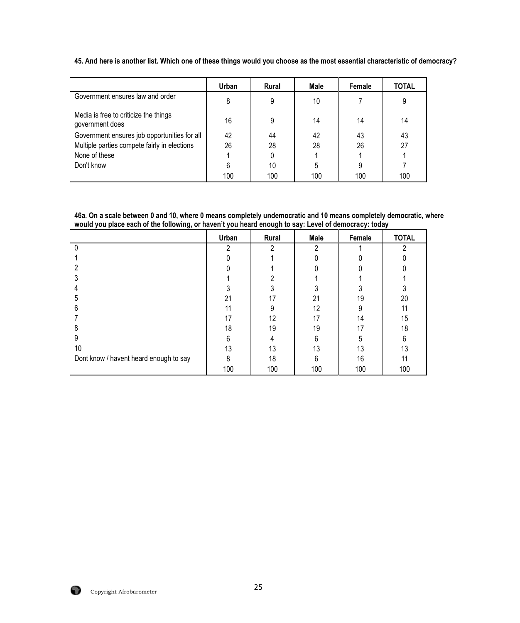|                                                          | Urban | <b>Rural</b> | Male | Female | <b>TOTAL</b> |
|----------------------------------------------------------|-------|--------------|------|--------|--------------|
| Government ensures law and order                         | 8     | 9            | 10   |        | 9            |
| Media is free to criticize the things<br>government does | 16    | 9            | 14   | 14     | 14           |
| Government ensures job opportunities for all             | 42    | 44           | 42   | 43     | 43           |
| Multiple parties compete fairly in elections             | 26    | 28           | 28   | 26     | 27           |
| None of these                                            |       |              |      |        |              |
| Don't know                                               | 6     | 10           |      | 9      |              |
|                                                          | 100   | 100          | 100  | 100    | 100          |

**45. And here is another list. Which one of these things would you choose as the most essential characteristic of democracy?**

**46a. On a scale between 0 and 10, where 0 means completely undemocratic and 10 means completely democratic, where would you place each of the following, or haven't you heard enough to say: Level of democracy: today**

|                                        | Urban | Rural | Male | Female | <b>TOTAL</b> |
|----------------------------------------|-------|-------|------|--------|--------------|
| 0                                      | 2     | 2     | 2    |        | 2            |
|                                        |       |       |      |        |              |
|                                        |       |       |      |        |              |
|                                        |       |       |      |        |              |
|                                        |       |       |      |        |              |
| 5                                      | 21    | 17    | 21   | 19     | 20           |
| h                                      |       | 9     | 12   |        | 11           |
|                                        | 17    | 12    | 17   | 14     | 15           |
| 8                                      | 18    | 19    | 19   | 17     | 18           |
| 9                                      | 6     |       | 6    | 5      | 6            |
| 10                                     | 13    | 13    | 13   | 13     | 13           |
| Dont know / havent heard enough to say | 8     | 18    | 6    | 16     | 11           |
|                                        | 100   | 100   | 100  | 100    | 100          |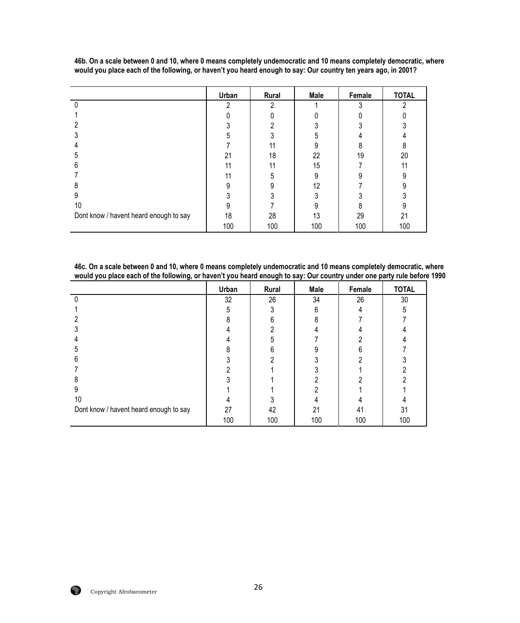|                                        | Urban | Rural | Male | Female | <b>TOTAL</b> |
|----------------------------------------|-------|-------|------|--------|--------------|
|                                        | റ     | ŋ     |      |        |              |
|                                        |       |       |      |        |              |
|                                        |       |       |      |        |              |
|                                        |       |       |      |        |              |
|                                        |       | 11    | 9    |        |              |
| 5                                      | 21    | 18    | 22   | 19     | 20           |
| h                                      | 11    | 11    | 15   |        | 11           |
|                                        | 11    | 5     | 9    |        |              |
| 8                                      |       |       | 12   |        |              |
| 9                                      |       |       |      |        |              |
| 10                                     |       |       |      |        |              |
| Dont know / havent heard enough to say | 18    | 28    | 13   | 29     | 21           |
|                                        | 100   | 100   | 100  | 100    | 100          |

**46b. On a scale between 0 and 10, where 0 means completely undemocratic and 10 means completely democratic, where would you place each of the following, or haven't you heard enough to say: Our country ten years ago, in 2001?**

**46c. On a scale between 0 and 10, where 0 means completely undemocratic and 10 means completely democratic, where would you place each of the following, or haven't you heard enough to say: Our country under one party rule before 1990** 

|                                        | Urban | Rural | Male | Female | <b>TOTAL</b> |
|----------------------------------------|-------|-------|------|--------|--------------|
|                                        | 32    | 26    | 34   | 26     | 30           |
|                                        | 5     |       | 6    |        | 5            |
|                                        |       |       |      |        |              |
|                                        |       |       |      |        |              |
|                                        |       |       |      |        |              |
|                                        |       |       |      |        |              |
| n                                      |       |       |      |        |              |
|                                        |       |       |      |        |              |
|                                        |       |       |      |        |              |
|                                        |       |       |      |        |              |
| 10                                     |       |       |      |        |              |
| Dont know / havent heard enough to say | 27    | 42    | 21   | 41     | 31           |
|                                        | 100   | 100   | 100  | 100    | 100          |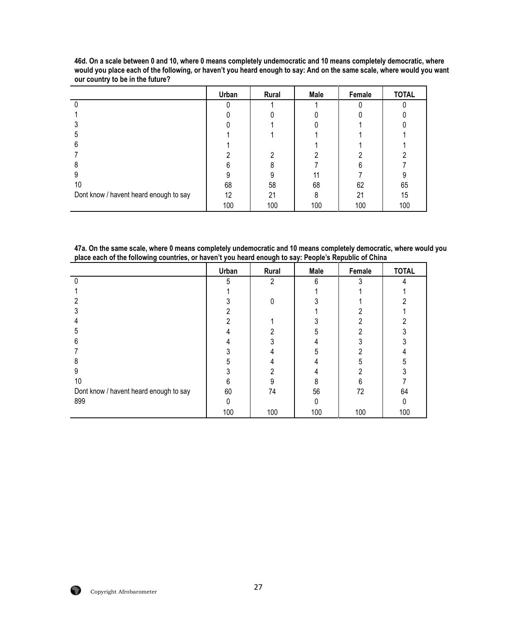|                                        | Urban | Rural | Male | Female | <b>TOTAL</b> |
|----------------------------------------|-------|-------|------|--------|--------------|
|                                        |       |       |      |        |              |
|                                        |       |       |      |        |              |
|                                        |       |       |      |        |              |
|                                        |       |       |      |        |              |
|                                        |       |       |      |        |              |
|                                        |       |       |      |        |              |
|                                        |       |       |      |        |              |
|                                        |       |       |      |        |              |
| 10                                     | 68    | 58    | 68   | 62     | 65           |
| Dont know / havent heard enough to say | 12    | 21    | ጸ    | 21     | 15           |
|                                        | 100   | 100   | 100  | 100    | 100          |

**46d. On a scale between 0 and 10, where 0 means completely undemocratic and 10 means completely democratic, where would you place each of the following, or haven't you heard enough to say: And on the same scale, where would you want our country to be in the future?**

| 47a. On the same scale, where 0 means completely undemocratic and 10 means completely democratic, where would you |  |
|-------------------------------------------------------------------------------------------------------------------|--|
| place each of the following countries, or haven't you heard enough to say: People's Republic of China             |  |

|                                        | Urban | Rural | Male     | Female | <b>TOTAL</b> |
|----------------------------------------|-------|-------|----------|--------|--------------|
|                                        | 5     | 2     | 6        | 3      |              |
|                                        |       |       |          |        |              |
| າ                                      |       | 0     |          |        |              |
|                                        |       |       |          |        |              |
|                                        |       |       |          |        |              |
|                                        |       |       |          |        |              |
| 6                                      |       |       |          |        |              |
|                                        |       |       |          |        |              |
| 8                                      |       |       |          |        |              |
| 9                                      |       | ŋ     |          |        |              |
| 10                                     |       | 9     |          | հ      |              |
| Dont know / havent heard enough to say | 60    | 74    | 56       | 72     | 64           |
| 899                                    |       |       | $\Omega$ |        |              |
|                                        | 100   | 100   | 100      | 100    | 100          |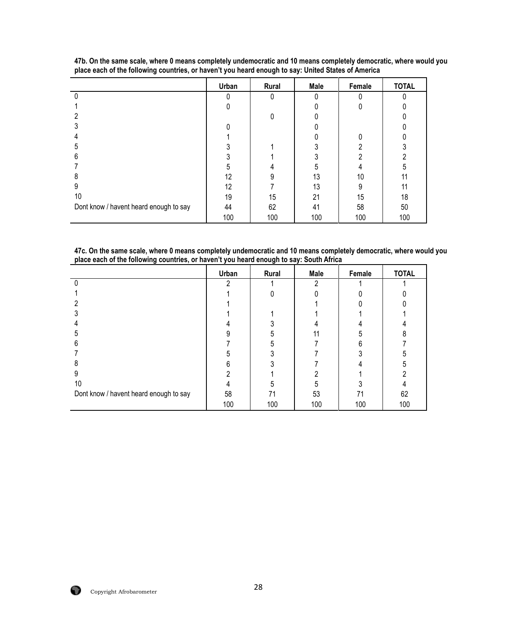|                                        | Urban | Rural | Male | Female | <b>TOTAL</b> |
|----------------------------------------|-------|-------|------|--------|--------------|
|                                        |       | 0     |      |        |              |
|                                        |       |       |      |        |              |
| 2                                      |       | 0     |      |        |              |
|                                        |       |       |      |        |              |
|                                        |       |       |      |        |              |
| 5                                      |       |       |      | ŋ      |              |
| 6                                      |       |       |      |        |              |
|                                        |       |       | 5    |        |              |
| 8                                      | 12    | 9     | 13   | 10     | 11           |
| 9                                      | 12    |       | 13   | 9      | 11           |
| 10                                     | 19    | 15    | 21   | 15     | 18           |
| Dont know / havent heard enough to say | 44    | 62    | 41   | 58     | 50           |
|                                        | 100   | 100   | 100  | 100    | 100          |

**47b. On the same scale, where 0 means completely undemocratic and 10 means completely democratic, where would you place each of the following countries, or haven't you heard enough to say: United States of America**

**47c. On the same scale, where 0 means completely undemocratic and 10 means completely democratic, where would you place each of the following countries, or haven't you heard enough to say: South Africa**

|                                        | Urban | Rural | Male | Female | <b>TOTAL</b> |
|----------------------------------------|-------|-------|------|--------|--------------|
|                                        | ი     |       | າ    |        |              |
|                                        |       |       |      |        |              |
|                                        |       |       |      |        |              |
|                                        |       |       |      |        |              |
|                                        |       |       |      |        |              |
|                                        |       |       |      |        |              |
| h                                      |       |       |      |        |              |
|                                        |       |       |      |        |              |
|                                        |       |       |      |        |              |
| 9                                      |       |       |      |        |              |
| 10                                     |       |       |      |        |              |
| Dont know / havent heard enough to say | 58    | 71    | 53   | 71     | 62           |
|                                        | 100   | 100   | 100  | 100    | 100          |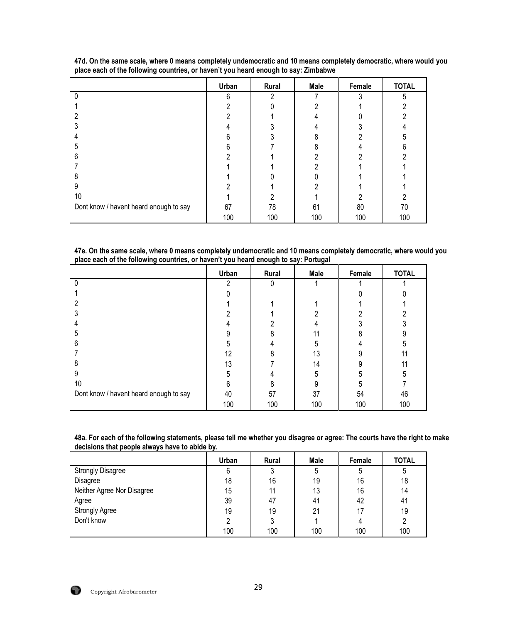|                                        | Urban | Rural | Male | Female | <b>TOTAL</b> |
|----------------------------------------|-------|-------|------|--------|--------------|
|                                        | 6     | າ     |      |        | 5            |
|                                        |       |       |      |        |              |
|                                        |       |       |      |        |              |
|                                        |       |       |      |        |              |
|                                        |       |       |      |        |              |
|                                        |       |       |      |        |              |
| n                                      |       |       |      |        |              |
|                                        |       |       |      |        |              |
| 8                                      |       |       |      |        |              |
| 9                                      |       |       |      |        |              |
| 10                                     |       |       |      |        |              |
| Dont know / havent heard enough to say | 67    | 78    | 61   | 80     | 70           |
|                                        | 100   | 100   | 100  | 100    | 100          |

**47d. On the same scale, where 0 means completely undemocratic and 10 means completely democratic, where would you place each of the following countries, or haven't you heard enough to say: Zimbabwe**

**47e. On the same scale, where 0 means completely undemocratic and 10 means completely democratic, where would you place each of the following countries, or haven't you heard enough to say: Portugal**

|                                        | Urban | Rural | Male | Female | <b>TOTAL</b> |
|----------------------------------------|-------|-------|------|--------|--------------|
|                                        | ი     | 0     |      |        |              |
|                                        |       |       |      |        |              |
|                                        |       |       |      |        |              |
|                                        |       |       |      |        |              |
|                                        |       |       |      |        |              |
|                                        |       |       |      |        |              |
| 6                                      |       |       |      |        |              |
|                                        | 12    |       | 13   |        |              |
|                                        | 13    |       | 14   |        | 11           |
|                                        |       |       |      |        |              |
| 10                                     |       |       |      |        |              |
| Dont know / havent heard enough to say | 40    | 57    | 37   | 54     | 46           |
|                                        | 100   | 100   | 100  | 100    | 100          |

| 48a. For each of the following statements, please tell me whether you disagree or agree: The courts have the right to make |
|----------------------------------------------------------------------------------------------------------------------------|
| decisions that people always have to abide by.                                                                             |

|                            | Urban | Rural | Male | Female | <b>TOTAL</b> |
|----------------------------|-------|-------|------|--------|--------------|
| <b>Strongly Disagree</b>   |       | 3     | 5    | 5      |              |
| Disagree                   | 18    | 16    | 19   | 16     | 18           |
| Neither Agree Nor Disagree | 15    | 11    | 13   | 16     | 14           |
| Agree                      | 39    | 47    | 41   | 42     | 41           |
| <b>Strongly Agree</b>      | 19    | 19    | 21   | 17     | 19           |
| Don't know                 |       |       |      | 4      | 2            |
|                            | 100   | 100   | 100  | 100    | 100          |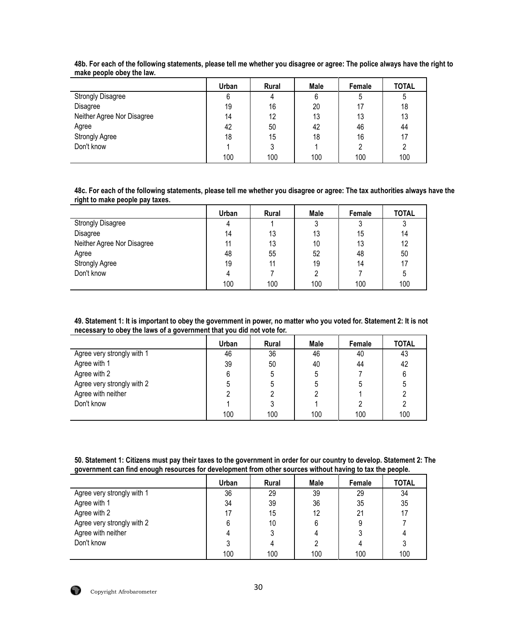|                            | Urban | Rural | Male | Female | <b>TOTAL</b> |
|----------------------------|-------|-------|------|--------|--------------|
| <b>Strongly Disagree</b>   | 6     | 4     | 6    | C      | ა            |
| Disagree                   | 19    | 16    | 20   |        | 18           |
| Neither Agree Nor Disagree | 14    | 12    | 13   | 13     | 13           |
| Agree                      | 42    | 50    | 42   | 46     | 44           |
| <b>Strongly Agree</b>      | 18    | 15    | 18   | 16     | 17           |
| Don't know                 |       | 3     |      | ∩      |              |
|                            | 100   | 100   | 100  | 100    | 100          |

**48b. For each of the following statements, please tell me whether you disagree or agree: The police always have the right to make people obey the law.**

**48c. For each of the following statements, please tell me whether you disagree or agree: The tax authorities always have the right to make people pay taxes.**

|                            | Urban | Rural | Male | Female | <b>TOTAL</b> |
|----------------------------|-------|-------|------|--------|--------------|
| <b>Strongly Disagree</b>   | 4     |       | J    |        |              |
| Disagree                   | 14    | 13    | 13   | 15     | 14           |
| Neither Agree Nor Disagree | 11    | 13    | 10   | 13     | 12           |
| Agree                      | 48    | 55    | 52   | 48     | 50           |
| Strongly Agree             | 19    | 11    | 19   | 14     | 17           |
| Don't know                 |       |       |      |        | 5            |
|                            | 100   | 100   | 100  | 100    | 100          |

| 49. Statement 1: It is important to obey the government in power, no matter who you voted for. Statement 2: It is not |
|-----------------------------------------------------------------------------------------------------------------------|
| necessary to obey the laws of a government that you did not vote for.                                                 |

|                            | Urban | <b>Rural</b> | Male | Female | <b>TOTAL</b> |
|----------------------------|-------|--------------|------|--------|--------------|
| Agree very strongly with 1 | 46    | 36           | 46   | 40     | 43           |
| Agree with 1               | 39    | 50           | 40   | 44     | 42           |
| Agree with 2               | 6     | 5            | 5    |        | 6            |
| Agree very strongly with 2 | 5     | 5            | b    | 5      |              |
| Agree with neither         |       |              |      |        |              |
| Don't know                 |       |              |      |        |              |
|                            | 100   | 100          | 100  | 100    | 100          |

**50. Statement 1: Citizens must pay their taxes to the government in order for our country to develop. Statement 2: The government can find enough resources for development from other sources without having to tax the people.** 

|                            | Urban | <b>Rural</b> | Male | Female | <b>TOTAL</b> |
|----------------------------|-------|--------------|------|--------|--------------|
| Agree very strongly with 1 | 36    | 29           | 39   | 29     | 34           |
| Agree with 1               | 34    | 39           | 36   | 35     | 35           |
| Agree with 2               | 17    | 15           | 12   | 21     | 17           |
| Agree very strongly with 2 | 6     | 10           |      | 9      |              |
| Agree with neither         |       |              |      |        |              |
| Don't know                 |       |              |      |        |              |
|                            | 100   | 100          | 100  | 100    | 100          |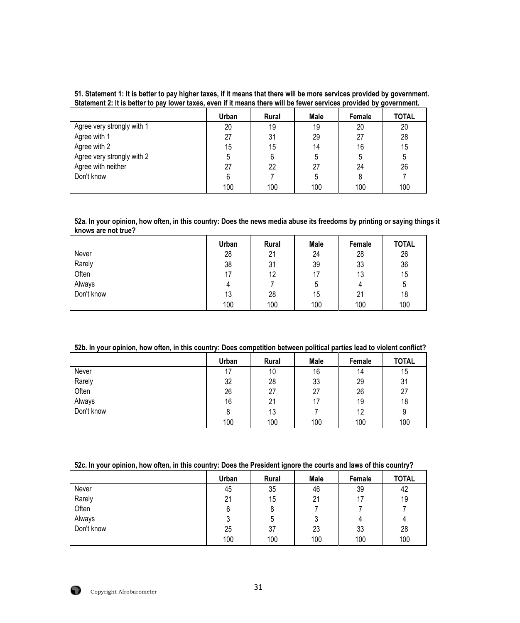#### **51. Statement 1: It is better to pay higher taxes, if it means that there will be more services provided by government. Statement 2: It is better to pay lower taxes, even if it means there will be fewer services provided by government.**

|                            | Urban | <b>Rural</b> | Male | Female | <b>TOTAL</b> |
|----------------------------|-------|--------------|------|--------|--------------|
| Agree very strongly with 1 | 20    | 19           | 19   | 20     | 20           |
| Agree with 1               | 27    | 31           | 29   | 27     | 28           |
| Agree with 2               | 15    | 15           | 14   | 16     | 15           |
| Agree very strongly with 2 | 5     | 6            | 5    | 5      | 5            |
| Agree with neither         | 27    | 22           | 27   | 24     | 26           |
| Don't know                 | 6     |              | 5    | 8      |              |
|                            | 100   | 100          | 100  | 100    | 100          |

**52a. In your opinion, how often, in this country: Does the news media abuse its freedoms by printing or saying things it knows are not true?**

|            | Urban | Rural | Male | Female | <b>TOTAL</b> |
|------------|-------|-------|------|--------|--------------|
| Never      | 28    | 21    | 24   | 28     | 26           |
| Rarely     | 38    | 31    | 39   | 33     | 36           |
| Often      | 17    | 12    | 17   | 13     | 15           |
| Always     | 4     |       | 5    | 4      | 5            |
| Don't know | 13    | 28    | 15   | 21     | 18           |
|            | 100   | 100   | 100  | 100    | 100          |

# **52b. In your opinion, how often, in this country: Does competition between political parties lead to violent conflict?**

|            | Urban | Rural | Male | Female | <b>TOTAL</b> |
|------------|-------|-------|------|--------|--------------|
| Never      |       | 10    | 16   | 14     | 15           |
| Rarely     | 32    | 28    | 33   | 29     | 31           |
| Often      | 26    | 27    | 27   | 26     | 27           |
| Always     | 16    | 21    | 17   | 19     | 18           |
| Don't know | 8     | 13    |      | 12     | 9            |
|            | 100   | 100   | 100  | 100    | 100          |

## **52c. In your opinion, how often, in this country: Does the President ignore the courts and laws of this country?**

|            | Urban | <b>Rural</b> | <b>Male</b> | Female | <b>TOTAL</b> |
|------------|-------|--------------|-------------|--------|--------------|
| Never      | 45    | 35           | 46          | 39     | 42           |
| Rarely     | 21    | 15           | 21          | 17     | 19           |
| Often      | 6     | 8            |             |        |              |
| Always     |       | b            | J           | 4      | 4            |
| Don't know | 25    | 37           | 23          | 33     | 28           |
|            | 100   | 100          | 100         | 100    | 100          |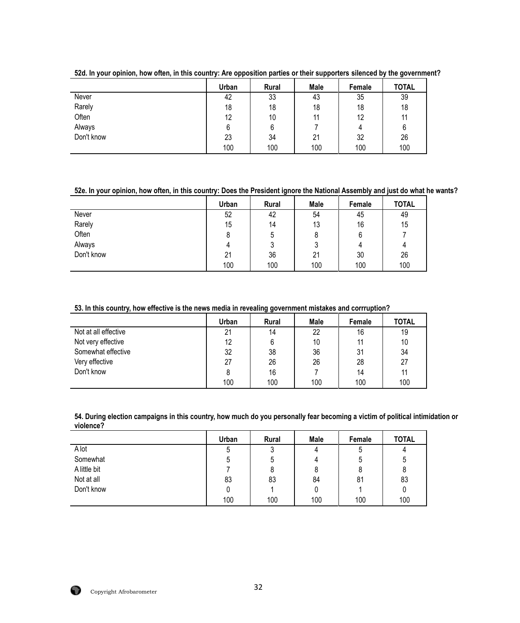|            | Urban | Rural | Male | Female | <b>TOTAL</b> |
|------------|-------|-------|------|--------|--------------|
| Never      | 42    | 33    | 43   | 35     | 39           |
| Rarely     | 18    | 18    | 18   | 18     | 18           |
| Often      | 12    | 10    | 11   | 12     | 11           |
| Always     |       | 6     |      | 4      | 6            |
| Don't know | 23    | 34    | 21   | 32     | 26           |
|            | 100   | 100   | 100  | 100    | 100          |

**52d. In your opinion, how often, in this country: Are opposition parties or their supporters silenced by the government?**

# **52e. In your opinion, how often, in this country: Does the President ignore the National Assembly and just do what he wants?**

|            | Urban | Rural | <b>Male</b> | Female | <b>TOTAL</b> |
|------------|-------|-------|-------------|--------|--------------|
| Never      | 52    | 42    | 54          | 45     | 49           |
| Rarely     | 15    | 14    | 13          | 16     | 15           |
| Often      |       | 5     |             | 6      |              |
| Always     | 4     | 3     |             | 4      | 4            |
| Don't know | 21    | 36    | 21          | 30     | 26           |
|            | 100   | 100   | 100         | 100    | 100          |

# **53. In this country, how effective is the news media in revealing government mistakes and corrruption?**

|                      | Urban | <b>Rural</b> | Male | Female | <b>TOTAL</b> |
|----------------------|-------|--------------|------|--------|--------------|
| Not at all effective | 21    | 14           | 22   | 16     | 19           |
| Not very effective   | 12    | 6            | 10   |        | 10           |
| Somewhat effective   | 32    | 38           | 36   | 31     | 34           |
| Very effective       | 27    | 26           | 26   | 28     | 27           |
| Don't know           |       | 16           |      | 14     | 11           |
|                      | 100   | 100          | 100  | 100    | 100          |

**54. During election campaigns in this country, how much do you personally fear becoming a victim of political intimidation or violence?** 

|              | Urban | Rural | Male | Female | <b>TOTAL</b> |
|--------------|-------|-------|------|--------|--------------|
| A lot        | 5     | 3     | 4    | ა      |              |
| Somewhat     |       | 5     | 4    | b      | ხ            |
| A little bit |       | 8     | 8    |        | 8            |
| Not at all   | 83    | 83    | 84   | 81     | 83           |
| Don't know   |       |       |      |        | 0            |
|              | 100   | 100   | 100  | 100    | 100          |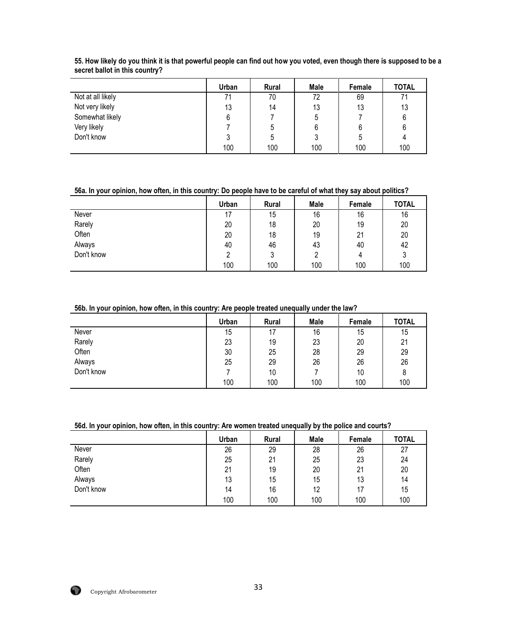|                   | Urban | <b>Rural</b> | Male | Female | <b>TOTAL</b> |
|-------------------|-------|--------------|------|--------|--------------|
| Not at all likely | 71    | 70           | 72   | 69     | 71           |
| Not very likely   | 13    | 14           | 13   | 13     | 13           |
| Somewhat likely   |       |              | ხ    |        | 6            |
| Very likely       |       | ა            | 6    |        | 6            |
| Don't know        |       | ხ            | ر،   | ა      |              |
|                   | 100   | 100          | 100  | 100    | 100          |

**55. How likely do you think it is that powerful people can find out how you voted, even though there is supposed to be a secret ballot in this country?** 

**56a. In your opinion, how often, in this country: Do people have to be careful of what they say about politics?**

|            | Urban | Rural | Male | Female | <b>TOTAL</b> |
|------------|-------|-------|------|--------|--------------|
| Never      | 17    | 15    | 16   | 16     | 16           |
| Rarely     | 20    | 18    | 20   | 19     | 20           |
| Often      | 20    | 18    | 19   | 21     | 20           |
| Always     | 40    | 46    | 43   | 40     | 42           |
| Don't know | ∩     | 3     |      | 4      | 3            |
|            | 100   | 100   | 100  | 100    | 100          |

#### **56b. In your opinion, how often, in this country: Are people treated unequally under the law?**

|            | Urban | <b>Rural</b> | Male | Female | <b>TOTAL</b> |
|------------|-------|--------------|------|--------|--------------|
| Never      | 15    | 17           | 16   | 15     | 15           |
| Rarely     | 23    | 19           | 23   | 20     | 21           |
| Often      | 30    | 25           | 28   | 29     | 29           |
| Always     | 25    | 29           | 26   | 26     | 26           |
| Don't know |       | 10           |      | 10     | 8            |
|            | 100   | 100          | 100  | 100    | 100          |

# **56d. In your opinion, how often, in this country: Are women treated unequally by the police and courts?**

|            | Urban | <b>Rural</b> | Male | Female | <b>TOTAL</b> |
|------------|-------|--------------|------|--------|--------------|
| Never      | 26    | 29           | 28   | 26     | 27           |
| Rarely     | 25    | 21           | 25   | 23     | 24           |
| Often      | 21    | 19           | 20   | 21     | 20           |
| Always     | 13    | 15           | 15   | 13     | 14           |
| Don't know | 14    | 16           | 12   | 17     | 15           |
|            | 100   | 100          | 100  | 100    | 100          |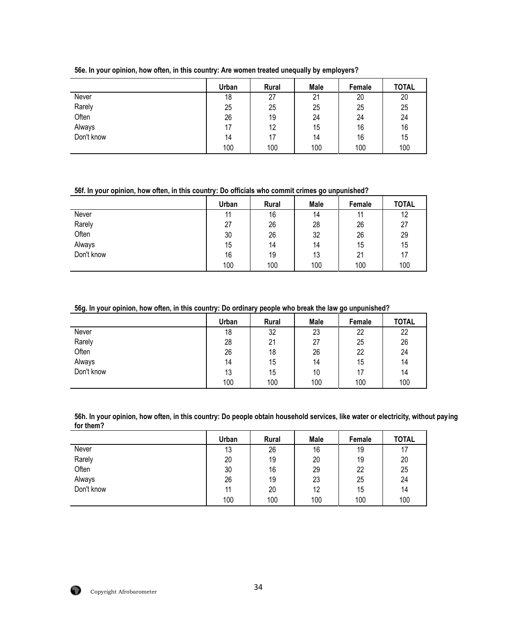|            | Urban | <b>Rural</b> | Male | Female | <b>TOTAL</b> |
|------------|-------|--------------|------|--------|--------------|
| Never      | 18    | 27           | 21   | 20     | 20           |
| Rarely     | 25    | 25           | 25   | 25     | 25           |
| Often      | 26    | 19           | 24   | 24     | 24           |
| Always     | 17    | 12           | 15   | 16     | 16           |
| Don't know | 14    | 17           | 14   | 16     | 15           |
|            | 100   | 100          | 100  | 100    | 100          |

#### **56e. In your opinion, how often, in this country: Are women treated unequally by employers?**

**56f. In your opinion, how often, in this country: Do officials who commit crimes go unpunished?**

|            | Urban | <b>Rural</b> | Male | Female | <b>TOTAL</b> |
|------------|-------|--------------|------|--------|--------------|
| Never      | 11    | 16           | 14   |        | 12           |
| Rarely     | 27    | 26           | 28   | 26     | 27           |
| Often      | 30    | 26           | 32   | 26     | 29           |
| Always     | 15    | 14           | 14   | 15     | 15           |
| Don't know | 16    | 19           | 13   | 21     | 17           |
|            | 100   | 100          | 100  | 100    | 100          |

# **56g. In your opinion, how often, in this country: Do ordinary people who break the law go unpunished?**

|            | Urban | Rural | Male | Female | <b>TOTAL</b> |
|------------|-------|-------|------|--------|--------------|
| Never      | 18    | 32    | 23   | 22     | 22           |
| Rarely     | 28    | 21    | 27   | 25     | 26           |
| Often      | 26    | 18    | 26   | 22     | 24           |
| Always     | 14    | 15    | 14   | 15     | 14           |
| Don't know | 13    | 15    | 10   | 17     | 14           |
|            | 100   | 100   | 100  | 100    | 100          |

**56h. In your opinion, how often, in this country: Do people obtain household services, like water or electricity, without paying for them?**

|            | Urban | Rural | Male | Female | <b>TOTAL</b> |
|------------|-------|-------|------|--------|--------------|
| Never      | 13    | 26    | 16   | 19     | 17           |
| Rarely     | 20    | 19    | 20   | 19     | 20           |
| Often      | 30    | 16    | 29   | 22     | 25           |
| Always     | 26    | 19    | 23   | 25     | 24           |
| Don't know | 11    | 20    | 12   | 15     | 14           |
|            | 100   | 100   | 100  | 100    | 100          |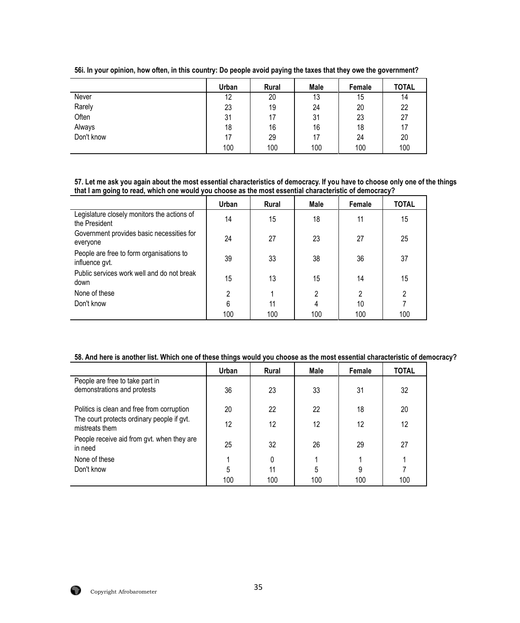|            | Urban | Rural | Male | Female | <b>TOTAL</b> |
|------------|-------|-------|------|--------|--------------|
| Never      | 12    | 20    | 13   | 15     | 14           |
| Rarely     | 23    | 19    | 24   | 20     | 22           |
| Often      | 31    | 17    | 31   | 23     | 27           |
| Always     | 18    | 16    | 16   | 18     | 17           |
| Don't know | 17    | 29    | 17   | 24     | 20           |
|            | 100   | 100   | 100  | 100    | 100          |

**56i. In your opinion, how often, in this country: Do people avoid paying the taxes that they owe the government?**

**57. Let me ask you again about the most essential characteristics of democracy. If you have to choose only one of the things that I am going to read, which one would you choose as the most essential characteristic of democracy?**

|                                                              | Urban          | <b>Rural</b> | Male | Female         | <b>TOTAL</b> |
|--------------------------------------------------------------|----------------|--------------|------|----------------|--------------|
| Legislature closely monitors the actions of<br>the President | 14             | 15           | 18   | 11             | 15           |
| Government provides basic necessities for<br>everyone        | 24             | 27           | 23   | 27             | 25           |
| People are free to form organisations to<br>influence gvt.   | 39             | 33           | 38   | 36             | 37           |
| Public services work well and do not break<br>down           | 15             | 13           | 15   | 14             | 15           |
| None of these                                                | $\mathfrak{p}$ |              | 2    | $\mathfrak{p}$ | 2            |
| Don't know                                                   | 6              | 11           | 4    | 10             |              |
|                                                              | 100            | 100          | 100  | 100            | 100          |

# **58. And here is another list. Which one of these things would you choose as the most essential characteristic of democracy?**

|                                                              | Urban | <b>Rural</b> | Male | Female | <b>TOTAL</b> |
|--------------------------------------------------------------|-------|--------------|------|--------|--------------|
| People are free to take part in                              |       |              |      |        |              |
| demonstrations and protests                                  | 36    | 23           | 33   | 31     | 32           |
|                                                              |       |              |      |        |              |
| Politics is clean and free from corruption                   | 20    | 22           | 22   | 18     | 20           |
| The court protects ordinary people if gvt.<br>mistreats them | 12    | 12           | 12   | 12     | 12           |
| People receive aid from gvt. when they are<br>in need        | 25    | 32           | 26   | 29     | 27           |
| None of these                                                |       | 0            |      |        |              |
| Don't know                                                   | 5     | 11           |      | 9      |              |
|                                                              | 100   | 100          | 100  | 100    | 100          |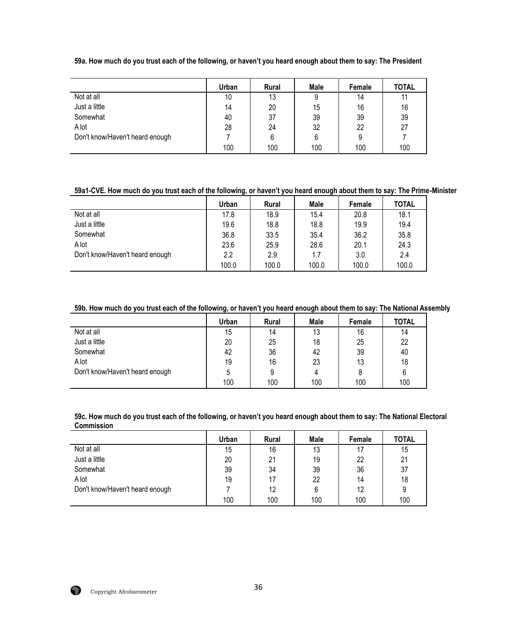|  | 59a. How much do you trust each of the following, or haven't you heard enough about them to say: The President |  |  |  |
|--|----------------------------------------------------------------------------------------------------------------|--|--|--|
|  |                                                                                                                |  |  |  |

|                                 | Urban | <b>Rural</b> | Male | Female | <b>TOTAL</b> |
|---------------------------------|-------|--------------|------|--------|--------------|
| Not at all                      | 10    | 13           | 9    | 14     |              |
| Just a little                   | 14    | 20           | 15   | 16     | 16           |
| Somewhat                        | 40    | 37           | 39   | 39     | 39           |
| A lot                           | 28    | 24           | 32   | 22     | 27           |
| Don't know/Haven't heard enough |       | 6            | 6    |        |              |
|                                 | 100   | 100          | 100  | 100    | 100          |

# **59a1-CVE. How much do you trust each of the following, or haven't you heard enough about them to say: The Prime-Minister**

|                                 | Urban | <b>Rural</b> | Male  | Female | <b>TOTAL</b> |
|---------------------------------|-------|--------------|-------|--------|--------------|
| Not at all                      | 17.8  | 18.9         | 15.4  | 20.8   | 18.1         |
| Just a little                   | 19.6  | 18.8         | 18.8  | 19.9   | 19.4         |
| Somewhat                        | 36.8  | 33.5         | 35.4  | 36.2   | 35.8         |
| A lot                           | 23.6  | 25.9         | 28.6  | 20.1   | 24.3         |
| Don't know/Haven't heard enough | 2.2   | 2.9          | 1.7   | 3.0    | 2.4          |
|                                 | 100.0 | 100.0        | 100.0 | 100.0  | 100.0        |

# **59b. How much do you trust each of the following, or haven't you heard enough about them to say: The National Assembly**

|                                 | Urban | <b>Rural</b> | Male | Female | <b>TOTAL</b> |
|---------------------------------|-------|--------------|------|--------|--------------|
| Not at all                      | 15    | 14           | 13   | 16     | 14           |
| Just a little                   | 20    | 25           | 18   | 25     | 22           |
| Somewhat                        | 42    | 36           | 42   | 39     | 40           |
| A lot                           | 19    | 16           | 23   | 13     | 18           |
| Don't know/Haven't heard enough |       | 9            | 4    |        | 6            |
|                                 | 100   | 100          | 100  | 100    | 100          |

**59c. How much do you trust each of the following, or haven't you heard enough about them to say: The National Electoral Commission** 

|                                 | Urban | <b>Rural</b> | Male | Female | <b>TOTAL</b> |
|---------------------------------|-------|--------------|------|--------|--------------|
| Not at all                      | 15    | 16           | 13   |        | 15           |
| Just a little                   | 20    | 21           | 19   | 22     | 21           |
| Somewhat                        | 39    | 34           | 39   | 36     | 37           |
| A lot                           | 19    | 17           | 22   | 14     | 18           |
| Don't know/Haven't heard enough |       | 12           | 6    | 12     | 9            |
|                                 | 100   | 100          | 100  | 100    | 100          |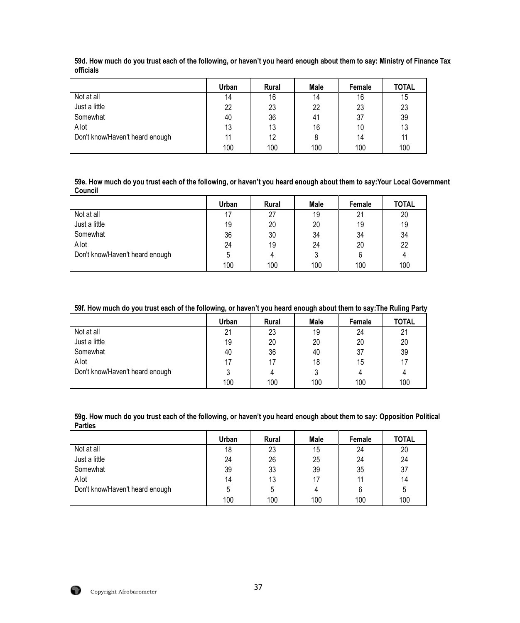|                                 | Urban | <b>Rural</b> | Male | Female | <b>TOTAL</b> |
|---------------------------------|-------|--------------|------|--------|--------------|
| Not at all                      | 14    | 16           | 14   | 16     | 15           |
| Just a little                   | 22    | 23           | 22   | 23     | 23           |
| Somewhat                        | 40    | 36           | 41   | 37     | 39           |
| A lot                           | 13    | 13           | 16   | 10     | 13           |
| Don't know/Haven't heard enough | 11    | 12           | 8    | 14     | 11           |
|                                 | 100   | 100          | 100  | 100    | 100          |

**59d. How much do you trust each of the following, or haven't you heard enough about them to say: Ministry of Finance Tax officials**

**59e. How much do you trust each of the following, or haven't you heard enough about them to say:Your Local Government Council**

|                                 | Urban | <b>Rural</b> | Male | Female | <b>TOTAL</b> |
|---------------------------------|-------|--------------|------|--------|--------------|
| Not at all                      | 17    | 27           | 19   | 21     | 20           |
| Just a little                   | 19    | 20           | 20   | 19     | 19           |
| Somewhat                        | 36    | 30           | 34   | 34     | 34           |
| A lot                           | 24    | 19           | 24   | 20     | 22           |
| Don't know/Haven't heard enough |       | 4            |      |        |              |
|                                 | 100   | 100          | 100  | 100    | 100          |

### **59f. How much do you trust each of the following, or haven't you heard enough about them to say:The Ruling Party**

|                                 | Urban | <b>Rural</b> | Male | Female | <b>TOTAL</b> |
|---------------------------------|-------|--------------|------|--------|--------------|
| Not at all                      | 21    | 23           | 19   | 24     | 21           |
| Just a little                   | 19    | 20           | 20   | 20     | 20           |
| Somewhat                        | 40    | 36           | 40   | 37     | 39           |
| A lot                           | 17    | 17           | 18   | 15     | 17           |
| Don't know/Haven't heard enough |       | 4            |      |        |              |
|                                 | 100   | 100          | 100  | 100    | 100          |

**59g. How much do you trust each of the following, or haven't you heard enough about them to say: Opposition Political Parties**

|                                 | Urban | <b>Rural</b> | Male | Female | <b>TOTAL</b> |
|---------------------------------|-------|--------------|------|--------|--------------|
| Not at all                      | 18    | 23           | 15   | 24     | 20           |
| Just a little                   | 24    | 26           | 25   | 24     | 24           |
| Somewhat                        | 39    | 33           | 39   | 35     | 37           |
| A lot                           | 14    | 13           | 17   | 11     | 14           |
| Don't know/Haven't heard enough |       | 5            | 4    |        | 5            |
|                                 | 100   | 100          | 100  | 100    | 100          |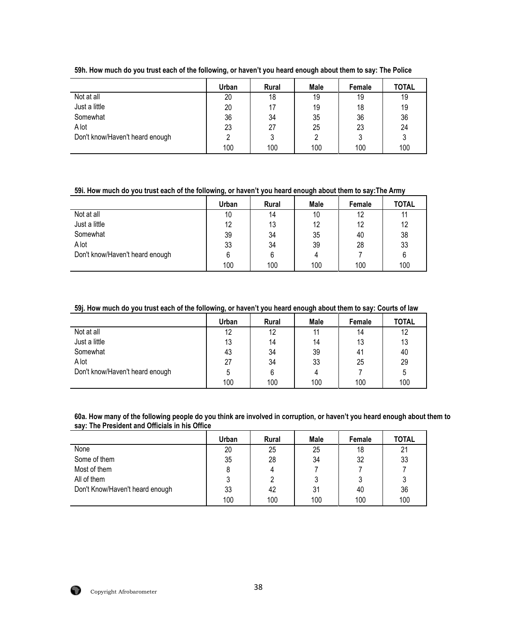|                                 | Urban | <b>Rural</b> | Male | Female | <b>TOTAL</b> |
|---------------------------------|-------|--------------|------|--------|--------------|
| Not at all                      | 20    | 18           | 19   | 19     | 19           |
| Just a little                   | 20    | 17           | 19   | 18     | 19           |
| Somewhat                        | 36    | 34           | 35   | 36     | 36           |
| A lot                           | 23    | 27           | 25   | 23     | 24           |
| Don't know/Haven't heard enough |       | 3            |      |        |              |
|                                 | 100   | 100          | 100  | 100    | 100          |

**59h. How much do you trust each of the following, or haven't you heard enough about them to say: The Police**

### **59i. How much do you trust each of the following, or haven't you heard enough about them to say:The Army**

|                                 | Urban | <b>Rural</b> | <b>Male</b> | Female | <b>TOTAL</b> |
|---------------------------------|-------|--------------|-------------|--------|--------------|
| Not at all                      | 10    | 14           | 10          | 12     | 11           |
| Just a little                   | 12    | 13           | 12          | 12     | 12           |
| Somewhat                        | 39    | 34           | 35          | 40     | 38           |
| A lot                           | 33    | 34           | 39          | 28     | 33           |
| Don't know/Haven't heard enough |       | 6            |             |        | 6            |
|                                 | 100   | 100          | 100         | 100    | 100          |

### **59j. How much do you trust each of the following, or haven't you heard enough about them to say: Courts of law**

|                                 | Urban | <b>Rural</b> | Male | Female | <b>TOTAL</b> |
|---------------------------------|-------|--------------|------|--------|--------------|
| Not at all                      | 12    | 12           | 11   | 14     | 12           |
| Just a little                   | 13    | 14           | 14   | 13     | 13           |
| Somewhat                        | 43    | 34           | 39   | 41     | 40           |
| A lot                           | 27    | 34           | 33   | 25     | 29           |
| Don't know/Haven't heard enough |       | 6            |      |        | 5            |
|                                 | 100   | 100          | 100  | 100    | 100          |

**60a. How many of the following people do you think are involved in corruption, or haven't you heard enough about them to say: The President and Officials in his Office** 

|                                 | Urban | <b>Rural</b> | Male | Female | <b>TOTAL</b> |
|---------------------------------|-------|--------------|------|--------|--------------|
| None                            | 20    | 25           | 25   | 18     | 21           |
| Some of them                    | 35    | 28           | 34   | 32     | 33           |
| Most of them                    |       | 4            |      |        |              |
| All of them                     |       |              | 2    |        |              |
| Don't Know/Haven't heard enough | 33    | 42           | 31   | 40     | 36           |
|                                 | 100   | 100          | 100  | 100    | 100          |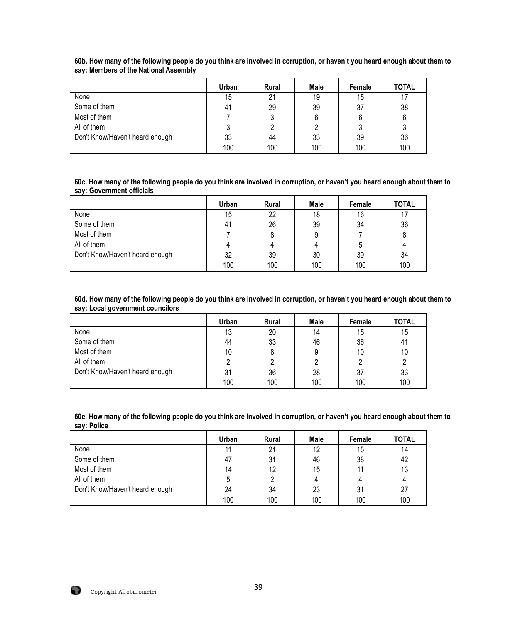|                                 | Urban | <b>Rural</b> | Male | Female | <b>TOTAL</b> |
|---------------------------------|-------|--------------|------|--------|--------------|
| None                            | 15    | 21           | 19   | 15     | 17           |
| Some of them                    | 41    | 29           | 39   | 37     | 38           |
| Most of them                    |       |              | 6    |        | 6            |
| All of them                     |       |              |      |        | υ            |
| Don't Know/Haven't heard enough | 33    | 44           | 33   | 39     | 36           |
|                                 | 100   | 100          | 100  | 100    | 100          |

**60b. How many of the following people do you think are involved in corruption, or haven't you heard enough about them to say: Members of the National Assembly**

**60c. How many of the following people do you think are involved in corruption, or haven't you heard enough about them to say: Government officials**

|                                 | <b>Urban</b> | Rural | Male | Female | <b>TOTAL</b> |
|---------------------------------|--------------|-------|------|--------|--------------|
| None                            | 15           | 22    | 18   | 16     | 17           |
| Some of them                    | 41           | 26    | 39   | 34     | 36           |
| Most of them                    |              | 8     | 9    |        |              |
| All of them                     |              | 4     |      |        |              |
| Don't Know/Haven't heard enough | 32           | 39    | 30   | 39     | 34           |
|                                 | 100          | 100   | 100  | 100    | 100          |

**60d. How many of the following people do you think are involved in corruption, or haven't you heard enough about them to say: Local government councilors**

|                                 | Urban | <b>Rural</b> | Male | Female | <b>TOTAL</b> |
|---------------------------------|-------|--------------|------|--------|--------------|
| None                            | 13    | 20           | 14   | 15     | 15           |
| Some of them                    | 44    | 33           | 46   | 36     | 41           |
| Most of them                    | 10    | 8            | 9    | 10     | 10           |
| All of them                     |       |              |      |        |              |
| Don't Know/Haven't heard enough | 31    | 36           | 28   | 37     | 33           |
|                                 | 100   | 100          | 100  | 100    | 100          |

**60e. How many of the following people do you think are involved in corruption, or haven't you heard enough about them to say: Police**

|                                 | Urban | <b>Rural</b> | Male | Female | <b>TOTAL</b> |
|---------------------------------|-------|--------------|------|--------|--------------|
| None                            | 11    | 21           | 12   | 15     | 14           |
| Some of them                    | 47    | 31           | 46   | 38     | 42           |
| Most of them                    | 14    | 12           | 15   | 11     | 13           |
| All of them                     |       | 2            |      |        |              |
| Don't Know/Haven't heard enough | 24    | 34           | 23   | 31     | 27           |
|                                 | 100   | 100          | 100  | 100    | 100          |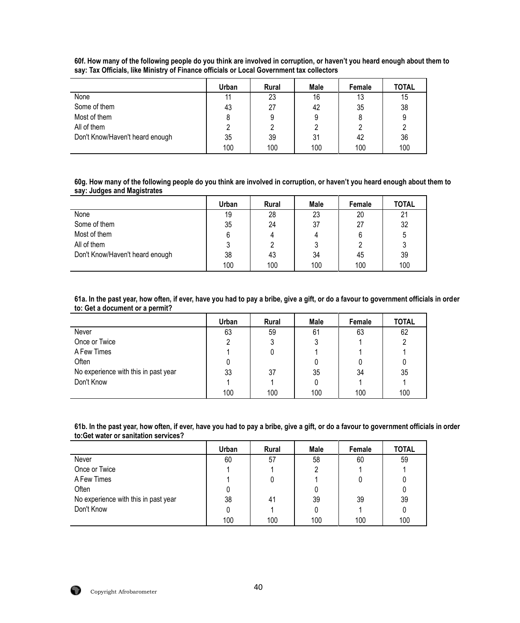|                                 | Urban | Rural | Male | Female | <b>TOTAL</b> |
|---------------------------------|-------|-------|------|--------|--------------|
| None                            |       | 23    | 16   | 13     | 15           |
| Some of them                    | 43    | 27    | 42   | 35     | 38           |
| Most of them                    |       | 9     | 9    |        | 9            |
| All of them                     |       | 2     |      |        |              |
| Don't Know/Haven't heard enough | 35    | 39    | 31   | 42     | 36           |
|                                 | 100   | 100   | 100  | 100    | 100          |

**60f. How many of the following people do you think are involved in corruption, or haven't you heard enough about them to say: Tax Officials, like Ministry of Finance officials or Local Government tax collectors** 

**60g. How many of the following people do you think are involved in corruption, or haven't you heard enough about them to say: Judges and Magistrates**

|                                 | <b>Urban</b> | <b>Rural</b> | Male | Female | <b>TOTAL</b> |
|---------------------------------|--------------|--------------|------|--------|--------------|
| None                            | 19           | 28           | 23   | 20     | 21           |
| Some of them                    | 35           | 24           | 37   | 27     | 32           |
| Most of them                    | 6            | 4            |      |        | ა            |
| All of them                     |              |              |      |        |              |
| Don't Know/Haven't heard enough | 38           | 43           | 34   | 45     | 39           |
|                                 | 100          | 100          | 100  | 100    | 100          |

**61a. In the past year, how often, if ever, have you had to pay a bribe, give a gift, or do a favour to government officials in order to: Get a document or a permit?**

|                                      | Urban | Rural | Male | Female | <b>TOTAL</b> |
|--------------------------------------|-------|-------|------|--------|--------------|
| Never                                | 63    | 59    | 61   | 63     | 62           |
| Once or Twice                        |       | 3     |      |        |              |
| A Few Times                          |       |       |      |        |              |
| Often                                |       |       |      |        |              |
| No experience with this in past year | 33    | 37    | 35   | 34     | 35           |
| Don't Know                           |       |       |      |        |              |
|                                      | 100   | 100   | 100  | 100    | 100          |

**61b. In the past year, how often, if ever, have you had to pay a bribe, give a gift, or do a favour to government officials in order to:Get water or sanitation services?**

|                                      | Urban | <b>Rural</b> | Male | Female | <b>TOTAL</b> |
|--------------------------------------|-------|--------------|------|--------|--------------|
| Never                                | 60    | 57           | 58   | 60     | 59           |
| Once or Twice                        |       |              |      |        |              |
| A Few Times                          |       | U            |      |        |              |
| Often                                |       |              |      |        |              |
| No experience with this in past year | 38    | 41           | 39   | 39     | 39           |
| Don't Know                           |       |              |      |        | 0            |
|                                      | 100   | 100          | 100  | 100    | 100          |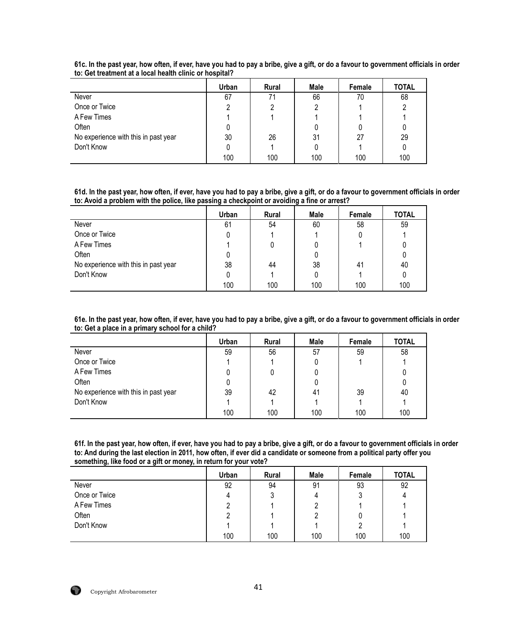|                                      | Urban | <b>Rural</b> | Male | Female | <b>TOTAL</b> |
|--------------------------------------|-------|--------------|------|--------|--------------|
| Never                                | 67    | 71           | 66   | 70     | 68           |
| Once or Twice                        |       | ŋ            | 2    |        |              |
| A Few Times                          |       |              |      |        |              |
| Often                                |       |              |      |        |              |
| No experience with this in past year | 30    | 26           | 31   | 27     | 29           |
| Don't Know                           |       |              |      |        |              |
|                                      | 100   | 100          | 100  | 100    | 100          |

**61c. In the past year, how often, if ever, have you had to pay a bribe, give a gift, or do a favour to government officials in order to: Get treatment at a local health clinic or hospital?**

**61d. In the past year, how often, if ever, have you had to pay a bribe, give a gift, or do a favour to government officials in order to: Avoid a problem with the police, like passing a checkpoint or avoiding a fine or arrest?**

|                                      | Urban | Rural | Male | Female | <b>TOTAL</b> |
|--------------------------------------|-------|-------|------|--------|--------------|
| Never                                | 61    | 54    | 60   | 58     | 59           |
| Once or Twice                        |       |       |      |        |              |
| A Few Times                          |       |       |      |        |              |
| Often                                |       |       |      |        |              |
| No experience with this in past year | 38    | 44    | 38   | 41     | 40           |
| Don't Know                           |       |       |      |        |              |
|                                      | 100   | 100   | 100  | 100    | 100          |

**61e. In the past year, how often, if ever, have you had to pay a bribe, give a gift, or do a favour to government officials in order to: Get a place in a primary school for a child?**

|                                      | Urban | Rural | Male | Female | <b>TOTAL</b> |
|--------------------------------------|-------|-------|------|--------|--------------|
| Never                                | 59    | 56    | 57   | 59     | 58           |
| Once or Twice                        |       |       | U    |        |              |
| A Few Times                          |       |       |      |        |              |
| Often                                |       |       |      |        |              |
| No experience with this in past year | 39    | 42    | 41   | 39     | 40           |
| Don't Know                           |       |       |      |        |              |
|                                      | 100   | 100   | 100  | 100    | 100          |

**61f. In the past year, how often, if ever, have you had to pay a bribe, give a gift, or do a favour to government officials in order to: And during the last election in 2011, how often, if ever did a candidate or someone from a political party offer you something, like food or a gift or money, in return for your vote?**

|               | Urban | Rural | Male | Female | <b>TOTAL</b> |
|---------------|-------|-------|------|--------|--------------|
| Never         | 92    | 94    | 91   | 93     | 92           |
| Once or Twice | 4     | J     | 4    |        | 4            |
| A Few Times   |       |       |      |        |              |
| Often         |       |       |      |        |              |
| Don't Know    |       |       |      |        |              |
|               | 100   | 100   | 100  | 100    | 100          |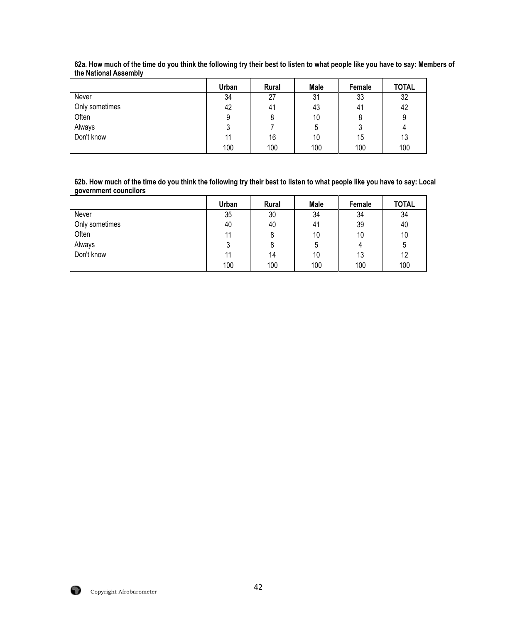|                | Urban | <b>Rural</b> | Male | Female | <b>TOTAL</b> |
|----------------|-------|--------------|------|--------|--------------|
| Never          | 34    | 27           | 31   | 33     | 32           |
| Only sometimes | 42    | 41           | 43   | 41     | 42           |
| Often          |       |              | 10   |        |              |
| Always         |       |              | 5    |        |              |
| Don't know     | 11    | 16           | 10   | 15     | 13           |
|                | 100   | 100          | 100  | 100    | 100          |

**62a. How much of the time do you think the following try their best to listen to what people like you have to say: Members of the National Assembly**

**62b. How much of the time do you think the following try their best to listen to what people like you have to say: Local government councilors**

|                | Urban | Rural | Male | Female | <b>TOTAL</b> |
|----------------|-------|-------|------|--------|--------------|
| Never          | 35    | 30    | 34   | 34     | 34           |
| Only sometimes | 40    | 40    | 41   | 39     | 40           |
| Often          | 11    | 8     | 10   | 10     | 10           |
| Always         | ົ     | 8     | 5    | 4      | 5            |
| Don't know     | 11    | 14    | 10   | 13     | 12           |
|                | 100   | 100   | 100  | 100    | 100          |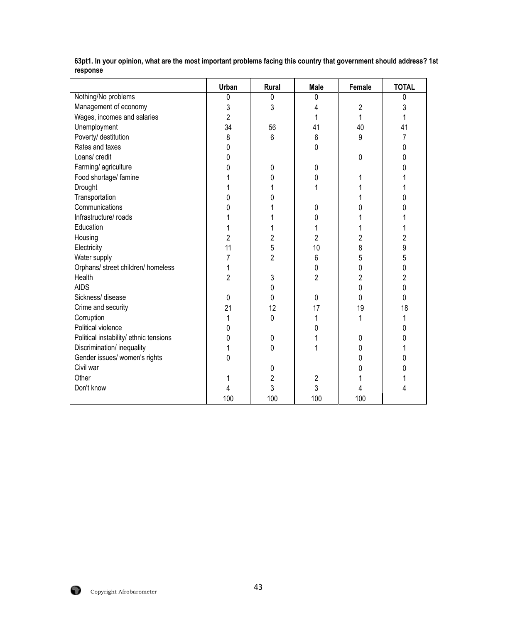|                                        | Urban          | Rural          | <b>Male</b>    | <b>Female</b>  | <b>TOTAL</b>   |
|----------------------------------------|----------------|----------------|----------------|----------------|----------------|
| Nothing/No problems                    | 0              | 0              | 0              |                | 0              |
| Management of economy                  | 3              | 3              | 4              | 2              | 3              |
| Wages, incomes and salaries            | $\overline{2}$ |                | 1              | 1              | 1              |
| Unemployment                           | 34             | 56             | 41             | 40             | 41             |
| Poverty/ destitution                   | 8              | $6\,$          | 6              | 9              | 7              |
| Rates and taxes                        | 0              |                | 0              |                | 0              |
| Loans/ credit                          | 0              |                |                | 0              | 0              |
| Farming/ agriculture                   | 0              | 0              | 0              |                | 0              |
| Food shortage/ famine                  |                | 0              | 0              |                |                |
| Drought                                |                |                |                |                |                |
| Transportation                         | 0              | 0              |                |                | 0              |
| Communications                         | 0              |                | 0              | 0              | N              |
| Infrastructure/ roads                  |                |                | 0              |                |                |
| Education                              |                |                | 1              |                |                |
| Housing                                | $\overline{c}$ | $\overline{c}$ | $\overline{2}$ | $\overline{2}$ | $\overline{2}$ |
| Electricity                            | 11             | 5              | 10             | 8              | 9              |
| Water supply                           | 7              | $\overline{2}$ | 6              | 5              | 5              |
| Orphans/ street children/ homeless     | 1              |                | 0              | 0              | 0              |
| Health                                 | $\overline{2}$ | 3              | $\overline{2}$ | $\overline{c}$ | $\overline{2}$ |
| <b>AIDS</b>                            |                | 0              |                | 0              | 0              |
| Sickness/ disease                      | 0              | 0              | 0              | 0              | 0              |
| Crime and security                     | 21             | 12             | 17             | 19             | 18             |
| Corruption                             | 1              | 0              | 1              |                | 1              |
| Political violence                     | 0              |                | 0              |                | 0              |
| Political instability/ ethnic tensions | 0              | 0              |                | 0              | 0              |
| Discrimination/ inequality             | 1              | 0              |                | 0              |                |
| Gender issues/ women's rights          | 0              |                |                | 0              | 0              |
| Civil war                              |                | 0              |                | 0              | N              |
| Other                                  |                | 2              | 2              |                |                |
| Don't know                             | 4              | 3              | 3              | 4              |                |
|                                        | 100            | 100            | 100            | 100            |                |

**63pt1. In your opinion, what are the most important problems facing this country that government should address? 1st response**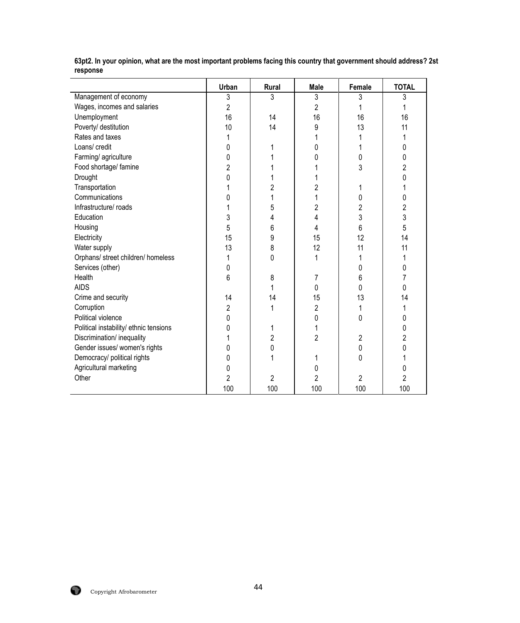|                                        | Urban          | Rural          | <b>Male</b>    | Female | <b>TOTAL</b>   |
|----------------------------------------|----------------|----------------|----------------|--------|----------------|
| Management of economy                  | 3              | 3              | 3              | 3      | 3              |
| Wages, incomes and salaries            | $\overline{2}$ |                | $\overline{2}$ |        |                |
| Unemployment                           | 16             | 14             | 16             | 16     | 16             |
| Poverty/ destitution                   | 10             | 14             | 9              | 13     | 11             |
| Rates and taxes                        | 1              |                |                |        |                |
| Loans/ credit                          | 0              |                | 0              |        | 0              |
| Farming/ agriculture                   | 0              |                | ი              | 0      | 0              |
| Food shortage/ famine                  | 2              |                |                | 3      | $\overline{c}$ |
| Drought                                | 0              |                |                |        | 0              |
| Transportation                         |                | 2              | 2              |        |                |
| Communications                         | 0              |                |                | 0      | 0              |
| Infrastructure/ roads                  |                | 5              | $\overline{c}$ | 2      | $\overline{c}$ |
| Education                              | 3              | 4              | 4              | 3      | 3              |
| Housing                                | 5              | 6              | 4              | 6      | 5              |
| Electricity                            | 15             | 9              | 15             | 12     | 14             |
| Water supply                           | 13             | 8              | 12             | 11     | 11             |
| Orphans/ street children/ homeless     | 1              | $\Omega$       | 1              |        |                |
| Services (other)                       | 0              |                |                | 0      | 0              |
| Health                                 | 6              | 8              | 7              | 6      |                |
| <b>AIDS</b>                            |                |                | 0              | 0      | 0              |
| Crime and security                     | 14             | 14             | 15             | 13     | 14             |
| Corruption                             | 2              |                | 2              |        |                |
| Political violence                     | 0              |                | 0              | 0      | 0              |
| Political instability/ ethnic tensions | 0              |                |                |        | 0              |
| Discrimination/ inequality             |                | 2              | $\overline{2}$ | 2      | $\overline{2}$ |
| Gender issues/ women's rights          | 0              | 0              |                | 0      | 0              |
| Democracy/ political rights            | 0              |                |                | 0      |                |
| Agricultural marketing                 | 0              |                | 0              |        | 0              |
| Other                                  | $\overline{2}$ | $\overline{2}$ | $\overline{2}$ | 2      | $\overline{2}$ |
|                                        | 100            | 100            | 100            | 100    | 100            |

**63pt2. In your opinion, what are the most important problems facing this country that government should address? 2st response**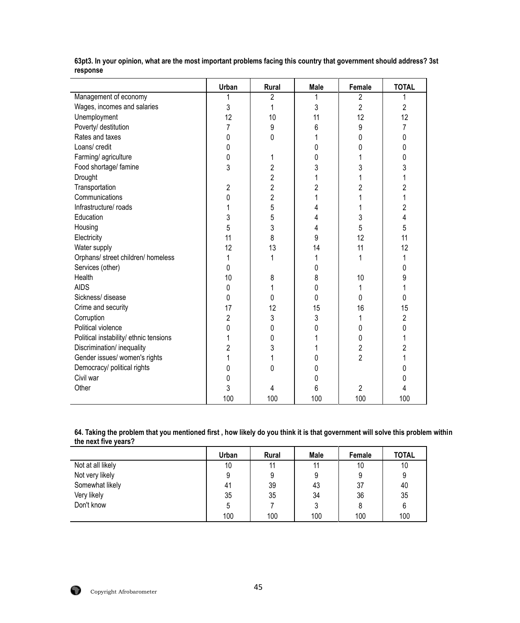|                                        | Urban          | Rural          | <b>Male</b>    | Female         | <b>TOTAL</b>   |
|----------------------------------------|----------------|----------------|----------------|----------------|----------------|
| Management of economy                  |                | 2              |                | 2              | 1              |
| Wages, incomes and salaries            | 3              | 1              | 3              | $\overline{2}$ | $\overline{2}$ |
| Unemployment                           | 12             | 10             | 11             | 12             | 12             |
| Poverty/ destitution                   | 7              | 9              | 6              | 9              | 7              |
| Rates and taxes                        | 0              | 0              |                | 0              | 0              |
| Loans/ credit                          | 0              |                | 0              | 0              | 0              |
| Farming/ agriculture                   | 0              | 1              | 0              |                | 0              |
| Food shortage/ famine                  | 3              | $\overline{c}$ | 3              | 3              | 3              |
| Drought                                |                | $\overline{c}$ |                | 1              | 1              |
| Transportation                         | $\overline{2}$ | $\overline{2}$ | $\overline{c}$ | 2              | $\overline{c}$ |
| Communications                         | 0              | $\overline{2}$ |                |                |                |
| Infrastructure/ roads                  | 1              | 5              | 4              |                | $\overline{c}$ |
| Education                              | 3              | 5              | 4              | 3              | 4              |
| Housing                                | 5              | 3              | 4              | 5              | 5              |
| Electricity                            | 11             | 8              | 9              | 12             | 11             |
| Water supply                           | 12             | 13             | 14             | 11             | 12             |
| Orphans/ street children/ homeless     | 1              | 1              |                |                | 1              |
| Services (other)                       | 0              |                | 0              |                | 0              |
| Health                                 | 10             | 8              | 8              | 10             | 9              |
| <b>AIDS</b>                            | 0              | 1              | 0              |                |                |
| Sickness/ disease                      | 0              | 0              | 0              | 0              | 0              |
| Crime and security                     | 17             | 12             | 15             | 16             | 15             |
| Corruption                             | $\overline{2}$ | 3              | 3              |                | $\overline{2}$ |
| Political violence                     | 0              | 0              | 0              | 0              | 0              |
| Political instability/ ethnic tensions | 1              | 0              |                | 0              |                |
| Discrimination/ inequality             | 2              | 3              |                | $\overline{2}$ | $\overline{2}$ |
| Gender issues/ women's rights          | 1              | 1              | 0              | $\overline{2}$ |                |
| Democracy/ political rights            | 0              | 0              | 0              |                | 0              |
| Civil war                              | 0              |                | 0              |                | 0              |
| Other                                  | 3              | 4              | 6              | $\overline{2}$ | 4              |
|                                        | 100            | 100            | 100            | 100            | 100            |

**63pt3. In your opinion, what are the most important problems facing this country that government should address? 3st response** 

#### **64. Taking the problem that you mentioned first , how likely do you think it is that government will solve this problem within the next five years?**

|                   | Urban | <b>Rural</b> | Male | Female | <b>TOTAL</b> |
|-------------------|-------|--------------|------|--------|--------------|
| Not at all likely | 10    | 11           | 11   | 10     | 10           |
| Not very likely   |       | 9            | 9    | 9      | 9            |
| Somewhat likely   | 41    | 39           | 43   | 37     | 40           |
| Very likely       | 35    | 35           | 34   | 36     | 35           |
| Don't know        |       |              | 3    |        | 6            |
|                   | 100   | 100          | 100  | 100    | 100          |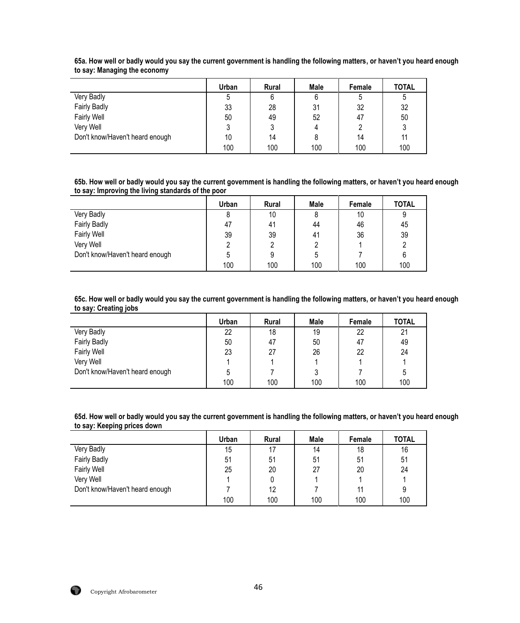|                                 | Urban | <b>Rural</b> | Male | Female | <b>TOTAL</b> |
|---------------------------------|-------|--------------|------|--------|--------------|
| Very Badly                      |       | 6            |      |        | C            |
| <b>Fairly Badly</b>             | 33    | 28           | 31   | 32     | 32           |
| <b>Fairly Well</b>              | 50    | 49           | 52   | 47     | 50           |
| Very Well                       |       | J            | 4    |        |              |
| Don't know/Haven't heard enough | 10    | 14           |      | 14     | 11           |
|                                 | 100   | 100          | 100  | 100    | 100          |

**65a. How well or badly would you say the current government is handling the following matters, or haven't you heard enough to say: Managing the economy** 

**65b. How well or badly would you say the current government is handling the following matters, or haven't you heard enough to say: Improving the living standards of the poor**

|                                 | Urban | <b>Rural</b> | <b>Male</b> | Female | <b>TOTAL</b> |
|---------------------------------|-------|--------------|-------------|--------|--------------|
| Very Badly                      | 8     | 10           |             | 10     |              |
| <b>Fairly Badly</b>             | 47    | 41           | 44          | 46     | 45           |
| <b>Fairly Well</b>              | 39    | 39           | 41          | 36     | 39           |
| Very Well                       |       |              |             |        |              |
| Don't know/Haven't heard enough |       | 9            | 5           |        |              |
|                                 | 100   | 100          | 100         | 100    | 100          |

**65c. How well or badly would you say the current government is handling the following matters, or haven't you heard enough to say: Creating jobs**

|                                 | Urban | <b>Rural</b> | Male | Female | <b>TOTAL</b> |
|---------------------------------|-------|--------------|------|--------|--------------|
| Very Badly                      | 22    | 18           | 19   | 22     | 21           |
| <b>Fairly Badly</b>             | 50    | 47           | 50   | 47     | 49           |
| <b>Fairly Well</b>              | 23    | 27           | 26   | 22     | 24           |
| Very Well                       |       |              |      |        |              |
| Don't know/Haven't heard enough |       |              |      |        | b            |
|                                 | 100   | 100          | 100  | 100    | 100          |

**65d. How well or badly would you say the current government is handling the following matters, or haven't you heard enough to say: Keeping prices down**

|                                 | Urban | <b>Rural</b> | Male | Female | <b>TOTAL</b> |
|---------------------------------|-------|--------------|------|--------|--------------|
| Very Badly                      | 15    | 17           | 14   | 18     | 16           |
| Fairly Badly                    | 51    | 51           | 51   | 51     | 51           |
| <b>Fairly Well</b>              | 25    | 20           | 27   | 20     | 24           |
| Very Well                       |       |              |      |        |              |
| Don't know/Haven't heard enough |       | 12           |      | 11     | 9            |
|                                 | 100   | 100          | 100  | 100    | 100          |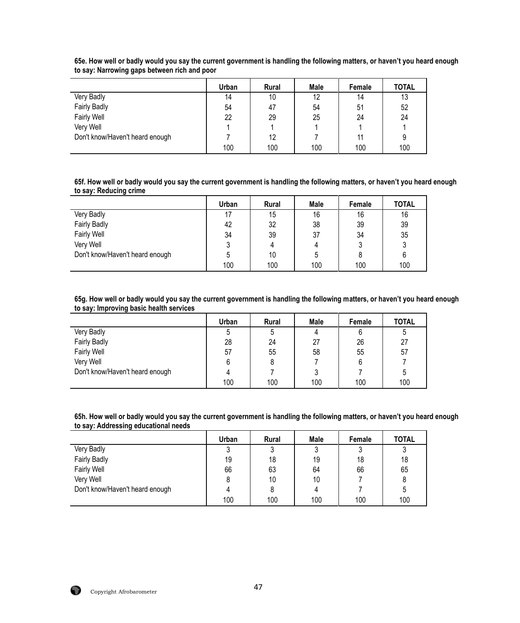|                                 | Urban | <b>Rural</b> | Male | Female | <b>TOTAL</b> |
|---------------------------------|-------|--------------|------|--------|--------------|
| Very Badly                      | 14    | 10           | 12   | 14     | 13           |
| <b>Fairly Badly</b>             | 54    | 47           | 54   | 51     | 52           |
| <b>Fairly Well</b>              | 22    | 29           | 25   | 24     | 24           |
| Very Well                       |       |              |      |        |              |
| Don't know/Haven't heard enough |       | 12           |      |        | 9            |
|                                 | 100   | 100          | 100  | 100    | 100          |

**65e. How well or badly would you say the current government is handling the following matters, or haven't you heard enough to say: Narrowing gaps between rich and poor**

**65f. How well or badly would you say the current government is handling the following matters, or haven't you heard enough to say: Reducing crime**

|                                 | Urban | <b>Rural</b> | <b>Male</b> | Female | <b>TOTAL</b> |
|---------------------------------|-------|--------------|-------------|--------|--------------|
| Very Badly                      |       | 15           | 16          | 16     | 16           |
| <b>Fairly Badly</b>             | 42    | 32           | 38          | 39     | 39           |
| <b>Fairly Well</b>              | 34    | 39           | 37          | 34     | 35           |
| Very Well                       |       | 4            |             |        |              |
| Don't know/Haven't heard enough |       | 10           | 5           |        | 6            |
|                                 | 100   | 100          | 100         | 100    | 100          |

**65g. How well or badly would you say the current government is handling the following matters, or haven't you heard enough to say: Improving basic health services**

|                                 | Urban | <b>Rural</b> | Male | Female | <b>TOTAL</b> |
|---------------------------------|-------|--------------|------|--------|--------------|
| Very Badly                      |       | 5            | 4    |        | b            |
| <b>Fairly Badly</b>             | 28    | 24           | 27   | 26     | 27           |
| <b>Fairly Well</b>              | 57    | 55           | 58   | 55     | 57           |
| Very Well                       |       |              |      |        |              |
| Don't know/Haven't heard enough |       |              |      |        |              |
|                                 | 100   | 100          | 100  | 100    | 100          |

**65h. How well or badly would you say the current government is handling the following matters, or haven't you heard enough to say: Addressing educational needs**

|                                 | Urban | <b>Rural</b> | Male | Female | <b>TOTAL</b> |
|---------------------------------|-------|--------------|------|--------|--------------|
| Very Badly                      |       | 3            |      |        | J            |
| <b>Fairly Badly</b>             | 19    | 18           | 19   | 18     | 18           |
| <b>Fairly Well</b>              | 66    | 63           | 64   | 66     | 65           |
| Very Well                       |       | 10           | 10   |        | 8            |
| Don't know/Haven't heard enough |       |              | 4    |        | ა            |
|                                 | 100   | 100          | 100  | 100    | 100          |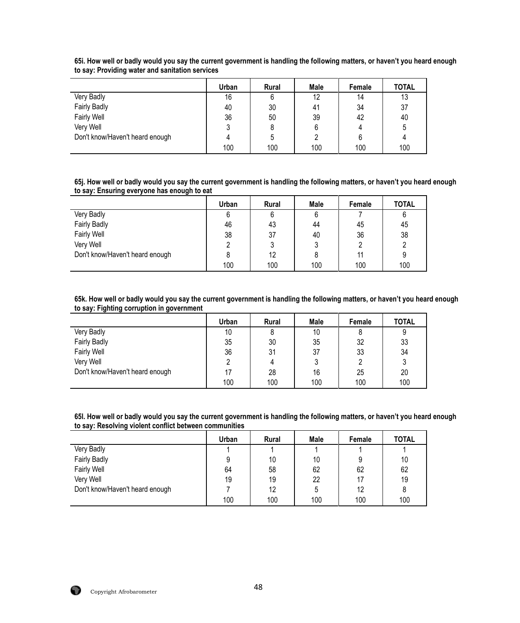|                                 | Urban | <b>Rural</b> | Male | Female | <b>TOTAL</b> |
|---------------------------------|-------|--------------|------|--------|--------------|
| Very Badly                      | 16    | 6            | 12   | 14     | 13           |
| <b>Fairly Badly</b>             | 40    | 30           | 41   | 34     | 37           |
| <b>Fairly Well</b>              | 36    | 50           | 39   | 42     | 40           |
| Very Well                       |       | 8            | 6    |        | 5            |
| Don't know/Haven't heard enough |       | 5            |      |        |              |
|                                 | 100   | 100          | 100  | 100    | 100          |

**65i. How well or badly would you say the current government is handling the following matters, or haven't you heard enough to say: Providing water and sanitation services**

**65j. How well or badly would you say the current government is handling the following matters, or haven't you heard enough to say: Ensuring everyone has enough to eat**

|                                 | <b>Urban</b> | <b>Rural</b> | <b>Male</b> | Female | <b>TOTAL</b> |
|---------------------------------|--------------|--------------|-------------|--------|--------------|
| Very Badly                      | 6            | 6            | 6           |        |              |
| <b>Fairly Badly</b>             | 46           | 43           | 44          | 45     | 45           |
| <b>Fairly Well</b>              | 38           | 37           | 40          | 36     | 38           |
| Very Well                       |              | 3            |             |        |              |
| Don't know/Haven't heard enough |              | 12           | 8           |        |              |
|                                 | 100          | 100          | 100         | 100    | 100          |

**65k. How well or badly would you say the current government is handling the following matters, or haven't you heard enough to say: Fighting corruption in government**

|                                 | Urban | <b>Rural</b> | Male | Female | <b>TOTAL</b> |
|---------------------------------|-------|--------------|------|--------|--------------|
| Very Badly                      | 10    | 8            | 10   |        |              |
| <b>Fairly Badly</b>             | 35    | 30           | 35   | 32     | 33           |
| <b>Fairly Well</b>              | 36    | 31           | 37   | 33     | 34           |
| Very Well                       |       | 4            |      |        |              |
| Don't know/Haven't heard enough |       | 28           | 16   | 25     | 20           |
|                                 | 100   | 100          | 100  | 100    | 100          |

**65l. How well or badly would you say the current government is handling the following matters, or haven't you heard enough to say: Resolving violent conflict between communities**

|                                 | Urban | <b>Rural</b> | Male | Female | <b>TOTAL</b> |
|---------------------------------|-------|--------------|------|--------|--------------|
| Very Badly                      |       |              |      |        |              |
| <b>Fairly Badly</b>             | ი     | 10           | 10   |        | 10           |
| <b>Fairly Well</b>              | 64    | 58           | 62   | 62     | 62           |
| Very Well                       | 19    | 19           | 22   |        | 19           |
| Don't know/Haven't heard enough |       | 12           | 5    | 12     |              |
|                                 | 100   | 100          | 100  | 100    | 100          |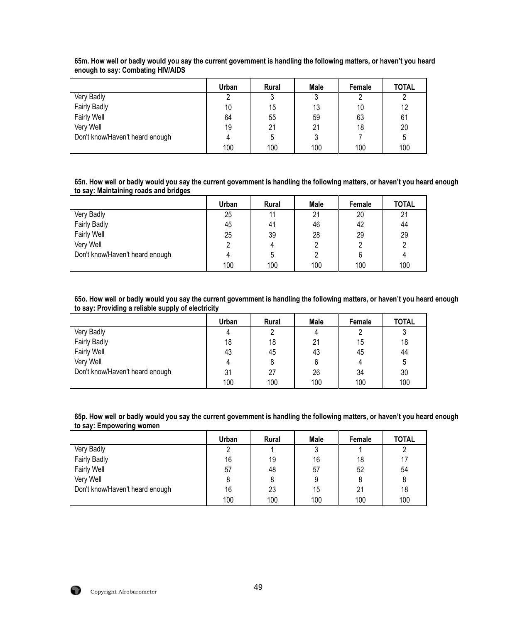|                                 | Urban | <b>Rural</b> | Male | Female | <b>TOTAL</b> |
|---------------------------------|-------|--------------|------|--------|--------------|
| Very Badly                      |       | 2<br>J       | 2    | ∩      |              |
| <b>Fairly Badly</b>             | 10    | 15           | 13   | 10     | 12           |
| <b>Fairly Well</b>              | 64    | 55           | 59   | 63     | 61           |
| Very Well                       | 19    | 21           | 21   | 18     | 20           |
| Don't know/Haven't heard enough |       | 5            |      |        | 5            |
|                                 | 100   | 100          | 100  | 100    | 100          |

**65m. How well or badly would you say the current government is handling the following matters, or haven't you heard enough to say: Combating HIV/AIDS**

**65n. How well or badly would you say the current government is handling the following matters, or haven't you heard enough to say: Maintaining roads and bridges**

|                                 | <b>Urban</b> | <b>Rural</b> | Male | Female | <b>TOTAL</b> |
|---------------------------------|--------------|--------------|------|--------|--------------|
| Very Badly                      | 25           | 11           | 21   | 20     | 21           |
| <b>Fairly Badly</b>             | 45           | 41           | 46   | 42     | 44           |
| <b>Fairly Well</b>              | 25           | 39           | 28   | 29     | 29           |
| Very Well                       |              | 4            |      |        |              |
| Don't know/Haven't heard enough |              | 5            |      |        |              |
|                                 | 100          | 100          | 100  | 100    | 100          |

**65o. How well or badly would you say the current government is handling the following matters, or haven't you heard enough to say: Providing a reliable supply of electricity**

|                                 | Urban | <b>Rural</b> | Male | Female | <b>TOTAL</b> |
|---------------------------------|-------|--------------|------|--------|--------------|
| Very Badly                      |       | າ<br>L       | 4    |        | J            |
| <b>Fairly Badly</b>             | 18    | 18           | 21   | 15     | 18           |
| <b>Fairly Well</b>              | 43    | 45           | 43   | 45     | 44           |
| Very Well                       |       |              |      |        | b            |
| Don't know/Haven't heard enough | 31    | 27           | 26   | 34     | 30           |
|                                 | 100   | 100          | 100  | 100    | 100          |

**65p. How well or badly would you say the current government is handling the following matters, or haven't you heard enough to say: Empowering women**

|                                 | Urban | <b>Rural</b> | Male | Female | <b>TOTAL</b> |
|---------------------------------|-------|--------------|------|--------|--------------|
| Very Badly                      |       |              |      |        |              |
| <b>Fairly Badly</b>             | 16    | 19           | 16   | 18     | 17           |
| <b>Fairly Well</b>              | 57    | 48           | 57   | 52     | 54           |
| Very Well                       |       |              | 9    |        | 8            |
| Don't know/Haven't heard enough | 16    | 23           | 15   | 21     | 18           |
|                                 | 100   | 100          | 100  | 100    | 100          |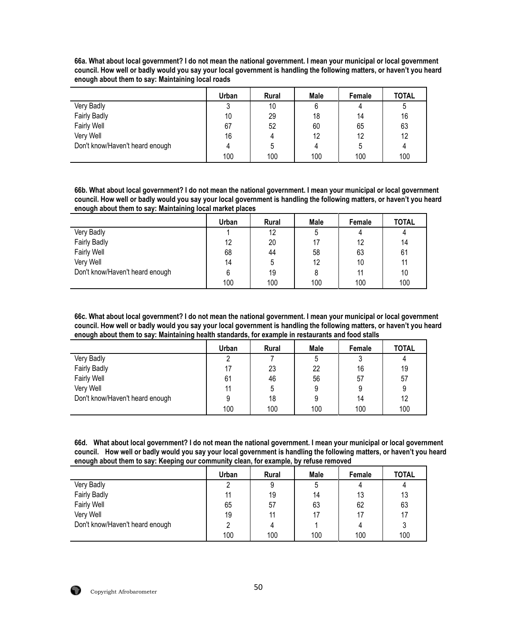**66a. What about local government? I do not mean the national government. I mean your municipal or local government council. How well or badly would you say your local government is handling the following matters, or haven't you heard enough about them to say: Maintaining local roads**

|                                 | Urban | <b>Rural</b> | <b>Male</b> | Female | <b>TOTAL</b> |
|---------------------------------|-------|--------------|-------------|--------|--------------|
| Very Badly                      |       | 10           |             |        |              |
| <b>Fairly Badly</b>             | 10    | 29           | 18          | 14     | 16           |
| <b>Fairly Well</b>              | 67    | 52           | 60          | 65     | 63           |
| Very Well                       | 16    |              | 12          | 12     | 12           |
| Don't know/Haven't heard enough |       | 5            |             | 5      | 4            |
|                                 | 100   | 100          | 100         | 100    | 100          |

**66b. What about local government? I do not mean the national government. I mean your municipal or local government council. How well or badly would you say your local government is handling the following matters, or haven't you heard enough about them to say: Maintaining local market places**

|                                 | Urban | <b>Rural</b> | Male | Female | <b>TOTAL</b> |
|---------------------------------|-------|--------------|------|--------|--------------|
| Very Badly                      |       | 12           | b    | 4      | 4            |
| <b>Fairly Badly</b>             | 12    | 20           | 17   | 12     | 14           |
| <b>Fairly Well</b>              | 68    | 44           | 58   | 63     | 61           |
| Very Well                       | 14    | 5            | 12   | 10     | 11           |
| Don't know/Haven't heard enough |       | 19           | 8    |        | 10           |
|                                 | 100   | 100          | 100  | 100    | 100          |

**66c. What about local government? I do not mean the national government. I mean your municipal or local government council. How well or badly would you say your local government is handling the following matters, or haven't you heard enough about them to say: Maintaining health standards, for example in restaurants and food stalls**

|                                 | Urban | <b>Rural</b> | Male         | Female | <b>TOTAL</b> |
|---------------------------------|-------|--------------|--------------|--------|--------------|
| Very Badly                      | ∩     |              | <sup>5</sup> |        |              |
| <b>Fairly Badly</b>             |       | 23           | 22           | 16     | 19           |
| <b>Fairly Well</b>              | 61    | 46           | 56           | 57     | 57           |
| Very Well                       | 11    | 5            | 9            |        | 9            |
| Don't know/Haven't heard enough | 9     | 18           |              | 14     | 12           |
|                                 | 100   | 100          | 100          | 100    | 100          |

**66d. What about local government? I do not mean the national government. I mean your municipal or local government council. How well or badly would you say your local government is handling the following matters, or haven't you heard enough about them to say: Keeping our community clean, for example, by refuse removed**

|                                 | Urban | <b>Rural</b> | <b>Male</b> | Female | <b>TOTAL</b> |
|---------------------------------|-------|--------------|-------------|--------|--------------|
| Very Badly                      |       | 9            |             |        |              |
| <b>Fairly Badly</b>             | 11    | 19           | 14          | 13     | 13           |
| <b>Fairly Well</b>              | 65    | 57           | 63          | 62     | 63           |
| Very Well                       | 19    | 11           | 17          | 17     | 17           |
| Don't know/Haven't heard enough |       |              |             |        | 3            |
|                                 | 100   | 100          | 100         | 100    | 100          |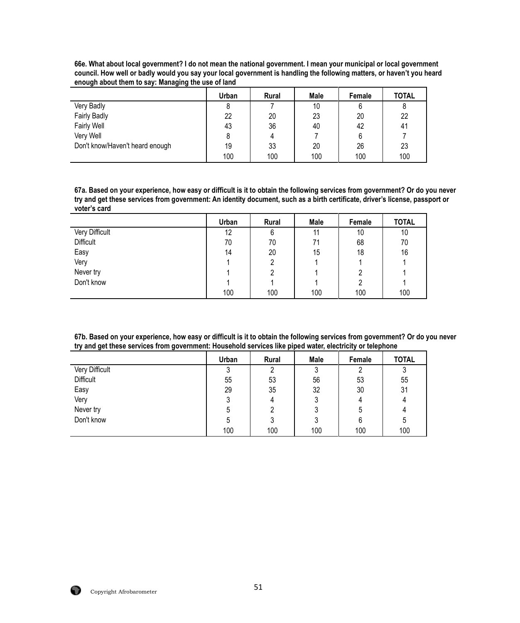|                                 | Urban | <b>Rural</b> | <b>Male</b> | Female | <b>TOTAL</b> |
|---------------------------------|-------|--------------|-------------|--------|--------------|
| Very Badly                      |       |              | 10          | 6      | 8            |
| Fairly Badly                    | 22    | 20           | 23          | 20     | 22           |
| <b>Fairly Well</b>              | 43    | 36           | 40          | 42     | 41           |
| Very Well                       |       | 4            |             | 6      |              |
| Don't know/Haven't heard enough | 19    | 33           | 20          | 26     | 23           |
|                                 | 100   | 100          | 100         | 100    | 100          |

**66e. What about local government? I do not mean the national government. I mean your municipal or local government council. How well or badly would you say your local government is handling the following matters, or haven't you heard enough about them to say: Managing the use of land**

**67a. Based on your experience, how easy or difficult is it to obtain the following services from government? Or do you never try and get these services from government: An identity document, such as a birth certificate, driver's license, passport or voter's card**

|                  | <b>Urban</b> | Rural | Male | Female | <b>TOTAL</b> |
|------------------|--------------|-------|------|--------|--------------|
| Very Difficult   | 12           | 6     | 11   | 10     | 10           |
| <b>Difficult</b> | 70           | 70    | 71   | 68     | 70           |
| Easy             | 14           | 20    | 15   | 18     | 16           |
| Very             |              | 2     |      |        |              |
| Never try        |              |       |      |        |              |
| Don't know       |              |       |      |        |              |
|                  | 100          | 100   | 100  | 100    | 100          |

**67b. Based on your experience, how easy or difficult is it to obtain the following services from government? Or do you never try and get these services from government: Household services like piped water, electricity or telephone**

|                | Urban | Rural | Male | Female | <b>TOTAL</b> |
|----------------|-------|-------|------|--------|--------------|
| Very Difficult | າ     | 2     | າ    | റ      | J            |
| Difficult      | 55    | 53    | 56   | 53     | 55           |
| Easy           | 29    | 35    | 32   | 30     | 31           |
| Very           |       | 4     |      | 4      |              |
| Never try      | ხ     | 2     |      | ხ      |              |
| Don't know     | b     |       |      | 6      | b            |
|                | 100   | 100   | 100  | 100    | 100          |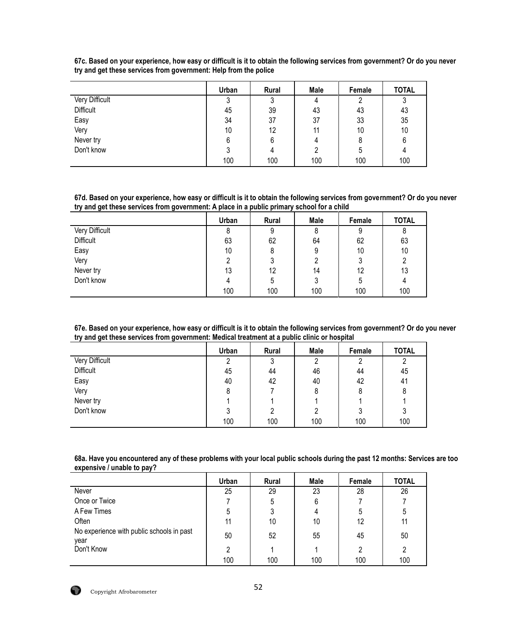|                  | Urban | Rural | Male | Female | <b>TOTAL</b> |
|------------------|-------|-------|------|--------|--------------|
| Very Difficult   | ົ     | 3     | 4    | ∩      | ν            |
| <b>Difficult</b> | 45    | 39    | 43   | 43     | 43           |
| Easy             | 34    | 37    | 37   | 33     | 35           |
| Very             | 10    | 12    | 11   | 10     | 10           |
| Never try        | 6     | 6     | 4    | 8      | 6            |
| Don't know       |       | 4     | 2    | 5      |              |
|                  | 100   | 100   | 100  | 100    | 100          |

**67c. Based on your experience, how easy or difficult is it to obtain the following services from government? Or do you never try and get these services from government: Help from the police**

**67d. Based on your experience, how easy or difficult is it to obtain the following services from government? Or do you never try and get these services from government: A place in a public primary school for a child** 

|                | Urban | Rural | Male | Female | <b>TOTAL</b> |
|----------------|-------|-------|------|--------|--------------|
| Very Difficult | 8     | 9     | 8    | 9      | 8            |
| Difficult      | 63    | 62    | 64   | 62     | 63           |
| Easy           | 10    | 8     | 9    | 10     | 10           |
| Very           | ∩     | 3     | 2    | ົ      | ∩            |
| Never try      | 13    | 12    | 14   | 12     | 13           |
| Don't know     |       | 5     | 3    | 5      |              |
|                | 100   | 100   | 100  | 100    | 100          |

**67e. Based on your experience, how easy or difficult is it to obtain the following services from government? Or do you never try and get these services from government: Medical treatment at a public clinic or hospital**

|                  | Urban | Rural | <b>Male</b> | Female | <b>TOTAL</b> |
|------------------|-------|-------|-------------|--------|--------------|
| Very Difficult   | ົ     | 3     |             | ົ      | າ            |
| <b>Difficult</b> | 45    | 44    | 46          | 44     | 45           |
| Easy             | 40    | 42    | 40          | 42     | 41           |
| Very             | 8     |       | 8           | 8      | 8            |
| Never try        |       |       |             |        |              |
| Don't know       | ર     | 2     |             | ົ<br>J | 3            |
|                  | 100   | 100   | 100         | 100    | 100          |

**68a. Have you encountered any of these problems with your local public schools during the past 12 months: Services are too expensive / unable to pay?**

|                                                   | Urban | <b>Rural</b> | Male | Female | <b>TOTAL</b> |
|---------------------------------------------------|-------|--------------|------|--------|--------------|
| Never                                             | 25    | 29           | 23   | 28     | 26           |
| Once or Twice                                     |       | 5            | 6    |        |              |
| A Few Times                                       | 5     | 3            |      | 5      | 5            |
| Often                                             | 11    | 10           | 10   | 12     | 11           |
| No experience with public schools in past<br>year | 50    | 52           | 55   | 45     | 50           |
| Don't Know                                        | C     |              |      | 2      | 2            |
|                                                   | 100   | 100          | 100  | 100    | 100          |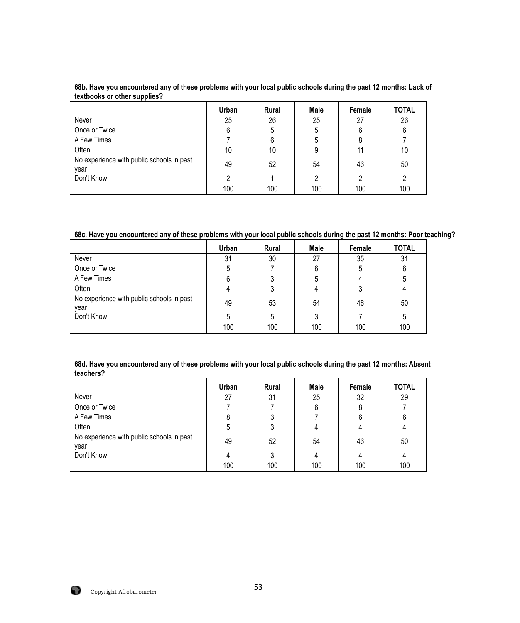|                                                   | Urban | <b>Rural</b> | Male | Female         | <b>TOTAL</b> |
|---------------------------------------------------|-------|--------------|------|----------------|--------------|
| Never                                             | 25    | 26           | 25   | 27             | 26           |
| Once or Twice                                     | 6     | 5            | 5    | 6              | 6            |
| A Few Times                                       |       | 6            |      | 8              |              |
| Often                                             | 10    | 10           |      | 11             | 10           |
| No experience with public schools in past<br>year | 49    | 52           | 54   | 46             | 50           |
| Don't Know                                        | 2     |              | 2    | $\mathfrak{p}$ | 2            |
|                                                   | 100   | 100          | 100  | 100            | 100          |

**68b. Have you encountered any of these problems with your local public schools during the past 12 months: Lack of textbooks or other supplies?**

**68c. Have you encountered any of these problems with your local public schools during the past 12 months: Poor teaching?**

|                                                   | Urban | <b>Rural</b> | Male | Female | <b>TOTAL</b> |
|---------------------------------------------------|-------|--------------|------|--------|--------------|
| Never                                             | 31    | 30           | 27   | 35     | 31           |
| Once or Twice                                     | 5     |              | 6    | 5      | 6            |
| A Few Times                                       | 6     | 3            | 5    |        | 5            |
| Often                                             |       | 3            | 4    |        |              |
| No experience with public schools in past<br>year | 49    | 53           | 54   | 46     | 50           |
| Don't Know                                        | 5     | 5            |      |        | 5            |
|                                                   | 100   | 100          | 100  | 100    | 100          |

**68d. Have you encountered any of these problems with your local public schools during the past 12 months: Absent teachers?**

|                                                   | Urban | <b>Rural</b> | Male | Female | <b>TOTAL</b> |
|---------------------------------------------------|-------|--------------|------|--------|--------------|
| Never                                             | 27    | 31           | 25   | 32     | 29           |
| Once or Twice                                     |       |              | 6    |        |              |
| A Few Times                                       | 8     | 3            |      | 6      | 6            |
| Often                                             | 5     | 3            |      |        |              |
| No experience with public schools in past<br>year | 49    | 52           | 54   | 46     | 50           |
| Don't Know                                        | 4     | 3            | 4    | 4      |              |
|                                                   | 100   | 100          | 100  | 100    | 100          |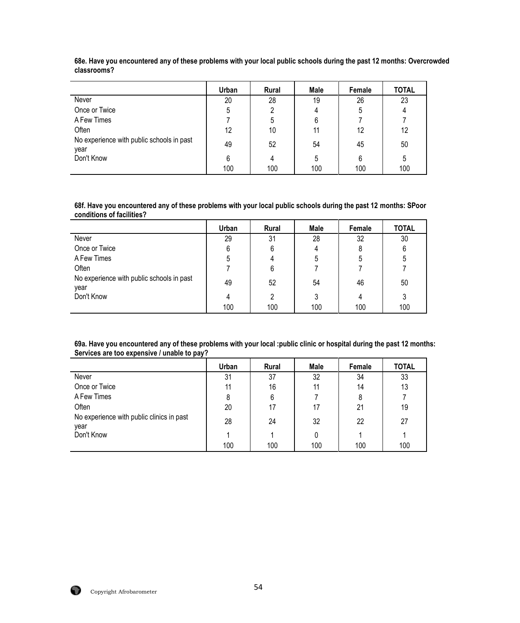|                                                   | Urban | <b>Rural</b> | Male | Female | <b>TOTAL</b> |
|---------------------------------------------------|-------|--------------|------|--------|--------------|
| Never                                             | 20    | 28           | 19   | 26     | 23           |
| Once or Twice                                     | 5     | 2            | 4    | 5      |              |
| A Few Times                                       |       | 5            | 6    |        |              |
| Often                                             | 12    | 10           | 11   | 12     | 12           |
| No experience with public schools in past<br>year | 49    | 52           | 54   | 45     | 50           |
| Don't Know                                        | 6     | 4            | 5    | 6      | ხ            |
|                                                   | 100   | 100          | 100  | 100    | 100          |

**68e. Have you encountered any of these problems with your local public schools during the past 12 months: Overcrowded classrooms?**

**68f. Have you encountered any of these problems with your local public schools during the past 12 months: SPoor conditions of facilities?**

|                                                   | Urban | <b>Rural</b> | Male | Female | <b>TOTAL</b> |
|---------------------------------------------------|-------|--------------|------|--------|--------------|
| Never                                             | 29    | 31           | 28   | 32     | 30           |
| Once or Twice                                     | 6     | 6            |      | 8      | 6            |
| A Few Times                                       | 5     | 4            | 5    | 5      | 5            |
| Often                                             |       | 6            |      |        |              |
| No experience with public schools in past<br>year | 49    | 52           | 54   | 46     | 50           |
| Don't Know                                        | 4     | 2            | 3    | 4      | 3            |
|                                                   | 100   | 100          | 100  | 100    | 100          |

**69a. Have you encountered any of these problems with your local :public clinic or hospital during the past 12 months: Services are too expensive / unable to pay?**

|                                                   | Urban | <b>Rural</b> | Male | Female | <b>TOTAL</b> |
|---------------------------------------------------|-------|--------------|------|--------|--------------|
| Never                                             | 31    | 37           | 32   | 34     | 33           |
| Once or Twice                                     | 11    | 16           | 11   | 14     | 13           |
| A Few Times                                       | 8     | 6            |      | 8      |              |
| Often                                             | 20    | 17           | 17   | 21     | 19           |
| No experience with public clinics in past<br>vear | 28    | 24           | 32   | 22     | 27           |
| Don't Know                                        |       |              |      |        |              |
|                                                   | 100   | 100          | 100  | 100    | 100          |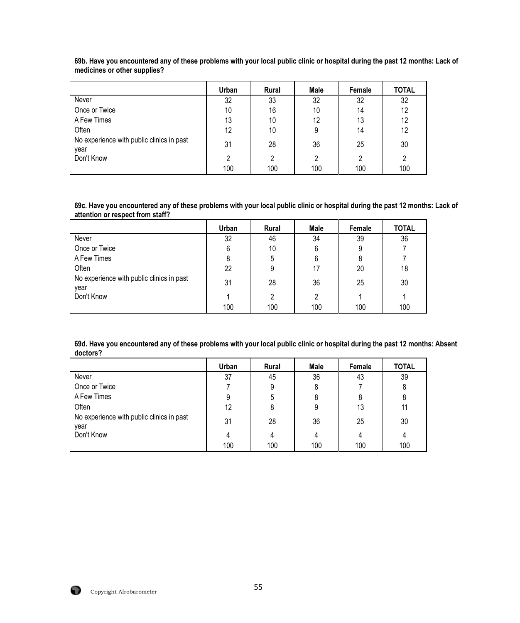|                                                   | Urban | <b>Rural</b> | Male | Female | <b>TOTAL</b> |
|---------------------------------------------------|-------|--------------|------|--------|--------------|
| Never                                             | 32    | 33           | 32   | 32     | 32           |
| Once or Twice                                     | 10    | 16           | 10   | 14     | 12           |
| A Few Times                                       | 13    | 10           | 12   | 13     | 12           |
| Often                                             | 12    | 10           | 9    | 14     | 12           |
| No experience with public clinics in past<br>year | 31    | 28           | 36   | 25     | 30           |
| Don't Know                                        |       | 2            | 2    | ົ      | 2            |
|                                                   | 100   | 100          | 100  | 100    | 100          |

**69b. Have you encountered any of these problems with your local public clinic or hospital during the past 12 months: Lack of medicines or other supplies?**

**69c. Have you encountered any of these problems with your local public clinic or hospital during the past 12 months: Lack of attention or respect from staff?**

|                                                   | Urban | <b>Rural</b> | Male | Female | <b>TOTAL</b> |
|---------------------------------------------------|-------|--------------|------|--------|--------------|
| Never                                             | 32    | 46           | 34   | 39     | 36           |
| Once or Twice                                     | 6     | 10           | 6    | 9      |              |
| A Few Times                                       |       | 5            | 6    |        |              |
| Often                                             | 22    | 9            | 17   | 20     | 18           |
| No experience with public clinics in past<br>year | 31    | 28           | 36   | 25     | 30           |
| Don't Know                                        |       | 2            | 2    |        |              |
|                                                   | 100   | 100          | 100  | 100    | 100          |

**69d. Have you encountered any of these problems with your local public clinic or hospital during the past 12 months: Absent doctors?**

|                                                   | Urban | Rural | Male | Female | <b>TOTAL</b> |
|---------------------------------------------------|-------|-------|------|--------|--------------|
| Never                                             | 37    | 45    | 36   | 43     | 39           |
| Once or Twice                                     |       | 9     | 8    |        | 8            |
| A Few Times                                       | 9     | 5     | 8    |        | 8            |
| Often                                             | 12    | 8     | 9    | 13     | 11           |
| No experience with public clinics in past<br>vear | 31    | 28    | 36   | 25     | 30           |
| Don't Know                                        |       | 4     | 4    | 4      |              |
|                                                   | 100   | 100   | 100  | 100    | 100          |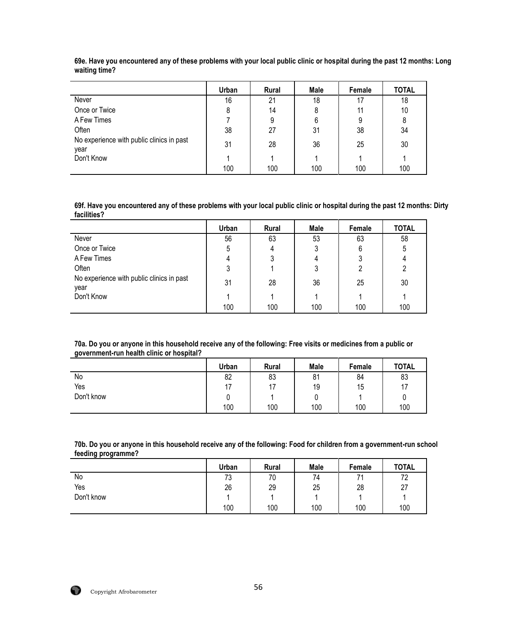|                                                   | Urban | <b>Rural</b> | Male | Female | <b>TOTAL</b> |
|---------------------------------------------------|-------|--------------|------|--------|--------------|
| Never                                             | 16    | 21           | 18   |        | 18           |
| Once or Twice                                     | 8     | 14           | 8    | 11     | 10           |
| A Few Times                                       |       | 9            | 6    | 9      | 8            |
| Often                                             | 38    | 27           | 31   | 38     | 34           |
| No experience with public clinics in past<br>year | 31    | 28           | 36   | 25     | 30           |
| Don't Know                                        |       |              |      |        |              |
|                                                   | 100   | 100          | 100  | 100    | 100          |

**69e. Have you encountered any of these problems with your local public clinic or hospital during the past 12 months: Long waiting time?**

**69f. Have you encountered any of these problems with your local public clinic or hospital during the past 12 months: Dirty facilities?**

|                                                   | Urban | Rural | Male | Female | <b>TOTAL</b> |
|---------------------------------------------------|-------|-------|------|--------|--------------|
| Never                                             | 56    | 63    | 53   | 63     | 58           |
| Once or Twice                                     | 5     | 4     |      | 6      | 5            |
| A Few Times                                       | 4     |       | 4    |        |              |
| Often                                             | ົ     |       | າ    |        | 2            |
| No experience with public clinics in past<br>year | 31    | 28    | 36   | 25     | 30           |
| Don't Know                                        |       |       |      |        |              |
|                                                   | 100   | 100   | 100  | 100    | 100          |

#### **70a. Do you or anyone in this household receive any of the following: Free visits or medicines from a public or government-run health clinic or hospital?**

|            | Urban | <b>Rural</b> | <b>Male</b> | Female | <b>TOTAL</b> |
|------------|-------|--------------|-------------|--------|--------------|
| No         | 82    | 83           | 81          | 84     | 83           |
| Yes        |       | 17<br>. .    | 19          | 15     | 17           |
| Don't know |       |              | υ           |        | U            |
|            | 100   | 100          | 100         | 100    | 100          |

**70b. Do you or anyone in this household receive any of the following: Food for children from a government-run school feeding programme?**

|            | Urban | <b>Rural</b> | <b>Male</b> | Female | <b>TOTAL</b> |
|------------|-------|--------------|-------------|--------|--------------|
| No         | 73    | 70           | 74          | 74     | 72           |
| Yes        | 26    | 29           | 25          | 28     | 27           |
| Don't know |       |              |             |        |              |
|            | 100   | 100          | 100         | 100    | 100          |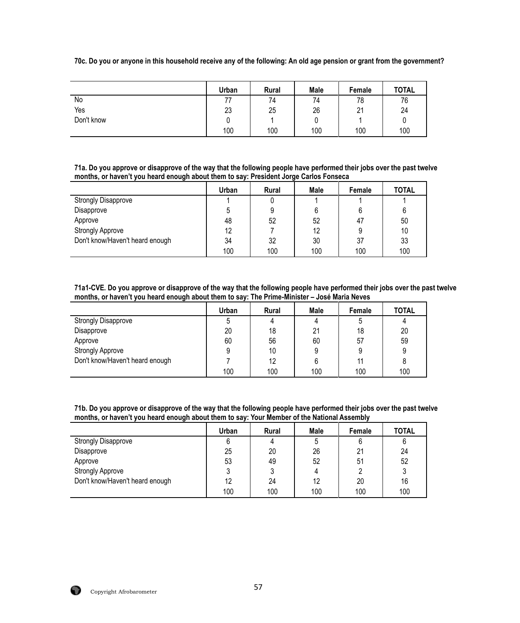**70c. Do you or anyone in this household receive any of the following: An old age pension or grant from the government?**

|            | Urban | Rural | <b>Male</b> | Female             | <b>TOTAL</b> |
|------------|-------|-------|-------------|--------------------|--------------|
| No         |       | 74    | 74          | 78                 | 76           |
| Yes        | 23    | 25    | 26          | $\mathbf{C}$<br>∠∣ | 24           |
| Don't know | u     |       |             |                    |              |
|            | 100   | 100   | 100         | 100                | 100          |

**71a. Do you approve or disapprove of the way that the following people have performed their jobs over the past twelve months, or haven't you heard enough about them to say: President Jorge Carlos Fonseca**

|                                 | Urban | <b>Rural</b> | Male | Female | TOTAL |
|---------------------------------|-------|--------------|------|--------|-------|
| <b>Strongly Disapprove</b>      |       |              |      |        |       |
| Disapprove                      |       | 9            |      |        | 6     |
| Approve                         | 48    | 52           | 52   | 47     | 50    |
| <b>Strongly Approve</b>         | 12    |              | 12   |        | 10    |
| Don't know/Haven't heard enough | 34    | 32           | 30   | 37     | 33    |
|                                 | 100   | 100          | 100  | 100    | 100   |

**71a1-CVE. Do you approve or disapprove of the way that the following people have performed their jobs over the past twelve months, or haven't you heard enough about them to say: The Prime-Minister – José Maria Neves**

|                                 | Urban | <b>Rural</b> | Male | Female | <b>TOTAL</b> |
|---------------------------------|-------|--------------|------|--------|--------------|
| <b>Strongly Disapprove</b>      |       | 4            |      |        |              |
| Disapprove                      | 20    | 18           | 21   | 18     | 20           |
| Approve                         | 60    | 56           | 60   | 57     | 59           |
| <b>Strongly Approve</b>         |       | 10           | 9    |        | 9            |
| Don't know/Haven't heard enough |       | 12           | 6    |        |              |
|                                 | 100   | 100          | 100  | 100    | 100          |

**71b. Do you approve or disapprove of the way that the following people have performed their jobs over the past twelve months, or haven't you heard enough about them to say: Your Member of the National Assembly**

|                                 | Urban | <b>Rural</b> | Male | Female | <b>TOTAL</b> |
|---------------------------------|-------|--------------|------|--------|--------------|
| <b>Strongly Disapprove</b>      |       | 4            |      |        |              |
| Disapprove                      | 25    | 20           | 26   | 21     | 24           |
| Approve                         | 53    | 49           | 52   | 51     | 52           |
| <b>Strongly Approve</b>         |       |              |      |        |              |
| Don't know/Haven't heard enough | 12    | 24           | 12   | 20     | 16           |
|                                 | 100   | 100          | 100  | 100    | 100          |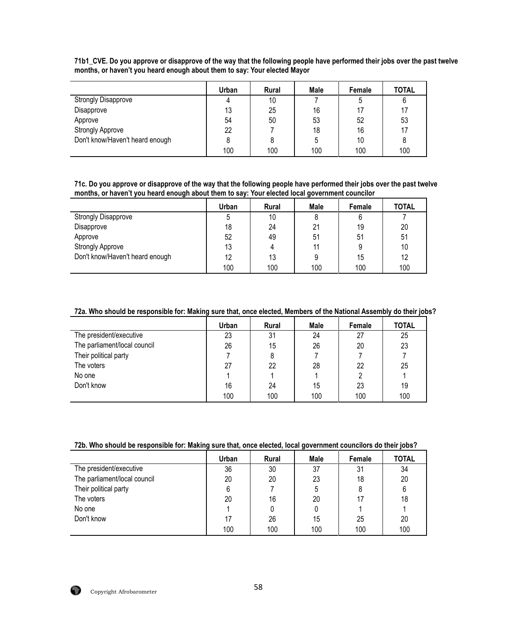|                                 | Urban | <b>Rural</b> | Male | Female | <b>TOTAL</b> |
|---------------------------------|-------|--------------|------|--------|--------------|
| <b>Strongly Disapprove</b>      | 4     | 10           |      | b      | 6            |
| Disapprove                      | 13    | 25           | 16   |        | 17           |
| Approve                         | 54    | 50           | 53   | 52     | 53           |
| <b>Strongly Approve</b>         | 22    |              | 18   | 16     | 17           |
| Don't know/Haven't heard enough |       | 8            |      | 10     | 8            |
|                                 | 100   | 100          | 100  | 100    | 100          |

**71b1\_CVE. Do you approve or disapprove of the way that the following people have performed their jobs over the past twelve months, or haven't you heard enough about them to say: Your elected Mayor**

**71c. Do you approve or disapprove of the way that the following people have performed their jobs over the past twelve months, or haven't you heard enough about them to say: Your elected local government councilor**

|                                 | Urban | <b>Rural</b> | Male | Female | <b>TOTAL</b> |
|---------------------------------|-------|--------------|------|--------|--------------|
| <b>Strongly Disapprove</b>      |       | 10           |      | 6      |              |
| Disapprove                      | 18    | 24           | 21   | 19     | 20           |
| Approve                         | 52    | 49           | 51   | 51     | 51           |
| <b>Strongly Approve</b>         | 13    | 4            | 11   |        | 10           |
| Don't know/Haven't heard enough | 12    | 13           |      | 15     | 12           |
|                                 | 100   | 100          | 100  | 100    | 100          |

## **72a. Who should be responsible for: Making sure that, once elected, Members of the National Assembly do their jobs?**

|                              | <b>Urban</b> | <b>Rural</b> | Male | Female | <b>TOTAL</b> |
|------------------------------|--------------|--------------|------|--------|--------------|
| The president/executive      | 23           | 31           | 24   | 27     | 25           |
| The parliament/local council | 26           | 15           | 26   | 20     | 23           |
| Their political party        |              | 8            |      |        |              |
| The voters                   | 27           | 22           | 28   | 22     | 25           |
| No one                       |              |              |      |        |              |
| Don't know                   | 16           | 24           | 15   | 23     | 19           |
|                              | 100          | 100          | 100  | 100    | 100          |

#### **72b. Who should be responsible for: Making sure that, once elected, local government councilors do their jobs?**

|                              | Urban | <b>Rural</b> | Male | Female | <b>TOTAL</b> |
|------------------------------|-------|--------------|------|--------|--------------|
| The president/executive      | 36    | 30           | 37   | 31     | 34           |
| The parliament/local council | 20    | 20           | 23   | 18     | 20           |
| Their political party        | 6     |              | 5    | 8      | 6            |
| The voters                   | 20    | 16           | 20   |        | 18           |
| No one                       |       |              |      |        |              |
| Don't know                   |       | 26           | 15   | 25     | 20           |
|                              | 100   | 100          | 100  | 100    | 100          |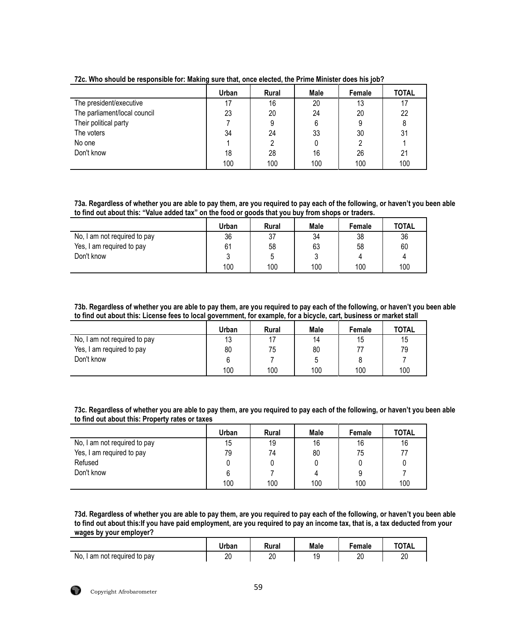|                              | Urban | Rural | Male | Female | <b>TOTAL</b> |
|------------------------------|-------|-------|------|--------|--------------|
| The president/executive      |       | 16    | 20   | 13     | 17           |
| The parliament/local council | 23    | 20    | 24   | 20     | 22           |
| Their political party        |       | 9     | 6    | 9      | 8            |
| The voters                   | 34    | 24    | 33   | 30     | 31           |
| No one                       |       |       |      |        |              |
| Don't know                   | 18    | 28    | 16   | 26     | 21           |
|                              | 100   | 100   | 100  | 100    | 100          |

**72c. Who should be responsible for: Making sure that, once elected, the Prime Minister does his job?**

**73a. Regardless of whether you are able to pay them, are you required to pay each of the following, or haven't you been able to find out about this: "Value added tax" on the food or goods that you buy from shops or traders.**

|                              | Urban | <b>Rural</b> | Male | Female | <b>TOTAL</b> |
|------------------------------|-------|--------------|------|--------|--------------|
| No, I am not required to pay | 36    | 37           | 34   | 38     | 36           |
| Yes, I am required to pay    | 61    | 58           | 63   | 58     | 60           |
| Don't know                   |       | 5            | ບ    | 4      | 4            |
|                              | 100   | 100          | 100  | 100    | 100          |

**73b. Regardless of whether you are able to pay them, are you required to pay each of the following, or haven't you been able to find out about this: License fees to local government, for example, for a bicycle, cart, business or market stall**

|                              | Urban | <b>Rural</b> | <b>Male</b> | Female | <b>TOTAL</b> |
|------------------------------|-------|--------------|-------------|--------|--------------|
| No, I am not required to pay | 13    | 17           | 14          | 15     | 15           |
| Yes, I am required to pay    | 80    | 75           | 80          |        | 79           |
| Don't know                   |       |              | 5           |        |              |
|                              | 100   | 100          | 100         | 100    | 100          |

**73c. Regardless of whether you are able to pay them, are you required to pay each of the following, or haven't you been able to find out about this: Property rates or taxes**

|                              | Urban | <b>Rural</b> | Male | Female | <b>TOTAL</b> |
|------------------------------|-------|--------------|------|--------|--------------|
| No, I am not required to pay | 15    | 19           | 16   | 16     | 16           |
| Yes, I am required to pay    | 79    | 74           | 80   | 75     | 77           |
| Refused                      |       | 0            |      |        |              |
| Don't know                   |       |              | 4    | 9      |              |
|                              | 100   | 100          | 100  | 100    | 100          |

**73d. Regardless of whether you are able to pay them, are you required to pay each of the following, or haven't you been able to find out about this:If you have paid employment, are you required to pay an income tax, that is, a tax deducted from your wages by your employer?**

|                          | Urban | Rural | <b>Male</b> | Female | <b>TOTAL</b> |
|--------------------------|-------|-------|-------------|--------|--------------|
| No,                      | n0    | o٢    | 1 C         | or     | า∩           |
| I am not required to pay | ∠∪    | ∠∪    |             | ້      | ∠∪           |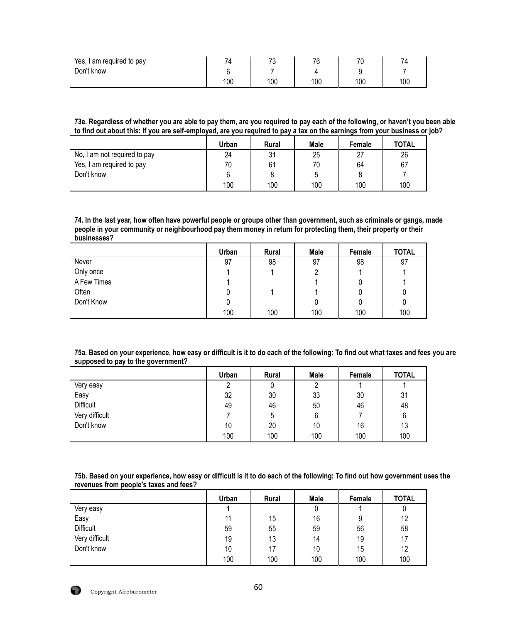| Yes, I<br>am required to pay | $\overline{\phantom{a}}$ | $\overline{\phantom{a}}$<br>ن ، | 76  | 70  | -   |
|------------------------------|--------------------------|---------------------------------|-----|-----|-----|
| Don't know                   |                          |                                 |     |     |     |
|                              | 100                      | 100                             | 100 | 100 | 100 |

**73e. Regardless of whether you are able to pay them, are you required to pay each of the following, or haven't you been able to find out about this: If you are self-employed, are you required to pay a tax on the earnings from your business or job?**

|                              | Urban | <b>Rural</b> | Male | Female | <b>TOTAL</b> |
|------------------------------|-------|--------------|------|--------|--------------|
| No, I am not required to pay | 24    | 31           | 25   | 27     | 26           |
| Yes, I am required to pay    | 70    | 61           | 70   | 64     | 67           |
| Don't know                   | ีค    |              | 5    |        |              |
|                              | 100   | 100          | 100  | 100    | 100          |

**74. In the last year, how often have powerful people or groups other than government, such as criminals or gangs, made people in your community or neighbourhood pay them money in return for protecting them, their property or their businesses?** 

|             | Urban | Rural | Male | Female | <b>TOTAL</b> |
|-------------|-------|-------|------|--------|--------------|
| Never       | 97    | 98    | 97   | 98     | 97           |
| Only once   |       |       |      |        |              |
| A Few Times |       |       |      |        |              |
| Often       |       |       |      |        |              |
| Don't Know  |       |       |      |        | 0            |
|             | 100   | 100   | 100  | 100    | 100          |

**75a. Based on your experience, how easy or difficult is it to do each of the following: To find out what taxes and fees you are supposed to pay to the government?**

|                  | Urban | Rural | Male | Female | <b>TOTAL</b> |
|------------------|-------|-------|------|--------|--------------|
| Very easy        | ∩     | 0     |      |        |              |
| Easy             | 32    | 30    | 33   | 30     | 31           |
| <b>Difficult</b> | 49    | 46    | 50   | 46     | 48           |
| Very difficult   |       | 5     | 6    |        | 6            |
| Don't know       | 10    | 20    | 10   | 16     | 13           |
|                  | 100   | 100   | 100  | 100    | 100          |

**75b. Based on your experience, how easy or difficult is it to do each of the following: To find out how government uses the revenues from people's taxes and fees?**

|                  | Urban | Rural | Male | Female | <b>TOTAL</b> |
|------------------|-------|-------|------|--------|--------------|
| Very easy        |       |       | 0    |        | υ            |
| Easy             | 11    | 15    | 16   | 9      | 12           |
| <b>Difficult</b> | 59    | 55    | 59   | 56     | 58           |
| Very difficult   | 19    | 13    | 14   | 19     | 17           |
| Don't know       | 10    | 17    | 10   | 15     | 12           |
|                  | 100   | 100   | 100  | 100    | 100          |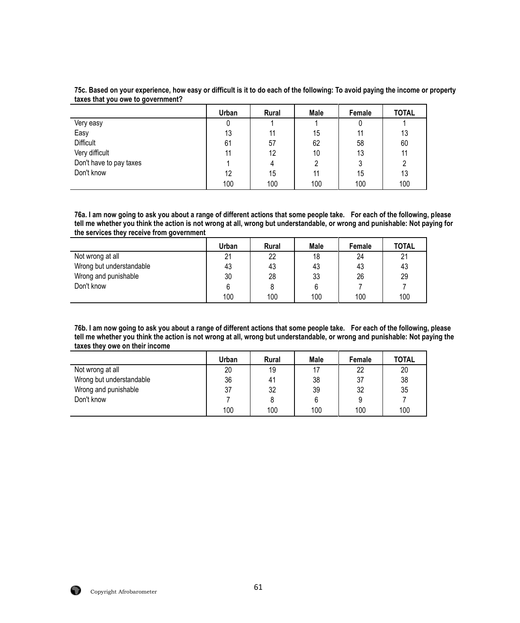| 75c. Based on your experience, how easy or difficult is it to do each of the following: To avoid paying the income or property |  |
|--------------------------------------------------------------------------------------------------------------------------------|--|
| taxes that you owe to government?                                                                                              |  |

|                         | Urban | <b>Rural</b> | Male | Female | <b>TOTAL</b> |
|-------------------------|-------|--------------|------|--------|--------------|
| Very easy               | υ     |              |      |        |              |
| Easy                    | 13    | 11           | 15   | 11     | 13           |
| <b>Difficult</b>        | 61    | 57           | 62   | 58     | 60           |
| Very difficult          | 11    | 12           | 10   | 13     | 11           |
| Don't have to pay taxes |       | 4            |      | ົ      | າ            |
| Don't know              | 12    | 15           | 11   | 15     | 13           |
|                         | 100   | 100          | 100  | 100    | 100          |

**76a. I am now going to ask you about a range of different actions that some people take. For each of the following, please tell me whether you think the action is not wrong at all, wrong but understandable, or wrong and punishable: Not paying for the services they receive from government** 

|                          | <b>Urban</b> | <b>Rural</b> | Male | <b>Female</b> | <b>TOTAL</b> |
|--------------------------|--------------|--------------|------|---------------|--------------|
| Not wrong at all         | 21           | 22           | 18   | 24            | 21           |
| Wrong but understandable | 43           | 43           | 43   | 43            | 43           |
| Wrong and punishable     | 30           | 28           | 33   | 26            | 29           |
| Don't know               |              |              |      |               |              |
|                          | 100          | 100          | 100  | 100           | 100          |

**76b. I am now going to ask you about a range of different actions that some people take. For each of the following, please tell me whether you think the action is not wrong at all, wrong but understandable, or wrong and punishable: Not paying the taxes they owe on their income** 

|                          | Urban | <b>Rural</b> | Male | Female | <b>TOTAL</b> |
|--------------------------|-------|--------------|------|--------|--------------|
| Not wrong at all         | 20    | 19           | 17   | 22     | 20           |
| Wrong but understandable | 36    | 41           | 38   | 37     | 38           |
| Wrong and punishable     | 37    | 32           | 39   | 32     | 35           |
| Don't know               |       |              |      |        |              |
|                          | 100   | 100          | 100  | 100    | 100          |

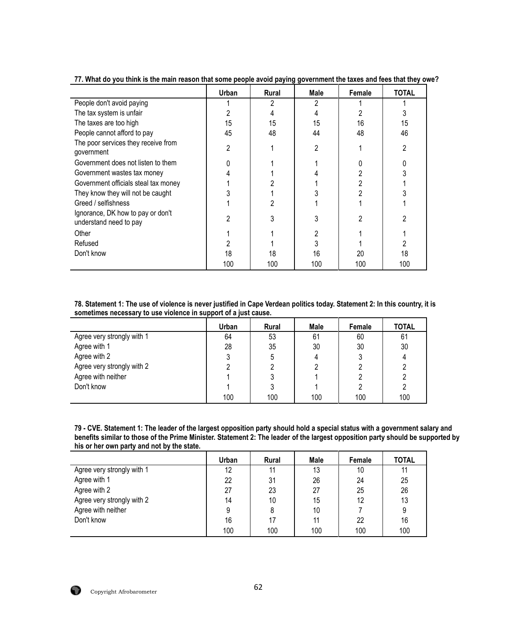|                                                             | Urban | Rural | Male | Female | <b>TOTAL</b> |
|-------------------------------------------------------------|-------|-------|------|--------|--------------|
| People don't avoid paying                                   |       |       |      |        |              |
| The tax system is unfair                                    |       |       |      |        |              |
| The taxes are too high                                      | 15    | 15    | 15   | 16     | 15           |
| People cannot afford to pay                                 | 45    | 48    | 44   | 48     | 46           |
| The poor services they receive from<br>government           | 2     |       | 2    |        | 2            |
| Government does not listen to them                          |       |       |      |        |              |
| Government wastes tax money                                 |       |       |      |        |              |
| Government officials steal tax money                        |       |       |      |        |              |
| They know they will not be caught                           |       |       |      |        |              |
| Greed / selfishness                                         |       |       |      |        |              |
| Ignorance, DK how to pay or don't<br>understand need to pay | 2     |       |      |        |              |
| Other                                                       |       |       |      |        |              |
| Refused                                                     |       |       |      |        |              |
| Don't know                                                  | 18    | 18    | 16   | 20     | 18           |
|                                                             | 100   | 100   | 100  | 100    | 100          |

**77. What do you think is the main reason that some people avoid paying government the taxes and fees that they owe?**

**78. Statement 1: The use of violence is never justified in Cape Verdean politics today. Statement 2: In this country, it is sometimes necessary to use violence in support of a just cause.**

|                            | Urban | <b>Rural</b> | Male | Female | <b>TOTAL</b> |
|----------------------------|-------|--------------|------|--------|--------------|
| Agree very strongly with 1 | 64    | 53           | 61   | 60     | 61           |
| Agree with 1               | 28    | 35           | 30   | 30     | 30           |
| Agree with 2               |       | 5            |      |        | 4            |
| Agree very strongly with 2 |       |              |      |        |              |
| Agree with neither         |       |              |      |        |              |
| Don't know                 |       |              |      |        |              |
|                            | 100   | 100          | 100  | 100    | 100          |

| 79 - CVE. Statement 1: The leader of the largest opposition party should hold a special status with a government salary and     |
|---------------------------------------------------------------------------------------------------------------------------------|
| benefits similar to those of the Prime Minister. Statement 2: The leader of the largest opposition party should be supported by |
| his or her own party and not by the state.                                                                                      |

| $1100$ of $1101$ only party alla $1100$ by the other. |       |              |      |        |              |
|-------------------------------------------------------|-------|--------------|------|--------|--------------|
|                                                       | Urban | <b>Rural</b> | Male | Female | <b>TOTAL</b> |
| Agree very strongly with 1                            | 12    | 11           | 13   | 10     | 11           |
| Agree with 1                                          | 22    | 31           | 26   | 24     | 25           |
| Agree with 2                                          | 27    | 23           | 27   | 25     | 26           |
| Agree very strongly with 2                            | 14    | 10           | 15   | 12     | 13           |
| Agree with neither                                    | 9     | 8            | 10   |        | 9            |
| Don't know                                            | 16    | 17           | 11   | 22     | 16           |
|                                                       | 100   | 100          | 100  | 100    | 100          |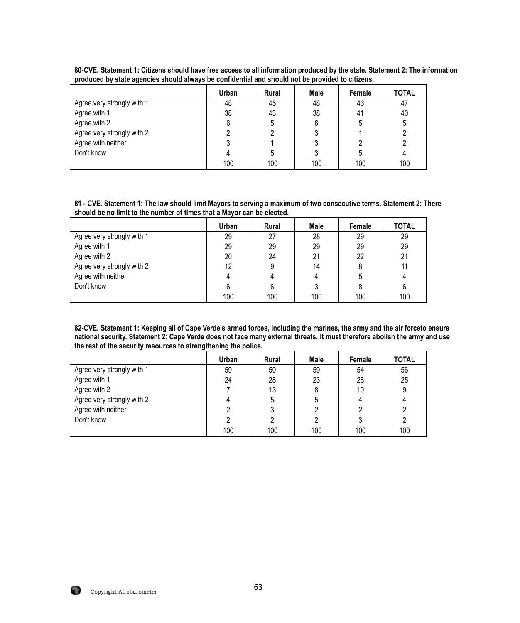|                            | Urban | <b>Rural</b> | Male | Female | <b>TOTAL</b> |
|----------------------------|-------|--------------|------|--------|--------------|
| Agree very strongly with 1 | 48    | 45           | 48   | 46     | 47           |
| Agree with 1               | 38    | 43           | 38   | 41     | 40           |
| Agree with 2               | 6     | 5            | 6    |        |              |
| Agree very strongly with 2 |       |              |      |        |              |
| Agree with neither         |       |              |      |        |              |
| Don't know                 |       | 5            |      |        |              |
|                            | 100   | 100          | 100  | 100    | 100          |

**80-CVE. Statement 1: Citizens should have free access to all information produced by the state. Statement 2: The information produced by state agencies should always be confidential and should not be provided to citizens.**

**81 - CVE. Statement 1: The law should limit Mayors to serving a maximum of two consecutive terms. Statement 2: There should be no limit to the number of times that a Mayor can be elected.**

|                            | Urban | <b>Rural</b> | Male | Female | <b>TOTAL</b> |
|----------------------------|-------|--------------|------|--------|--------------|
| Agree very strongly with 1 | 29    | 27           | 28   | 29     | 29           |
| Agree with 1               | 29    | 29           | 29   | 29     | 29           |
| Agree with 2               | 20    | 24           | 21   | 22     | 21           |
| Agree very strongly with 2 | 12    | 9            | 14   |        |              |
| Agree with neither         |       |              |      |        |              |
| Don't know                 |       | 6            |      |        |              |
|                            | 100   | 100          | 100  | 100    | 100          |

**82-CVE. Statement 1: Keeping all of Cape Verde's armed forces, including the marines, the army and the air forceto ensure national security. Statement 2: Cape Verde does not face many external threats. It must therefore abolish the army and use the rest of the security resources to strengthening the police.**

|                            | Urban | <b>Rural</b> | Male | Female | <b>TOTAL</b> |
|----------------------------|-------|--------------|------|--------|--------------|
| Agree very strongly with 1 | 59    | 50           | 59   | 54     | 56           |
| Agree with 1               | 24    | 28           | 23   | 28     | 25           |
| Agree with 2               |       | 13           |      | 10     |              |
| Agree very strongly with 2 |       | 5            |      |        |              |
| Agree with neither         |       |              |      |        |              |
| Don't know                 |       |              |      |        |              |
|                            | 100   | 100          | 100  | 100    | 100          |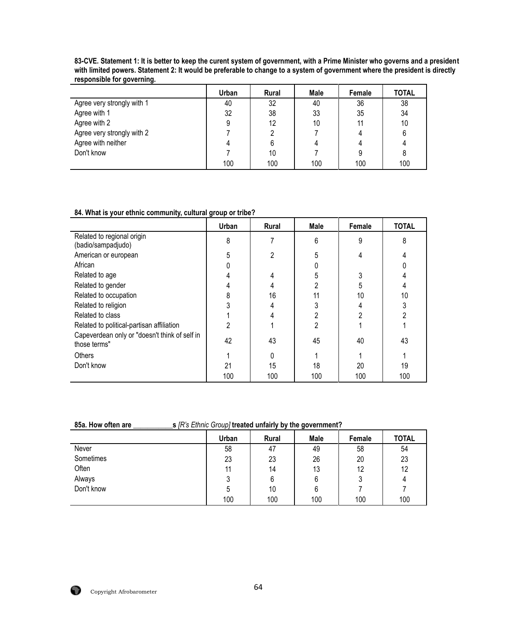|                            | Urban | <b>Rural</b> | Male | Female | <b>TOTAL</b> |
|----------------------------|-------|--------------|------|--------|--------------|
| Agree very strongly with 1 | 40    | 32           | 40   | 36     | 38           |
| Agree with 1               | 32    | 38           | 33   | 35     | 34           |
| Agree with 2               | 9     | 12           | 10   | 11     | 10           |
| Agree very strongly with 2 |       | 2            |      |        | 6            |
| Agree with neither         | 4     | 6            |      | 4      | 4            |
| Don't know                 |       | 10           |      |        | 8            |
|                            | 100   | 100          | 100  | 100    | 100          |

**83-CVE. Statement 1: It is better to keep the curent system of government, with a Prime Minister who governs and a president with limited powers. Statement 2: It would be preferable to change to a system of government where the president is directly responsible for governing.**

#### **84. What is your ethnic community, cultural group or tribe?**

|                                                               | Urban | Rural | <b>Male</b> | Female | <b>TOTAL</b> |
|---------------------------------------------------------------|-------|-------|-------------|--------|--------------|
| Related to regional origin<br>(badio/sampadjudo)              | 8     |       | 6           | 9      | 8            |
| American or european                                          | 5     | 2     | 5           |        |              |
| African                                                       |       |       |             |        |              |
| Related to age                                                |       | 4     |             |        |              |
| Related to gender                                             |       | 4     |             | 5      |              |
| Related to occupation                                         | 8     | 16    | 11          | 10     | 10           |
| Related to religion                                           |       |       |             |        |              |
| Related to class                                              |       |       |             | 2      | 2            |
| Related to political-partisan affiliation                     | 2     |       |             |        |              |
| Capeverdean only or "doesn't think of self in<br>those terms" | 42    | 43    | 45          | 40     | 43           |
| Others                                                        |       | 0     |             |        |              |
| Don't know                                                    | 21    | 15    | 18          | 20     | 19           |
|                                                               | 100   | 100   | 100         | 100    | 100          |

### **85a. How often are \_\_\_\_\_\_\_\_\_\_\_s** *[R's Ethnic Group]* **treated unfairly by the government?**

|            | Urban | <b>Rural</b> | Male | Female | <b>TOTAL</b> |
|------------|-------|--------------|------|--------|--------------|
| Never      | 58    | 47           | 49   | 58     | 54           |
| Sometimes  | 23    | 23           | 26   | 20     | 23           |
| Often      | 11    | 14           | 13   | 12     | 12           |
| Always     | J     | 6            | 6    |        | 4            |
| Don't know | ა     | 10           | 6    |        |              |
|            | 100   | 100          | 100  | 100    | 100          |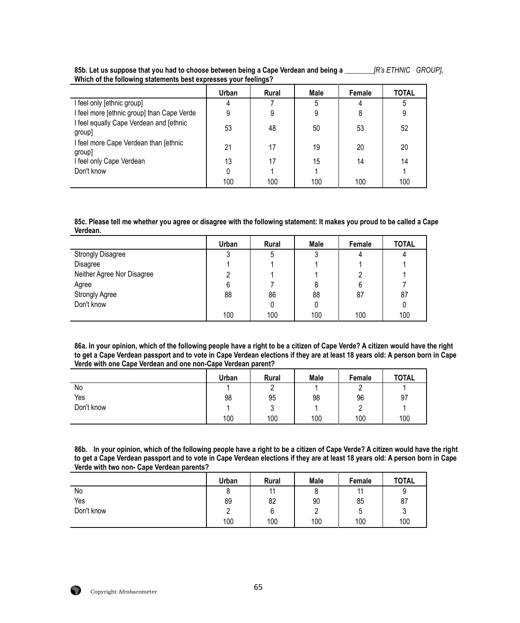|                                                   | Urban | <b>Rural</b> | Male | Female | TOTAL |
|---------------------------------------------------|-------|--------------|------|--------|-------|
| I feel only [ethnic group]                        | 4     |              |      |        | 5     |
| I feel more [ethnic group] than Cape Verde        | 9     | 9            | 9    | 8      | 9     |
| I feel equally Cape Verdean and [ethnic<br>group] | 53    | 48           | 50   | 53     | 52    |
| I feel more Cape Verdean than [ethnic<br>group]   | 21    | 17           | 19   | 20     | 20    |
| I feel only Cape Verdean                          | 13    | 17           | 15   | 14     | 14    |
| Don't know                                        |       |              |      |        |       |
|                                                   | 100   | 100          | 100  | 100    | 100   |

**85b. Let us suppose that you had to choose between being a Cape Verdean and being a \_\_\_\_\_\_\_\_***[R's ETHNIC GROUP]***. Which of the following statements best expresses your feelings?**

**85c. Please tell me whether you agree or disagree with the following statement: It makes you proud to be called a Cape Verdean.**

|                            | Urban | Rural | Male | Female | <b>TOTAL</b> |
|----------------------------|-------|-------|------|--------|--------------|
| <b>Strongly Disagree</b>   | າ     | ა     |      |        |              |
| Disagree                   |       |       |      |        |              |
| Neither Agree Nor Disagree |       |       |      |        |              |
| Agree                      | 6     |       |      | 6      |              |
| <b>Strongly Agree</b>      | 88    | 86    | 88   | 87     | 87           |
| Don't know                 |       |       |      |        |              |
|                            | 100   | 100   | 100  | 100    | 100          |

**86a. In your opinion, which of the following people have a right to be a citizen of Cape Verde? A citizen would have the right to get a Cape Verdean passport and to vote in Cape Verdean elections if they are at least 18 years old: A person born in Cape Verde with one Cape Verdean and one non-Cape Verdean parent?**

|            | Urban | Rural  | <b>Male</b> | Female | <b>TOTAL</b> |
|------------|-------|--------|-------------|--------|--------------|
| No         |       |        |             |        |              |
| Yes        | 98    | 95     | 98          | 96     | 97           |
| Don't know |       | ົ<br>ັ |             |        |              |
|            | 100   | 100    | 100         | 100    | 100          |

**86b. In your opinion, which of the following people have a right to be a citizen of Cape Verde? A citizen would have the right to get a Cape Verdean passport and to vote in Cape Verdean elections if they are at least 18 years old: A person born in Cape Verde with two non- Cape Verdean parents?**

|            | Urban | <b>Rural</b> | Male | Female         | <b>TOTAL</b> |
|------------|-------|--------------|------|----------------|--------------|
| No         | Ο     | 11           | ο    | $\overline{A}$ | ັ            |
| Yes        | 89    | 82           | 90   | 85             | 87           |
| Don't know |       | 6            | ∸    |                | ັ            |
|            | 100   | 100          | 100  | 100            | 100          |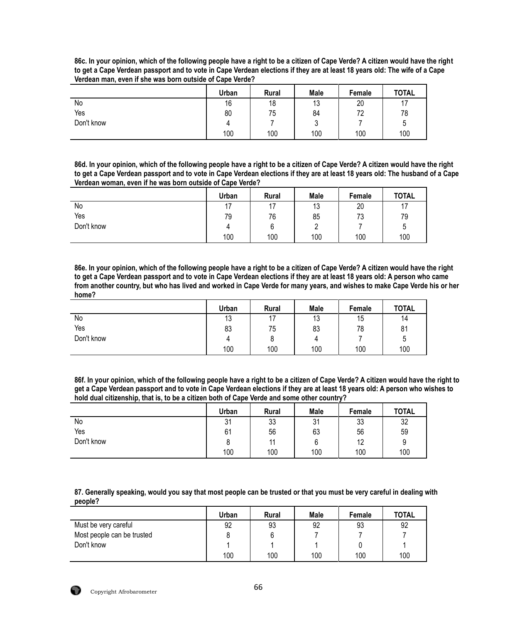| 86c. In your opinion, which of the following people have a right to be a citizen of Cape Verde? A citizen would have the right |  |  |  |
|--------------------------------------------------------------------------------------------------------------------------------|--|--|--|
| to get a Cape Verdean passport and to vote in Cape Verdean elections if they are at least 18 years old: The wife of a Cape     |  |  |  |
| Verdean man, even if she was born outside of Cape Verde?                                                                       |  |  |  |
|                                                                                                                                |  |  |  |

|            | Urban | <b>Rural</b> | Male      | Female    | <b>TOTAL</b> |
|------------|-------|--------------|-----------|-----------|--------------|
| No         | 16    | 18           | 12<br>ں ا | 20        |              |
| Yes        | 80    | 75           | 84        | 70<br>1 L | 78           |
| Don't know |       |              | ົ<br>v    |           | ა            |
|            | 100   | 100          | 100       | 100       | 100          |

**86d. In your opinion, which of the following people have a right to be a citizen of Cape Verde? A citizen would have the right to get a Cape Verdean passport and to vote in Cape Verdean elections if they are at least 18 years old: The husband of a Cape Verdean woman, even if he was born outside of Cape Verde?**

|            | Urban | <b>Rural</b>             | <b>Male</b> | Female | <b>TOTAL</b> |
|------------|-------|--------------------------|-------------|--------|--------------|
| No         | 17    | $\overline{\phantom{a}}$ | 13          | 20     | 17           |
| Yes        | 79    | 76                       | 85          | 73     | 79           |
| Don't know |       | ◠<br>b                   | <u>.</u>    |        | 'n<br>ν      |
|            | 100   | 100                      | 100         | 100    | 100          |

**86e. In your opinion, which of the following people have a right to be a citizen of Cape Verde? A citizen would have the right to get a Cape Verdean passport and to vote in Cape Verdean elections if they are at least 18 years old: A person who came from another country, but who has lived and worked in Cape Verde for many years, and wishes to make Cape Verde his or her home?**

|            | Urban | <b>Rural</b> | <b>Male</b> | Female | <b>TOTAL</b> |
|------------|-------|--------------|-------------|--------|--------------|
| No         | 13    | 17           | 12<br>ں ا   | 15     | 14           |
| Yes        | 83    | 75           | 83          | 78     | 81           |
| Don't know |       | ັ            | 4           |        | ა            |
|            | 100   | 100          | 100         | 100    | 100          |

**86f. In your opinion, which of the following people have a right to be a citizen of Cape Verde? A citizen would have the right to get a Cape Verdean passport and to vote in Cape Verdean elections if they are at least 18 years old: A person who wishes to hold dual citizenship, that is, to be a citizen both of Cape Verde and some other country?**

|            | Urban | Rural | <b>Male</b> | Female | <b>TOTAL</b> |
|------------|-------|-------|-------------|--------|--------------|
| No         | 31    | 33    | 31          | 33     | 32           |
| Yes        | 61    | 56    | 63          | 56     | 59           |
| Don't know | o     | 11    |             | 12     | a<br>◡       |
|            | 100   | 100   | 100         | 100    | 100          |

**87. Generally speaking, would you say that most people can be trusted or that you must be very careful in dealing with people?**

|                            | Urban | <b>Rural</b> | <b>Male</b> | Female | <b>TOTAL</b> |
|----------------------------|-------|--------------|-------------|--------|--------------|
| Must be very careful       | 92    | 93           | 92          | 93     | 92           |
| Most people can be trusted |       |              |             |        |              |
| Don't know                 |       |              |             |        |              |
|                            | 100   | 100          | 100         | 100    | 100          |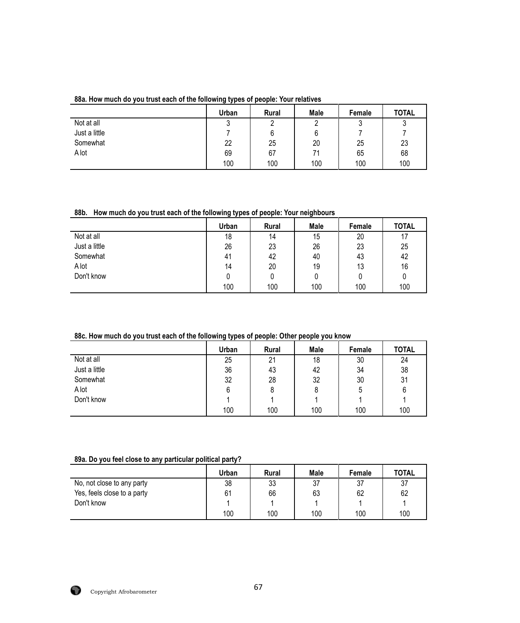## **88a. How much do you trust each of the following types of people: Your relatives**

|               | Urban  | <b>Rural</b> | <b>Male</b> | Female | <b>TOTAL</b> |
|---------------|--------|--------------|-------------|--------|--------------|
| Not at all    | ົ<br>J | ົ            |             | ົ<br>J | າ<br>ັ       |
| Just a little |        | 6            | 6           |        |              |
| Somewhat      | 22     | 25           | 20          | 25     | 23           |
| A lot         | 69     | 67           | 71          | 65     | 68           |
|               | 100    | 100          | 100         | 100    | 100          |

# **88b. How much do you trust each of the following types of people: Your neighbours**

|               | Urban | <b>Rural</b> | Male | Female | <b>TOTAL</b> |
|---------------|-------|--------------|------|--------|--------------|
| Not at all    | 18    | 14           | 15   | 20     | 17           |
| Just a little | 26    | 23           | 26   | 23     | 25           |
| Somewhat      | 41    | 42           | 40   | 43     | 42           |
| A lot         | 14    | 20           | 19   | 13     | 16           |
| Don't know    |       | 0            | 0    |        | 0            |
|               | 100   | 100          | 100  | 100    | 100          |

## **88c. How much do you trust each of the following types of people: Other people you know**

|               | Urban | Rural | Male | Female | <b>TOTAL</b> |
|---------------|-------|-------|------|--------|--------------|
| Not at all    | 25    | 21    | 18   | 30     | 24           |
| Just a little | 36    | 43    | 42   | 34     | 38           |
| Somewhat      | 32    | 28    | 32   | 30     | 31           |
| A lot         |       | 8     |      |        | 6            |
| Don't know    |       |       |      |        |              |
|               | 100   | 100   | 100  | 100    | 100          |

### **89a. Do you feel close to any particular political party?**

|                             | Urban | <b>Rural</b> | Male | Female | <b>TOTAL</b> |
|-----------------------------|-------|--------------|------|--------|--------------|
| No, not close to any party  | 38    | 33           | 37   | 37     | 37           |
| Yes, feels close to a party | 61    | 66           | 63   | 62     | 62           |
| Don't know                  |       |              |      |        |              |
|                             | 100   | 100          | 100  | 100    | 100          |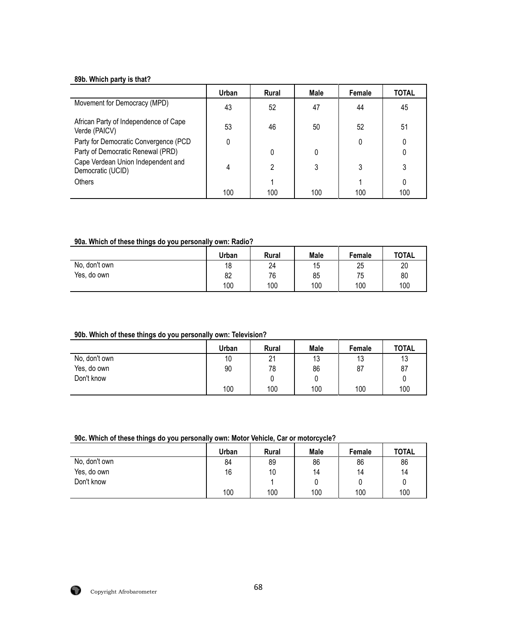## **89b. Which party is that?**

|                                                                            | Urban | <b>Rural</b> | Male | Female | <b>TOTAL</b> |
|----------------------------------------------------------------------------|-------|--------------|------|--------|--------------|
| Movement for Democracy (MPD)                                               | 43    | 52           | 47   | 44     | 45           |
| African Party of Independence of Cape<br>Verde (PAICV)                     | 53    | 46           | 50   | 52     | 51           |
| Party for Democratic Convergence (PCD<br>Party of Democratic Renewal (PRD) | 0     | 0            | 0    | 0      | 0            |
| Cape Verdean Union Independent and<br>Democratic (UCID)                    | 4     | 2            | 3    | 3      | 3            |
| Others                                                                     |       |              |      |        | 0            |
|                                                                            | 100   | 100          | 100  | 100    | 100          |

### **90a. Which of these things do you personally own: Radio?**

|               | Urban | Rural | <b>Male</b> | Female | <b>TOTAL</b> |
|---------------|-------|-------|-------------|--------|--------------|
| No, don't own | 18    | 24    | 15          | 25     | 20           |
| Yes, do own   | 82    | 76    | 85          | 75     | 80           |
|               | 100   | 100   | 100         | 100    | 100          |

### **90b. Which of these things do you personally own: Television?**

|               | Urban | <b>Rural</b> | <b>Male</b> | <b>Female</b> | <b>TOTAL</b> |
|---------------|-------|--------------|-------------|---------------|--------------|
| No, don't own | 10    | 21           | 13          | 13            | 13           |
| Yes, do own   | 90    | 78           | 86          | 87            | 87           |
| Don't know    |       |              |             |               |              |
|               | 100   | 100          | 100         | 100           | 100          |

## **90c. Which of these things do you personally own: Motor Vehicle, Car or motorcycle?**

|               | Urban | <b>Rural</b> | Male | Female | <b>TOTAL</b> |
|---------------|-------|--------------|------|--------|--------------|
| No, don't own | 84    | 89           | 86   | 86     | 86           |
| Yes, do own   | 16    | 10           | 14   | 14     | 14           |
| Don't know    |       |              |      |        |              |
|               | 100   | 100          | 100  | 100    | 100          |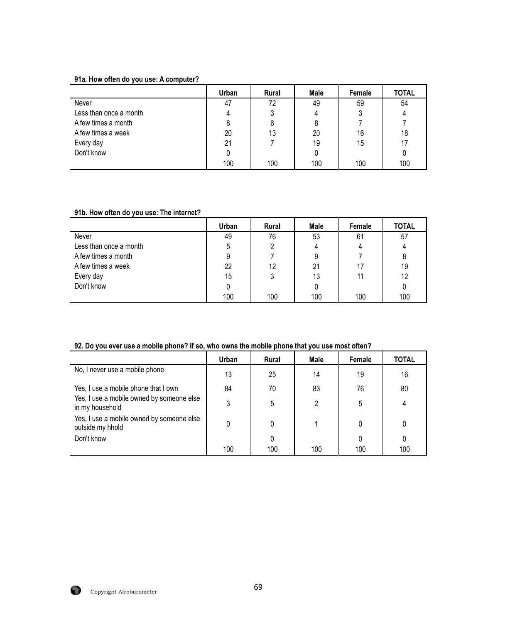## **91a. How often do you use: A computer?**

|                        | <b>Urban</b> | Rural | Male | Female | <b>TOTAL</b> |
|------------------------|--------------|-------|------|--------|--------------|
| Never                  | 47           | 72    | 49   | 59     | 54           |
| Less than once a month |              |       |      |        |              |
| A few times a month    | 8            | 6     |      |        |              |
| A few times a week     | 20           | 13    | 20   | 16     | 18           |
| Every day              | 21           |       | 19   | 15     | 17           |
| Don't know             |              |       |      |        |              |
|                        | 100          | 100   | 100  | 100    | 100          |

## **91b. How often do you use: The internet?**

|                        | Urban | Rural | Male | Female | <b>TOTAL</b> |
|------------------------|-------|-------|------|--------|--------------|
| Never                  | 49    | 76    | 53   | 61     | 57           |
| Less than once a month | 5     | າ     | 4    | 4      |              |
| A few times a month    |       |       | 9    |        | 8            |
| A few times a week     | 22    | 12    | 21   |        | 19           |
| Every day              | 15    | 3     | 13   |        | 12           |
| Don't know             |       |       |      |        |              |
|                        | 100   | 100   | 100  | 100    | 100          |

## **92. Do you ever use a mobile phone? If so, who owns the mobile phone that you use most often?**

|                                                               | Urban | <b>Rural</b> | Male | Female | <b>TOTAL</b> |
|---------------------------------------------------------------|-------|--------------|------|--------|--------------|
| No, I never use a mobile phone                                | 13    | 25           | 14   | 19     | 16           |
| Yes, I use a mobile phone that I own                          | 84    | 70           | 83   | 76     | 80           |
| Yes, I use a mobile owned by someone else<br>in my household  | 3     | 5            | 2    | 5      |              |
| Yes, I use a mobile owned by someone else<br>outside my hhold |       | 0            |      |        |              |
| Don't know                                                    |       |              |      |        |              |
|                                                               | 100   | 100          | 100  | 100    | 100          |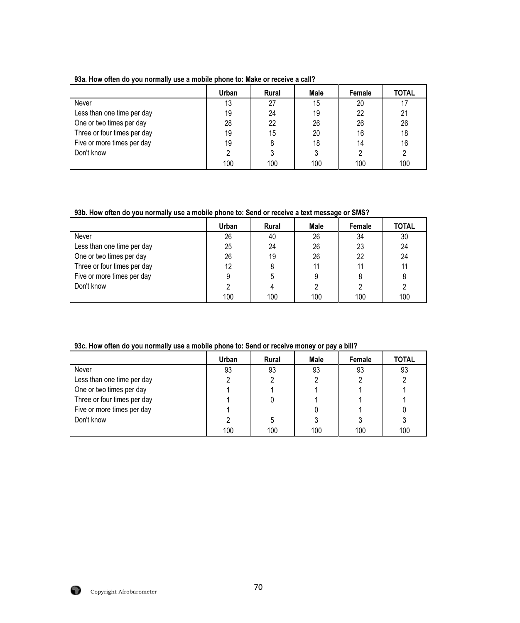|                             | Urban | <b>Rural</b> | Male | Female | <b>TOTAL</b> |
|-----------------------------|-------|--------------|------|--------|--------------|
| Never                       | 13    | 27           | 15   | 20     | 17           |
| Less than one time per day  | 19    | 24           | 19   | 22     | 21           |
| One or two times per day    | 28    | 22           | 26   | 26     | 26           |
| Three or four times per day | 19    | 15           | 20   | 16     | 18           |
| Five or more times per day  | 19    | 8            | 18   | 14     | 16           |
| Don't know                  |       | 3            |      |        | 2            |
|                             | 100   | 100          | 100  | 100    | 100          |

**93a. How often do you normally use a mobile phone to: Make or receive a call?**

**93b. How often do you normally use a mobile phone to: Send or receive a text message or SMS?**

|                             | Urban | <b>Rural</b> | Male | Female | <b>TOTAL</b> |
|-----------------------------|-------|--------------|------|--------|--------------|
| Never                       | 26    | 40           | 26   | 34     | 30           |
| Less than one time per day  | 25    | 24           | 26   | 23     | 24           |
| One or two times per day    | 26    | 19           | 26   | 22     | 24           |
| Three or four times per day | 12    | 8            | 11   | 11     | 11           |
| Five or more times per day  |       | 5            | 9    |        | 8            |
| Don't know                  |       |              |      |        |              |
|                             | 100   | 100          | 100  | 100    | 100          |

**93c. How often do you normally use a mobile phone to: Send or receive money or pay a bill?**

|                             | Urban | <b>Rural</b> | Male | Female | <b>TOTAL</b> |
|-----------------------------|-------|--------------|------|--------|--------------|
| Never                       | 93    | 93           | 93   | 93     | 93           |
| Less than one time per day  |       |              |      |        |              |
| One or two times per day    |       |              |      |        |              |
| Three or four times per day |       |              |      |        |              |
| Five or more times per day  |       |              |      |        |              |
| Don't know                  |       | 5            |      |        |              |
|                             | 100   | 100          | 100  | 100    | 100          |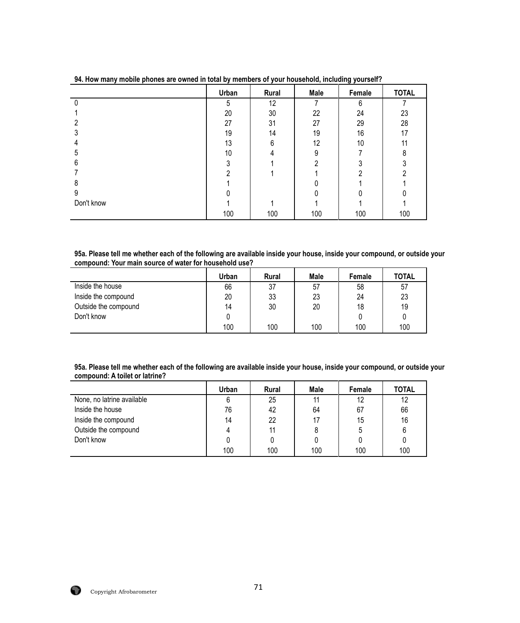|            | Urban | Rural | Male | Female | <b>TOTAL</b> |
|------------|-------|-------|------|--------|--------------|
|            | 5     | 12    |      | 6      |              |
|            | 20    | 30    | 22   | 24     | 23           |
| 2          | 27    | 31    | 27   | 29     | 28           |
|            | 19    | 14    | 19   | 16     | 17           |
|            | 13    | 6     | 12   | 10     | 11           |
| 5          | 10    |       | 9    |        | 8            |
| 6          | ົ     |       | ∩    |        |              |
|            |       |       |      |        |              |
| 8          |       |       |      |        |              |
| 9          |       |       |      |        |              |
| Don't know |       |       |      |        |              |
|            | 100   | 100   | 100  | 100    | 100          |

**94. How many mobile phones are owned in total by members of your household, including yourself?**

**95a. Please tell me whether each of the following are available inside your house, inside your compound, or outside your compound: Your main source of water for household use?**

|                      | Urban | <b>Rural</b> | <b>Male</b> | <b>Female</b> | <b>TOTAL</b> |
|----------------------|-------|--------------|-------------|---------------|--------------|
| Inside the house     | 66    | 37           | 57          | 58            | 57           |
| Inside the compound  | 20    | 33           | 23          | 24            | 23           |
| Outside the compound | 14    | 30           | 20          | 18            | 19           |
| Don't know           |       |              |             |               |              |
|                      | 100   | 100          | 100         | 100           | 100          |

**95a. Please tell me whether each of the following are available inside your house, inside your compound, or outside your compound: A toilet or latrine?**

|                            | Urban | <b>Rural</b> | Male | Female | <b>TOTAL</b> |
|----------------------------|-------|--------------|------|--------|--------------|
| None, no latrine available |       | 25           | 11   | 12     | 12           |
| Inside the house           | 76    | 42           | 64   | 67     | 66           |
| Inside the compound        | 14    | 22           | 17   | 15     | 16           |
| Outside the compound       |       | 11           |      | 5      | 6            |
| Don't know                 |       |              |      |        |              |
|                            | 100   | 100          | 100  | 100    | 100          |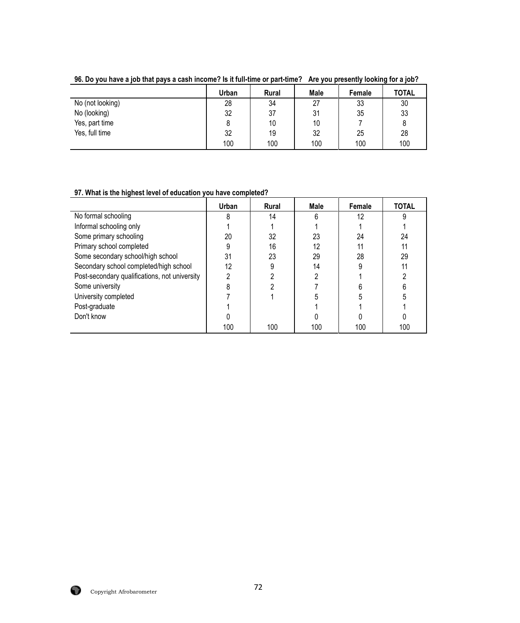|                  | Urban | <b>Rural</b> | Male | Female | <b>TOTAL</b> |
|------------------|-------|--------------|------|--------|--------------|
| No (not looking) | 28    | 34           | 27   | 33     | 30           |
| No (looking)     | 32    | 37           | 31   | 35     | 33           |
| Yes, part time   |       | 10           | 10   |        |              |
| Yes, full time   | 32    | 19           | 32   | 25     | 28           |
|                  | 100   | 100          | 100  | 100    | 100          |

**96. Do you have a job that pays a cash income? Is it full-time or part-time? Are you presently looking for a job?**

# **97. What is the highest level of education you have completed?**

|                                               | Urban | <b>Rural</b> | Male | Female | <b>TOTAL</b> |
|-----------------------------------------------|-------|--------------|------|--------|--------------|
| No formal schooling                           |       | 14           | հ    | 12     | 9            |
| Informal schooling only                       |       |              |      |        |              |
| Some primary schooling                        | 20    | 32           | 23   | 24     | 24           |
| Primary school completed                      |       | 16           | 12   |        | 11           |
| Some secondary school/high school             | 31    | 23           | 29   | 28     | 29           |
| Secondary school completed/high school        | 12    |              | 14   |        | 11           |
| Post-secondary qualifications, not university |       |              |      |        |              |
| Some university                               |       |              |      |        |              |
| University completed                          |       |              |      |        |              |
| Post-graduate                                 |       |              |      |        |              |
| Don't know                                    |       |              |      |        |              |
|                                               | 100   | 100          | 100  | 100    | 100          |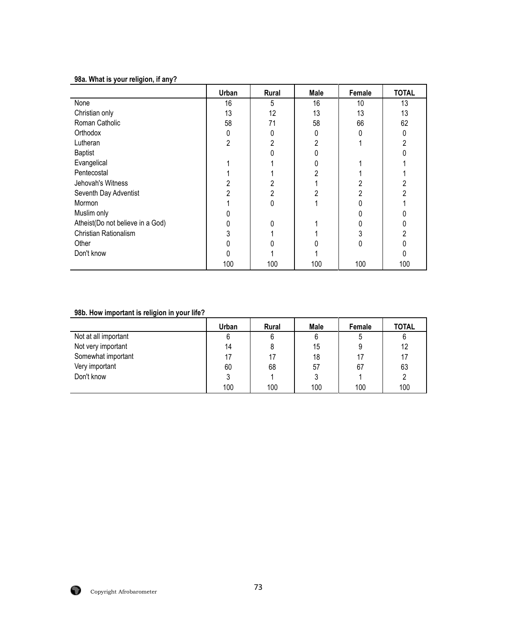## **98a. What is your religion, if any?**

|                                  | Urban | Rural | Male | Female | <b>TOTAL</b> |
|----------------------------------|-------|-------|------|--------|--------------|
| None                             | 16    | 5     | 16   | 10     | 13           |
| Christian only                   | 13    | 12    | 13   | 13     | 13           |
| Roman Catholic                   | 58    | 71    | 58   | 66     | 62           |
| Orthodox                         |       | 0     |      |        |              |
| Lutheran                         | 2     | 2     |      |        | ኅ            |
| <b>Baptist</b>                   |       |       |      |        |              |
| Evangelical                      |       |       |      |        |              |
| Pentecostal                      |       |       |      |        |              |
| Jehovah's Witness                |       |       |      |        |              |
| Seventh Day Adventist            |       | 2     |      |        | ŋ            |
| Mormon                           |       | 0     |      |        |              |
| Muslim only                      |       |       |      |        |              |
| Atheist(Do not believe in a God) |       | 0     |      |        | ი            |
| Christian Rationalism            |       |       |      |        | 2            |
| Other                            |       |       |      | ŋ      |              |
| Don't know                       |       |       |      |        |              |
|                                  | 100   | 100   | 100  | 100    | 100          |

## **98b. How important is religion in your life?**

|                      | Urban | <b>Rural</b> | Male | Female | <b>TOTAL</b> |
|----------------------|-------|--------------|------|--------|--------------|
| Not at all important | 6     | 6            | 6    | ა      | 6            |
| Not very important   | 14    | 8            | 15   |        | 12           |
| Somewhat important   |       | 17           | 18   |        | 17           |
| Very important       | 60    | 68           | 57   | 67     | 63           |
| Don't know           |       |              | 3    |        |              |
|                      | 100   | 100          | 100  | 100    | 100          |